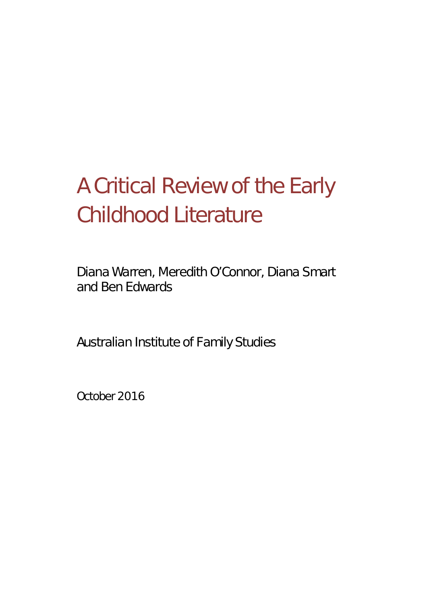# A Critical Review of the Early Childhood Literature

Diana Warren, Meredith O'Connor, Diana Smart and Ben Edwards

Australian Institute of Family Studies

October 2016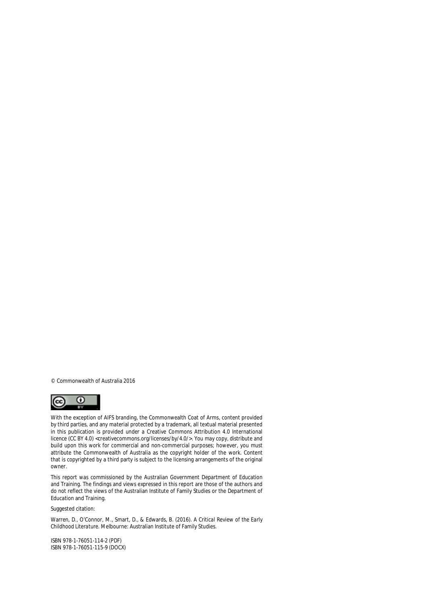© Commonwealth of Australia 2016



With the exception of AIFS branding, the Commonwealth Coat of Arms, content provided by third parties, and any material protected by a trademark, all textual material presented in this publication is provided under a Creative Commons Attribution 4.0 International licence (CC BY 4.0) <creativecommons.org/licenses/by/4.0/>. You may copy, distribute and build upon this work for commercial and non-commercial purposes; however, you must attribute the Commonwealth of Australia as the copyright holder of the work. Content that is copyrighted by a third party is subject to the licensing arrangements of the original owner.

This report was commissioned by the Australian Government Department of Education and Training. The findings and views expressed in this report are those of the authors and do not reflect the views of the Australian Institute of Family Studies or the Department of Education and Training.

Suggested citation:

Warren, D., O'Connor, M., Smart, D., & Edwards, B. (2016). *A Critical Review of the Early Childhood Literature*. Melbourne: Australian Institute of Family Studies.

ISBN 978-1-76051-114-2 (PDF) ISBN 978-1-76051-115-9 (DOCX)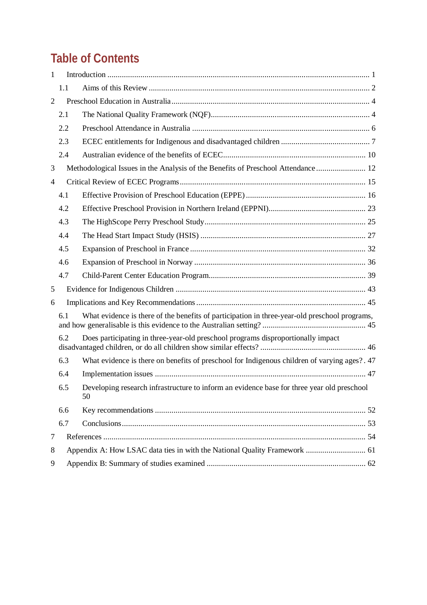# **Table of Contents**

| 1              |                                                                           |                                                                                                  |  |  |  |
|----------------|---------------------------------------------------------------------------|--------------------------------------------------------------------------------------------------|--|--|--|
|                | 1.1                                                                       |                                                                                                  |  |  |  |
| $\overline{2}$ |                                                                           |                                                                                                  |  |  |  |
|                | 2.1                                                                       |                                                                                                  |  |  |  |
|                | 2.2                                                                       |                                                                                                  |  |  |  |
|                | 2.3                                                                       |                                                                                                  |  |  |  |
|                | 2.4                                                                       |                                                                                                  |  |  |  |
| 3              |                                                                           | Methodological Issues in the Analysis of the Benefits of Preschool Attendance 12                 |  |  |  |
| 4              |                                                                           |                                                                                                  |  |  |  |
|                | 4.1                                                                       |                                                                                                  |  |  |  |
|                | 4.2                                                                       |                                                                                                  |  |  |  |
|                | 4.3                                                                       |                                                                                                  |  |  |  |
|                | 4.4                                                                       |                                                                                                  |  |  |  |
|                | 4.5                                                                       |                                                                                                  |  |  |  |
|                | 4.6                                                                       |                                                                                                  |  |  |  |
|                | 4.7                                                                       |                                                                                                  |  |  |  |
| 5              |                                                                           |                                                                                                  |  |  |  |
| 6              |                                                                           |                                                                                                  |  |  |  |
|                | 6.1                                                                       | What evidence is there of the benefits of participation in three-year-old preschool programs,    |  |  |  |
|                | 6.2                                                                       | Does participating in three-year-old preschool programs disproportionally impact                 |  |  |  |
|                | 6.3                                                                       | What evidence is there on benefits of preschool for Indigenous children of varying ages?. 47     |  |  |  |
|                | 6.4                                                                       |                                                                                                  |  |  |  |
|                | 6.5                                                                       | Developing research infrastructure to inform an evidence base for three year old preschool<br>50 |  |  |  |
|                | 6.6                                                                       | 52                                                                                               |  |  |  |
|                | 6.7                                                                       |                                                                                                  |  |  |  |
| $\tau$         |                                                                           |                                                                                                  |  |  |  |
| 8              | Appendix A: How LSAC data ties in with the National Quality Framework  61 |                                                                                                  |  |  |  |
| 9              |                                                                           |                                                                                                  |  |  |  |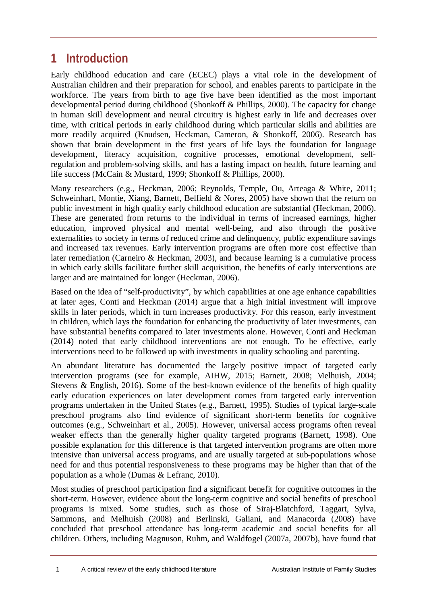# **1 Introduction**

Early childhood education and care (ECEC) plays a vital role in the development of Australian children and their preparation for school, and enables parents to participate in the workforce. The years from birth to age five have been identified as the most important developmental period during childhood (Shonkoff & Phillips, 2000). The capacity for change in human skill development and neural circuitry is highest early in life and decreases over time, with critical periods in early childhood during which particular skills and abilities are more readily acquired (Knudsen, Heckman, Cameron, & Shonkoff, 2006). Research has shown that brain development in the first years of life lays the foundation for language development, literacy acquisition, cognitive processes, emotional development, selfregulation and problem-solving skills, and has a lasting impact on health, future learning and life success (McCain & Mustard, 1999; Shonkoff & Phillips, 2000).

Many researchers (e.g., Heckman, 2006; Reynolds, Temple, Ou, Arteaga & White, 2011; Schweinhart, Montie, Xiang, Barnett, Belfield & Nores, 2005) have shown that the return on public investment in high quality early childhood education are substantial (Heckman, 2006). These are generated from returns to the individual in terms of increased earnings, higher education, improved physical and mental well-being, and also through the positive externalities to society in terms of reduced crime and delinquency, public expenditure savings and increased tax revenues. Early intervention programs are often more cost effective than later remediation (Carneiro & Heckman, 2003), and because learning is a cumulative process in which early skills facilitate further skill acquisition, the benefits of early interventions are larger and are maintained for longer (Heckman, 2006).

Based on the idea of "self-productivity", by which capabilities at one age enhance capabilities at later ages, Conti and Heckman (2014) argue that a high initial investment will improve skills in later periods, which in turn increases productivity. For this reason, early investment in children, which lays the foundation for enhancing the productivity of later investments, can have substantial benefits compared to later investments alone. However, Conti and Heckman (2014) noted that early childhood interventions are not enough. To be effective, early interventions need to be followed up with investments in quality schooling and parenting.

An abundant literature has documented the largely positive impact of targeted early intervention programs (see for example, AIHW, 2015; Barnett, 2008; Melhuish, 2004; Stevens & English, 2016). Some of the best-known evidence of the benefits of high quality early education experiences on later development comes from targeted early intervention programs undertaken in the United States (e.g., Barnett, 1995). Studies of typical large-scale preschool programs also find evidence of significant short-term benefits for cognitive outcomes (e.g., Schweinhart et al., 2005). However, universal access programs often reveal weaker effects than the generally higher quality targeted programs (Barnett, 1998). One possible explanation for this difference is that targeted intervention programs are often more intensive than universal access programs, and are usually targeted at sub-populations whose need for and thus potential responsiveness to these programs may be higher than that of the population as a whole (Dumas & Lefranc, 2010).

Most studies of preschool participation find a significant benefit for cognitive outcomes in the short-term. However, evidence about the long-term cognitive and social benefits of preschool programs is mixed. Some studies, such as those of Siraj-Blatchford, Taggart, Sylva, Sammons, and Melhuish (2008) and Berlinski, Galiani, and Manacorda (2008) have concluded that preschool attendance has long-term academic and social benefits for all children. Others, including Magnuson, Ruhm, and Waldfogel (2007a, 2007b), have found that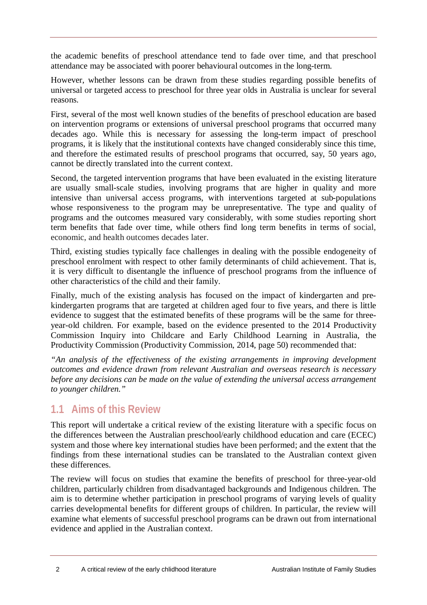the academic benefits of preschool attendance tend to fade over time, and that preschool attendance may be associated with poorer behavioural outcomes in the long-term.

However, whether lessons can be drawn from these studies regarding possible benefits of universal or targeted access to preschool for three year olds in Australia is unclear for several reasons.

First, several of the most well known studies of the benefits of preschool education are based on intervention programs or extensions of universal preschool programs that occurred many decades ago. While this is necessary for assessing the long-term impact of preschool programs, it is likely that the institutional contexts have changed considerably since this time, and therefore the estimated results of preschool programs that occurred, say, 50 years ago, cannot be directly translated into the current context.

Second, the targeted intervention programs that have been evaluated in the existing literature are usually small-scale studies, involving programs that are higher in quality and more intensive than universal access programs, with interventions targeted at sub-populations whose responsiveness to the program may be unrepresentative. The type and quality of programs and the outcomes measured vary considerably, with some studies reporting short term benefits that fade over time, while others find long term benefits in terms of social, economic, and health outcomes decades later.

Third, existing studies typically face challenges in dealing with the possible endogeneity of preschool enrolment with respect to other family determinants of child achievement. That is, it is very difficult to disentangle the influence of preschool programs from the influence of other characteristics of the child and their family.

Finally, much of the existing analysis has focused on the impact of kindergarten and prekindergarten programs that are targeted at children aged four to five years, and there is little evidence to suggest that the estimated benefits of these programs will be the same for threeyear-old children. For example, based on the evidence presented to the 2014 Productivity Commission Inquiry into Childcare and Early Childhood Learning in Australia, the Productivity Commission (Productivity Commission, 2014, page 50) recommended that:

*"An analysis of the effectiveness of the existing arrangements in improving development outcomes and evidence drawn from relevant Australian and overseas research is necessary before any decisions can be made on the value of extending the universal access arrangement to younger children."*

# **1.1 Aims of this Review**

This report will undertake a critical review of the existing literature with a specific focus on the differences between the Australian preschool/early childhood education and care (ECEC) system and those where key international studies have been performed; and the extent that the findings from these international studies can be translated to the Australian context given these differences.

The review will focus on studies that examine the benefits of preschool for three-year-old children, particularly children from disadvantaged backgrounds and Indigenous children. The aim is to determine whether participation in preschool programs of varying levels of quality carries developmental benefits for different groups of children. In particular, the review will examine what elements of successful preschool programs can be drawn out from international evidence and applied in the Australian context.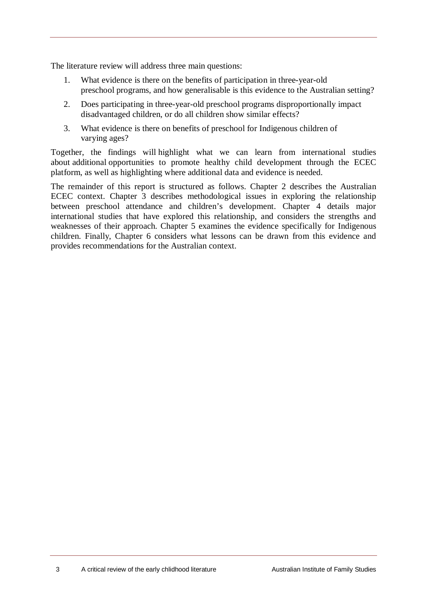The literature review will address three main questions:

- 1. What evidence is there on the benefits of participation in three-year-old preschool programs, and how generalisable is this evidence to the Australian setting?
- 2. Does participating in three-year-old preschool programs disproportionally impact disadvantaged children, or do all children show similar effects?
- 3. What evidence is there on benefits of preschool for Indigenous children of varying ages?

Together, the findings will highlight what we can learn from international studies about additional opportunities to promote healthy child development through the ECEC platform, as well as highlighting where additional data and evidence is needed.

The remainder of this report is structured as follows. Chapter 2 describes the Australian ECEC context. Chapter 3 describes methodological issues in exploring the relationship between preschool attendance and children's development. Chapter 4 details major international studies that have explored this relationship, and considers the strengths and weaknesses of their approach. Chapter 5 examines the evidence specifically for Indigenous children. Finally, Chapter 6 considers what lessons can be drawn from this evidence and provides recommendations for the Australian context.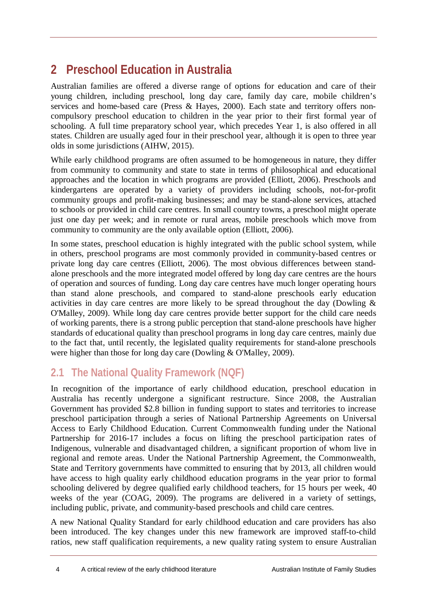# **2 Preschool Education in Australia**

Australian families are offered a diverse range of options for education and care of their young children, including preschool, long day care, family day care, mobile children's services and home-based care (Press & Hayes, 2000). Each state and territory offers noncompulsory preschool education to children in the year prior to their first formal year of schooling. A full time preparatory school year, which precedes Year 1, is also offered in all states. Children are usually aged four in their preschool year, although it is open to three year olds in some jurisdictions (AIHW, 2015).

While early childhood programs are often assumed to be homogeneous in nature, they differ from community to community and state to state in terms of philosophical and educational approaches and the location in which programs are provided (Elliott, 2006). Preschools and kindergartens are operated by a variety of providers including schools, not-for-profit community groups and profit-making businesses; and may be stand-alone services, attached to schools or provided in child care centres. In small country towns, a preschool might operate just one day per week; and in remote or rural areas, mobile preschools which move from community to community are the only available option (Elliott, 2006).

In some states, preschool education is highly integrated with the public school system, while in others, preschool programs are most commonly provided in community-based centres or private long day care centres (Elliott, 2006). The most obvious differences between standalone preschools and the more integrated model offered by long day care centres are the hours of operation and sources of funding. Long day care centres have much longer operating hours than stand alone preschools, and compared to stand-alone preschools early education activities in day care centres are more likely to be spread throughout the day (Dowling & O'Malley, 2009). While long day care centres provide better support for the child care needs of working parents, there is a strong public perception that stand-alone preschools have higher standards of educational quality than preschool programs in long day care centres, mainly due to the fact that, until recently, the legislated quality requirements for stand-alone preschools were higher than those for long day care (Dowling & O'Malley, 2009).

# **2.1 The National Quality Framework (NQF)**

In recognition of the importance of early childhood education, preschool education in Australia has recently undergone a significant restructure. Since 2008, the Australian Government has provided \$2.8 billion in funding support to states and territories to increase preschool participation through a series of National Partnership Agreements on Universal Access to Early Childhood Education. Current Commonwealth funding under the National Partnership for 2016-17 includes a focus on lifting the preschool participation rates of Indigenous, vulnerable and disadvantaged children, a significant proportion of whom live in regional and remote areas. Under the National Partnership Agreement, the Commonwealth, State and Territory governments have committed to ensuring that by 2013, all children would have access to high quality early childhood education programs in the year prior to formal schooling delivered by degree qualified early childhood teachers, for 15 hours per week, 40 weeks of the year (COAG, 2009). The programs are delivered in a variety of settings, including public, private, and community-based preschools and child care centres.

A new National Quality Standard for early childhood education and care providers has also been introduced. The key changes under this new framework are improved staff-to-child ratios, new staff qualification requirements, a new quality rating system to ensure Australian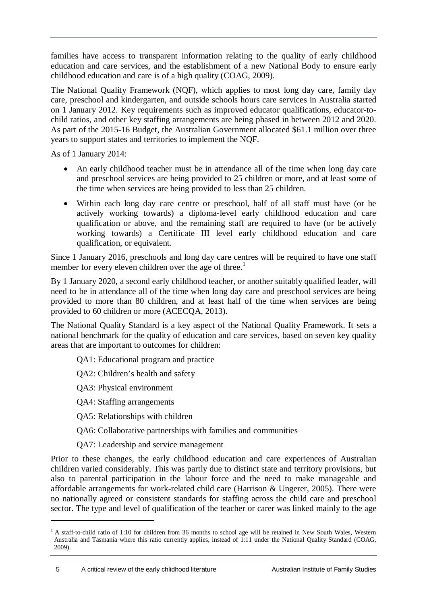families have access to transparent information relating to the quality of early childhood education and care services, and the establishment of a new National Body to ensure early childhood education and care is of a high quality (COAG, 2009).

The National Quality Framework (NQF), which applies to most long day care, family day care, preschool and kindergarten, and outside schools hours care services in Australia started on 1 January 2012. Key requirements such as improved educator qualifications, educator-tochild ratios, and other key staffing arrangements are being phased in between 2012 and 2020. As part of the 2015-16 Budget, the Australian Government allocated \$61.1 million over three years to support states and territories to implement the NQF.

As of 1 January 2014:

- An early childhood teacher must be in attendance all of the time when long day care and preschool services are being provided to 25 children or more, and at least some of the time when services are being provided to less than 25 children.
- Within each long day care centre or preschool, half of all staff must have (or be actively working towards) a diploma-level early childhood education and care qualification or above, and the remaining staff are required to have (or be actively working towards) a Certificate III level early childhood education and care qualification, or equivalent.

Since 1 January 2016, preschools and long day care centres will be required to have one staff member for every eleven children over the age of three.<sup>1</sup>

By 1 January 2020, a second early childhood teacher, or another suitably qualified leader, will need to be in attendance all of the time when long day care and preschool services are being provided to more than 80 children, and at least half of the time when services are being provided to 60 children or more (ACECQA, 2013).

The National Quality Standard is a key aspect of the National Quality Framework. It sets a national benchmark for the quality of education and care services, based on seven key quality areas that are important to outcomes for children:

QA1: Educational program and practice

QA2: Children's health and safety

QA3: Physical environment

QA4: Staffing arrangements

QA5: Relationships with children

QA6: Collaborative partnerships with families and communities

QA7: Leadership and service management

Prior to these changes, the early childhood education and care experiences of Australian children varied considerably. This was partly due to distinct state and territory provisions, but also to parental participation in the labour force and the need to make manageable and affordable arrangements for work-related child care (Harrison & Ungerer, 2005). There were no nationally agreed or consistent standards for staffing across the child care and preschool sector. The type and level of qualification of the teacher or carer was linked mainly to the age

 $\ddot{\phantom{a}}$ 

 $1$ <sup>1</sup> A staff-to-child ratio of 1:10 for children from 36 months to school age will be retained in New South Wales, Western Australia and Tasmania where this ratio currently applies, instead of 1:11 under the National Quality Standard (COAG, 2009).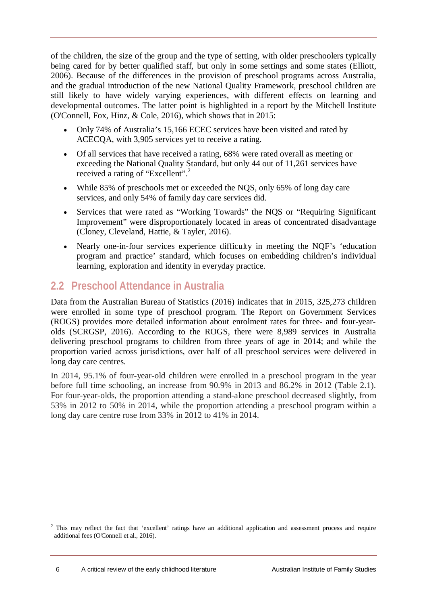of the children, the size of the group and the type of setting, with older preschoolers typically being cared for by better qualified staff, but only in some settings and some states (Elliott, 2006). Because of the differences in the provision of preschool programs across Australia, and the gradual introduction of the new National Quality Framework, preschool children are still likely to have widely varying experiences, with different effects on learning and developmental outcomes. The latter point is highlighted in a report by the Mitchell Institute (O'Connell, Fox, Hinz, & Cole, 2016), which shows that in 2015:

- Only 74% of Australia's 15,166 ECEC services have been visited and rated by ACECQA, with 3,905 services yet to receive a rating.
- Of all services that have received a rating, 68% were rated overall as meeting or exceeding the National Quality Standard, but only 44 out of 11,261 services have received a rating of "Excellent".<sup>2</sup>
- While 85% of preschools met or exceeded the NQS, only 65% of long day care services, and only 54% of family day care services did.
- Services that were rated as "Working Towards" the NQS or "Requiring Significant Improvement" were disproportionately located in areas of concentrated disadvantage (Cloney, Cleveland, Hattie, & Tayler, 2016).
- Nearly one-in-four services experience difficulty in meeting the NQF's 'education program and practice' standard, which focuses on embedding children's individual learning, exploration and identity in everyday practice.

# **2.2 Preschool Attendance in Australia**

Data from the Australian Bureau of Statistics (2016) indicates that in 2015, 325,273 children were enrolled in some type of preschool program. The Report on Government Services (ROGS) provides more detailed information about enrolment rates for three- and four-yearolds (SCRGSP, 2016). According to the ROGS, there were 8,989 services in Australia delivering preschool programs to children from three years of age in 2014; and while the proportion varied across jurisdictions, over half of all preschool services were delivered in long day care centres.

In 2014, 95.1% of four-year-old children were enrolled in a preschool program in the year before full time schooling, an increase from 90.9% in 2013 and 86.2% in 2012 (Table 2.1). For four-year-olds, the proportion attending a stand-alone preschool decreased slightly, from 53% in 2012 to 50% in 2014, while the proportion attending a preschool program within a long day care centre rose from 33% in 2012 to 41% in 2014.

 $\ddot{\phantom{a}}$ 

<sup>&</sup>lt;sup>2</sup> This may reflect the fact that 'excellent' ratings have an additional application and assessment process and require additional fees (O'Connell et al., 2016).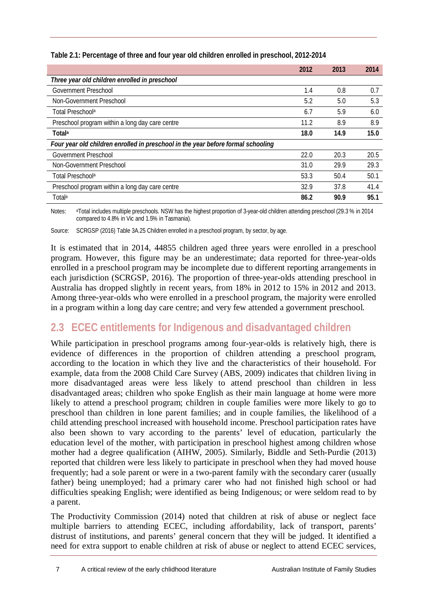|                                                                                  | 2012 | 2013 | 2014 |
|----------------------------------------------------------------------------------|------|------|------|
| Three year old children enrolled in preschool                                    |      |      |      |
| <b>Government Preschool</b>                                                      | 1.4  | 0.8  | 0.7  |
| Non-Government Preschool                                                         | 5.2  | 5.0  | 5.3  |
| Total Preschoola                                                                 | 6.7  | 5.9  | 6.0  |
| Preschool program within a long day care centre                                  | 11.2 | 8.9  | 8.9  |
| <b>Totala</b>                                                                    | 18.0 | 14.9 | 15.0 |
| Four year old children enrolled in preschool in the year before formal schooling |      |      |      |
| <b>Government Preschool</b>                                                      | 22.0 | 20.3 | 20.5 |
| Non-Government Preschool                                                         | 31.0 | 29.9 | 29.3 |
| Total Preschoola                                                                 | 53.3 | 50.4 | 50.1 |
| Preschool program within a long day care centre                                  | 32.9 | 37.8 | 41.4 |
| Totala                                                                           | 86.2 | 90.9 | 95.1 |

## **Table 2.1: Percentage of three and four year old children enrolled in preschool, 2012-2014**

Notes: <sup>a</sup>Total includes multiple preschools. NSW has the highest proportion of 3-year-old children attending preschool (29.3 % in 2014 compared to 4.8% in Vic and 1.5% in Tasmania).

Source: SCRGSP (2016) Table 3A.25 Children enrolled in a preschool program, by sector, by age.

It is estimated that in 2014, 44855 children aged three years were enrolled in a preschool program. However, this figure may be an underestimate; data reported for three-year-olds enrolled in a preschool program may be incomplete due to different reporting arrangements in each jurisdiction (SCRGSP, 2016). The proportion of three-year-olds attending preschool in Australia has dropped slightly in recent years, from 18% in 2012 to 15% in 2012 and 2013. Among three-year-olds who were enrolled in a preschool program, the majority were enrolled in a program within a long day care centre; and very few attended a government preschool.

# **2.3 ECEC entitlements for Indigenous and disadvantaged children**

While participation in preschool programs among four-year-olds is relatively high, there is evidence of differences in the proportion of children attending a preschool program, according to the location in which they live and the characteristics of their household. For example, data from the 2008 Child Care Survey (ABS, 2009) indicates that children living in more disadvantaged areas were less likely to attend preschool than children in less disadvantaged areas; children who spoke English as their main language at home were more likely to attend a preschool program; children in couple families were more likely to go to preschool than children in lone parent families; and in couple families, the likelihood of a child attending preschool increased with household income. Preschool participation rates have also been shown to vary according to the parents' level of education, particularly the education level of the mother, with participation in preschool highest among children whose mother had a degree qualification (AIHW, 2005). Similarly, Biddle and Seth-Purdie (2013) reported that children were less likely to participate in preschool when they had moved house frequently; had a sole parent or were in a two-parent family with the secondary carer (usually father) being unemployed; had a primary carer who had not finished high school or had difficulties speaking English; were identified as being Indigenous; or were seldom read to by a parent.

The Productivity Commission (2014) noted that children at risk of abuse or neglect face multiple barriers to attending ECEC, including affordability, lack of transport, parents' distrust of institutions, and parents' general concern that they will be judged. It identified a need for extra support to enable children at risk of abuse or neglect to attend ECEC services,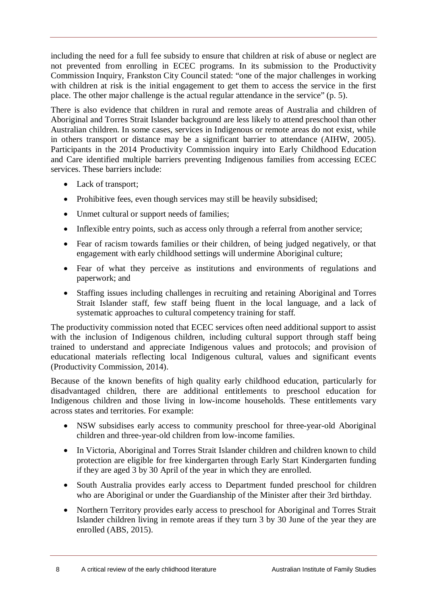including the need for a full fee subsidy to ensure that children at risk of abuse or neglect are not prevented from enrolling in ECEC programs. In its submission to the Productivity Commission Inquiry, Frankston City Council stated: "one of the major challenges in working with children at risk is the initial engagement to get them to access the service in the first place. The other major challenge is the actual regular attendance in the service" (p. 5).

There is also evidence that children in rural and remote areas of Australia and children of Aboriginal and Torres Strait Islander background are less likely to attend preschool than other Australian children. In some cases, services in Indigenous or remote areas do not exist, while in others transport or distance may be a significant barrier to attendance (AIHW, 2005). Participants in the 2014 Productivity Commission inquiry into Early Childhood Education and Care identified multiple barriers preventing Indigenous families from accessing ECEC services. These barriers include:

- Lack of transport;
- Prohibitive fees, even though services may still be heavily subsidised;
- Unmet cultural or support needs of families;
- Inflexible entry points, such as access only through a referral from another service;
- Fear of racism towards families or their children, of being judged negatively, or that engagement with early childhood settings will undermine Aboriginal culture;
- Fear of what they perceive as institutions and environments of regulations and paperwork; and
- Staffing issues including challenges in recruiting and retaining Aboriginal and Torres Strait Islander staff, few staff being fluent in the local language, and a lack of systematic approaches to cultural competency training for staff.

The productivity commission noted that ECEC services often need additional support to assist with the inclusion of Indigenous children, including cultural support through staff being trained to understand and appreciate Indigenous values and protocols; and provision of educational materials reflecting local Indigenous cultural, values and significant events (Productivity Commission, 2014).

Because of the known benefits of high quality early childhood education, particularly for disadvantaged children, there are additional entitlements to preschool education for Indigenous children and those living in low-income households. These entitlements vary across states and territories. For example:

- NSW subsidises early access to community preschool for three-year-old Aboriginal children and three-year-old children from low-income families.
- In Victoria, Aboriginal and Torres Strait Islander children and children known to child protection are eligible for free kindergarten through Early Start Kindergarten funding if they are aged 3 by 30 April of the year in which they are enrolled.
- South Australia provides early access to Department funded preschool for children who are Aboriginal or under the Guardianship of the Minister after their 3rd birthday.
- Northern Territory provides early access to preschool for Aboriginal and Torres Strait Islander children living in remote areas if they turn 3 by 30 June of the year they are enrolled (ABS, 2015).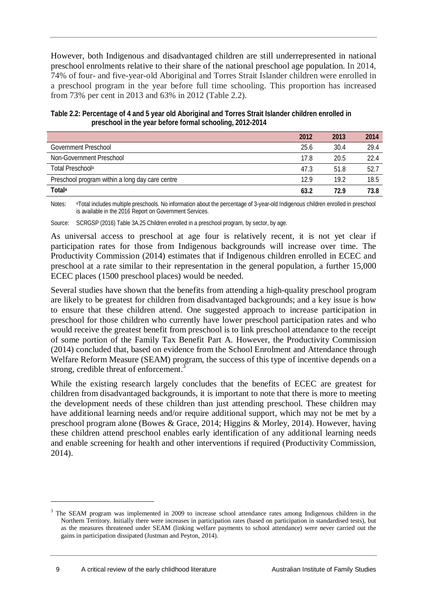However, both Indigenous and disadvantaged children are still underrepresented in national preschool enrolments relative to their share of the national preschool age population. In 2014, 74% of four- and five-year-old Aboriginal and Torres Strait Islander children were enrolled in a preschool program in the year before full time schooling. This proportion has increased from 73% per cent in 2013 and 63% in 2012 (Table 2.2).

| Table 2.2: Percentage of 4 and 5 year old Aboriginal and Torres Strait Islander children enrolled in<br>preschool in the year before formal schooling, 2012-2014 |  |
|------------------------------------------------------------------------------------------------------------------------------------------------------------------|--|
|                                                                                                                                                                  |  |

|                                                 | 2012 | 2013 | 2014 |
|-------------------------------------------------|------|------|------|
| Government Preschool                            | 25.6 | 30.4 | 29.4 |
| Non-Government Preschool                        | 17.8 | 20.5 | 22.4 |
| Total Preschool <sup>a</sup>                    | 47.3 | 51.8 | 52.7 |
| Preschool program within a long day care centre | 12.9 | 19.2 | 18.5 |
| <b>Total</b> <sup>a</sup>                       | 63.2 | 72.9 | 73.8 |

Notes: a<sup>T</sup>otal includes multiple preschools. No information about the percentage of 3-year-old Indigenous children enrolled in preschool is available in the 2016 Report on Government Services.

Source: SCRGSP (2016) Table 3A.25 Children enrolled in a preschool program, by sector, by age.

As universal access to preschool at age four is relatively recent, it is not yet clear if participation rates for those from Indigenous backgrounds will increase over time. The Productivity Commission (2014) estimates that if Indigenous children enrolled in ECEC and preschool at a rate similar to their representation in the general population, a further 15,000 ECEC places (1500 preschool places) would be needed.

Several studies have shown that the benefits from attending a high-quality preschool program are likely to be greatest for children from disadvantaged backgrounds; and a key issue is how to ensure that these children attend. One suggested approach to increase participation in preschool for those children who currently have lower preschool participation rates and who would receive the greatest benefit from preschool is to link preschool attendance to the receipt of some portion of the Family Tax Benefit Part A. However, the Productivity Commission (2014) concluded that, based on evidence from the School Enrolment and Attendance through Welfare Reform Measure (SEAM) program, the success of this type of incentive depends on a strong, credible threat of enforcement.<sup>3</sup>

While the existing research largely concludes that the benefits of ECEC are greatest for children from disadvantaged backgrounds, it is important to note that there is more to meeting the development needs of these children than just attending preschool. These children may have additional learning needs and/or require additional support, which may not be met by a preschool program alone (Bowes & Grace, 2014; Higgins & Morley, 2014). However, having these children attend preschool enables early identification of any additional learning needs and enable screening for health and other interventions if required (Productivity Commission, 2014).

 $\ddot{\phantom{a}}$ 

<sup>&</sup>lt;sup>3</sup> The SEAM program was implemented in 2009 to increase school attendance rates among Indigenous children in the Northern Territory. Initially there were increases in participation rates (based on participation in standardised tests), but as the measures threatened under SEAM (linking welfare payments to school attendance) were never carried out the gains in participation dissipated (Justman and Peyton, 2014).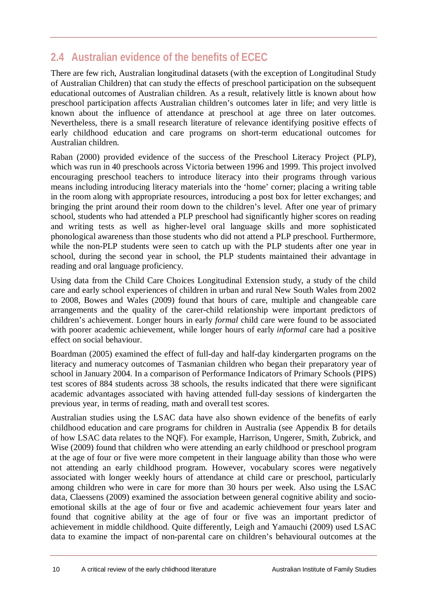# **2.4 Australian evidence of the benefits of ECEC**

There are few rich, Australian longitudinal datasets (with the exception of Longitudinal Study of Australian Children) that can study the effects of preschool participation on the subsequent educational outcomes of Australian children. As a result, relatively little is known about how preschool participation affects Australian children's outcomes later in life; and very little is known about the influence of attendance at preschool at age three on later outcomes. Nevertheless, there is a small research literature of relevance identifying positive effects of early childhood education and care programs on short-term educational outcomes for Australian children.

Raban (2000) provided evidence of the success of the Preschool Literacy Project (PLP), which was run in 40 preschools across Victoria between 1996 and 1999. This project involved encouraging preschool teachers to introduce literacy into their programs through various means including introducing literacy materials into the 'home' corner; placing a writing table in the room along with appropriate resources, introducing a post box for letter exchanges; and bringing the print around their room down to the children's level. After one year of primary school, students who had attended a PLP preschool had significantly higher scores on reading and writing tests as well as higher-level oral language skills and more sophisticated phonological awareness than those students who did not attend a PLP preschool. Furthermore, while the non-PLP students were seen to catch up with the PLP students after one year in school, during the second year in school, the PLP students maintained their advantage in reading and oral language proficiency.

Using data from the Child Care Choices Longitudinal Extension study, a study of the child care and early school experiences of children in urban and rural New South Wales from 2002 to 2008, Bowes and Wales (2009) found that hours of care, multiple and changeable care arrangements and the quality of the carer-child relationship were important predictors of children's achievement. Longer hours in early *formal* child care were found to be associated with poorer academic achievement, while longer hours of early *informal* care had a positive effect on social behaviour.

Boardman (2005) examined the effect of full-day and half-day kindergarten programs on the literacy and numeracy outcomes of Tasmanian children who began their preparatory year of school in January 2004. In a comparison of Performance Indicators of Primary Schools (PIPS) test scores of 884 students across 38 schools, the results indicated that there were significant academic advantages associated with having attended full-day sessions of kindergarten the previous year, in terms of reading, math and overall test scores.

Australian studies using the LSAC data have also shown evidence of the benefits of early childhood education and care programs for children in Australia (see Appendix B for details of how LSAC data relates to the NQF). For example, Harrison, Ungerer, Smith, Zubrick, and Wise (2009) found that children who were attending an early childhood or preschool program at the age of four or five were more competent in their language ability than those who were not attending an early childhood program. However, vocabulary scores were negatively associated with longer weekly hours of attendance at child care or preschool, particularly among children who were in care for more than 30 hours per week. Also using the LSAC data, Claessens (2009) examined the association between general cognitive ability and socioemotional skills at the age of four or five and academic achievement four years later and found that cognitive ability at the age of four or five was an important predictor of achievement in middle childhood. Quite differently, Leigh and Yamauchi (2009) used LSAC data to examine the impact of non-parental care on children's behavioural outcomes at the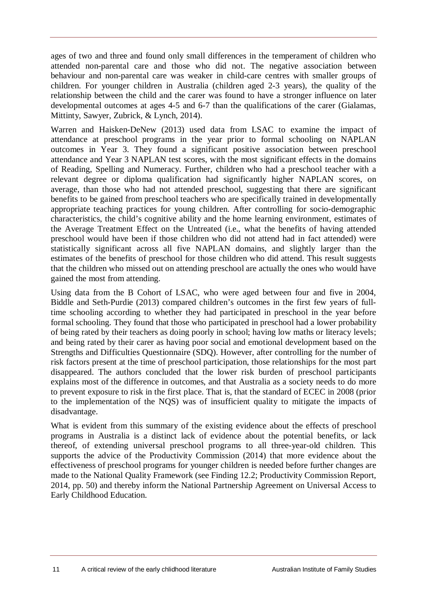ages of two and three and found only small differences in the temperament of children who attended non-parental care and those who did not. The negative association between behaviour and non-parental care was weaker in child-care centres with smaller groups of children. For younger children in Australia (children aged 2-3 years), the quality of the relationship between the child and the carer was found to have a stronger influence on later developmental outcomes at ages 4-5 and 6-7 than the qualifications of the carer (Gialamas, Mittinty, Sawyer, Zubrick, & Lynch, 2014).

Warren and Haisken-DeNew (2013) used data from LSAC to examine the impact of attendance at preschool programs in the year prior to formal schooling on NAPLAN outcomes in Year 3. They found a significant positive association between preschool attendance and Year 3 NAPLAN test scores, with the most significant effects in the domains of Reading, Spelling and Numeracy. Further, children who had a preschool teacher with a relevant degree or diploma qualification had significantly higher NAPLAN scores, on average, than those who had not attended preschool, suggesting that there are significant benefits to be gained from preschool teachers who are specifically trained in developmentally appropriate teaching practices for young children. After controlling for socio-demographic characteristics, the child's cognitive ability and the home learning environment, estimates of the Average Treatment Effect on the Untreated (i.e., what the benefits of having attended preschool would have been if those children who did not attend had in fact attended) were statistically significant across all five NAPLAN domains, and slightly larger than the estimates of the benefits of preschool for those children who did attend. This result suggests that the children who missed out on attending preschool are actually the ones who would have gained the most from attending.

Using data from the B Cohort of LSAC, who were aged between four and five in 2004, Biddle and Seth-Purdie (2013) compared children's outcomes in the first few years of fulltime schooling according to whether they had participated in preschool in the year before formal schooling. They found that those who participated in preschool had a lower probability of being rated by their teachers as doing poorly in school; having low maths or literacy levels; and being rated by their carer as having poor social and emotional development based on the Strengths and Difficulties Questionnaire (SDQ). However, after controlling for the number of risk factors present at the time of preschool participation, those relationships for the most part disappeared. The authors concluded that the lower risk burden of preschool participants explains most of the difference in outcomes, and that Australia as a society needs to do more to prevent exposure to risk in the first place. That is, that the standard of ECEC in 2008 (prior to the implementation of the NQS) was of insufficient quality to mitigate the impacts of disadvantage.

What is evident from this summary of the existing evidence about the effects of preschool programs in Australia is a distinct lack of evidence about the potential benefits, or lack thereof, of extending universal preschool programs to all three-year-old children. This supports the advice of the Productivity Commission (2014) that more evidence about the effectiveness of preschool programs for younger children is needed before further changes are made to the National Quality Framework (see Finding 12.2; Productivity Commission Report, 2014, pp. 50) and thereby inform the National Partnership Agreement on Universal Access to Early Childhood Education.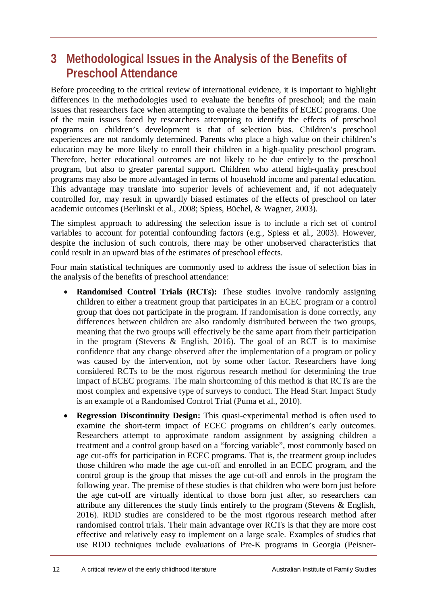# **3 Methodological Issues in the Analysis of the Benefits of Preschool Attendance**

Before proceeding to the critical review of international evidence, it is important to highlight differences in the methodologies used to evaluate the benefits of preschool; and the main issues that researchers face when attempting to evaluate the benefits of ECEC programs. One of the main issues faced by researchers attempting to identify the effects of preschool programs on children's development is that of selection bias. Children's preschool experiences are not randomly determined. Parents who place a high value on their children's education may be more likely to enroll their children in a high-quality preschool program. Therefore, better educational outcomes are not likely to be due entirely to the preschool program, but also to greater parental support. Children who attend high-quality preschool programs may also be more advantaged in terms of household income and parental education. This advantage may translate into superior levels of achievement and, if not adequately controlled for, may result in upwardly biased estimates of the effects of preschool on later academic outcomes (Berlinski et al., 2008; Spiess, Büchel, & Wagner, 2003).

The simplest approach to addressing the selection issue is to include a rich set of control variables to account for potential confounding factors (e.g., Spiess et al., 2003). However, despite the inclusion of such controls, there may be other unobserved characteristics that could result in an upward bias of the estimates of preschool effects.

Four main statistical techniques are commonly used to address the issue of selection bias in the analysis of the benefits of preschool attendance:

- **Randomised Control Trials (RCTs):** These studies involve randomly assigning children to either a treatment group that participates in an ECEC program or a control group that does not participate in the program. If randomisation is done correctly, any differences between children are also randomly distributed between the two groups, meaning that the two groups will effectively be the same apart from their participation in the program (Stevens & English, 2016). The goal of an RCT is to maximise confidence that any change observed after the implementation of a program or policy was caused by the intervention, not by some other factor. Researchers have long considered RCTs to be the most rigorous research method for determining the true impact of ECEC programs. The main shortcoming of this method is that RCTs are the most complex and expensive type of surveys to conduct. The Head Start Impact Study is an example of a Randomised Control Trial (Puma et al., 2010).
- **Regression Discontinuity Design:** This quasi-experimental method is often used to examine the short-term impact of ECEC programs on children's early outcomes. Researchers attempt to approximate random assignment by assigning children a treatment and a control group based on a "forcing variable", most commonly based on age cut-offs for participation in ECEC programs. That is, the treatment group includes those children who made the age cut-off and enrolled in an ECEC program, and the control group is the group that misses the age cut-off and enrols in the program the following year. The premise of these studies is that children who were born just before the age cut-off are virtually identical to those born just after, so researchers can attribute any differences the study finds entirely to the program (Stevens & English, 2016). RDD studies are considered to be the most rigorous research method after randomised control trials. Their main advantage over RCTs is that they are more cost effective and relatively easy to implement on a large scale. Examples of studies that use RDD techniques include evaluations of Pre-K programs in Georgia (Peisner-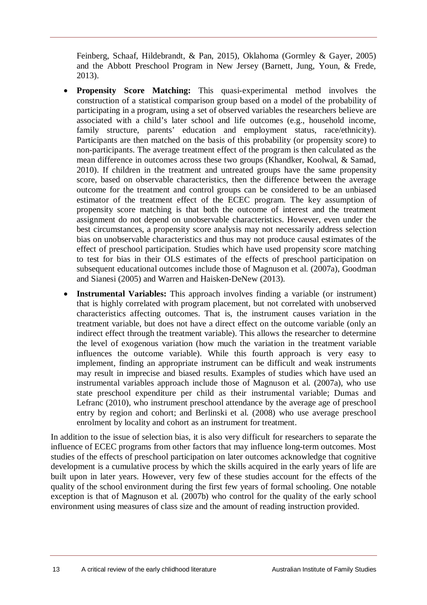Feinberg, Schaaf, Hildebrandt, & Pan, 2015), Oklahoma (Gormley & Gayer, 2005) and the Abbott Preschool Program in New Jersey (Barnett, Jung, Youn, & Frede, 2013).

- **Propensity Score Matching:** This quasi-experimental method involves the construction of a statistical comparison group based on a model of the probability of participating in a program, using a set of observed variables the researchers believe are associated with a child's later school and life outcomes (e.g., household income, family structure, parents' education and employment status, race/ethnicity). Participants are then matched on the basis of this probability (or propensity score) to non-participants. The average treatment effect of the program is then calculated as the mean difference in outcomes across these two groups (Khandker, Koolwal, & Samad, 2010). If children in the treatment and untreated groups have the same propensity score, based on observable characteristics, then the difference between the average outcome for the treatment and control groups can be considered to be an unbiased estimator of the treatment effect of the ECEC program. The key assumption of propensity score matching is that both the outcome of interest and the treatment assignment do not depend on unobservable characteristics. However, even under the best circumstances, a propensity score analysis may not necessarily address selection bias on unobservable characteristics and thus may not produce causal estimates of the effect of preschool participation. Studies which have used propensity score matching to test for bias in their OLS estimates of the effects of preschool participation on subsequent educational outcomes include those of Magnuson et al. (2007a), Goodman and Sianesi (2005) and Warren and Haisken-DeNew (2013).
- **Instrumental Variables:** This approach involves finding a variable (or instrument) that is highly correlated with program placement, but not correlated with unobserved characteristics affecting outcomes. That is, the instrument causes variation in the treatment variable, but does not have a direct effect on the outcome variable (only an indirect effect through the treatment variable). This allows the researcher to determine the level of exogenous variation (how much the variation in the treatment variable influences the outcome variable). While this fourth approach is very easy to implement, finding an appropriate instrument can be difficult and weak instruments may result in imprecise and biased results. Examples of studies which have used an instrumental variables approach include those of Magnuson et al. (2007a), who use state preschool expenditure per child as their instrumental variable; Dumas and Lefranc (2010), who instrument preschool attendance by the average age of preschool entry by region and cohort; and Berlinski et al. (2008) who use average preschool enrolment by locality and cohort as an instrument for treatment.

In addition to the issue of selection bias, it is also very difficult for researchers to separate the influence of ECEC programs from other factors that may influence long-term outcomes. Most studies of the effects of preschool participation on later outcomes acknowledge that cognitive development is a cumulative process by which the skills acquired in the early years of life are built upon in later years. However, very few of these studies account for the effects of the quality of the school environment during the first few years of formal schooling. One notable exception is that of Magnuson et al. (2007b) who control for the quality of the early school environment using measures of class size and the amount of reading instruction provided.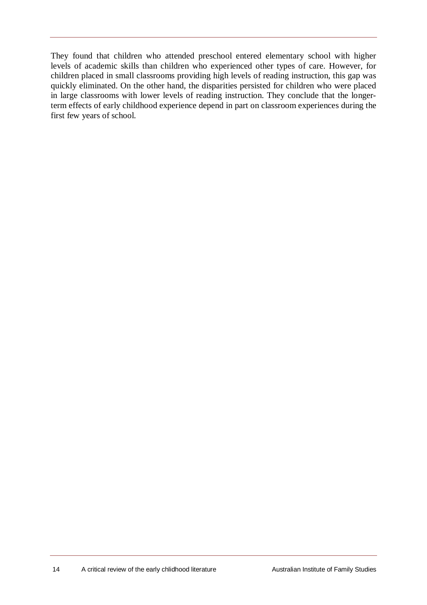They found that children who attended preschool entered elementary school with higher levels of academic skills than children who experienced other types of care. However, for children placed in small classrooms providing high levels of reading instruction, this gap was quickly eliminated. On the other hand, the disparities persisted for children who were placed in large classrooms with lower levels of reading instruction. They conclude that the longerterm effects of early childhood experience depend in part on classroom experiences during the first few years of school.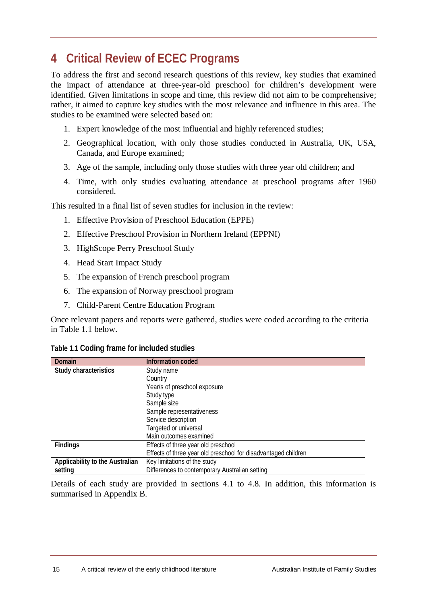# **4 Critical Review of ECEC Programs**

To address the first and second research questions of this review, key studies that examined the impact of attendance at three-year-old preschool for children's development were identified. Given limitations in scope and time, this review did not aim to be comprehensive; rather, it aimed to capture key studies with the most relevance and influence in this area. The studies to be examined were selected based on:

- 1. Expert knowledge of the most influential and highly referenced studies;
- 2. Geographical location, with only those studies conducted in Australia, UK, USA, Canada, and Europe examined;
- 3. Age of the sample, including only those studies with three year old children; and
- 4. Time, with only studies evaluating attendance at preschool programs after 1960 considered.

This resulted in a final list of seven studies for inclusion in the review:

- 1. Effective Provision of Preschool Education (EPPE)
- 2. Effective Preschool Provision in Northern Ireland (EPPNI)
- 3. HighScope Perry Preschool Study
- 4. Head Start Impact Study
- 5. The expansion of French preschool program
- 6. The expansion of Norway preschool program
- 7. Child-Parent Centre Education Program

Once relevant papers and reports were gathered, studies were coded according to the criteria in Table 1.1 below.

| <b>Domain</b>                          | <b>Information coded</b>                                       |
|----------------------------------------|----------------------------------------------------------------|
| <b>Study characteristics</b>           | Study name                                                     |
|                                        | Country                                                        |
|                                        | Year/s of preschool exposure                                   |
|                                        | Study type                                                     |
|                                        | Sample size                                                    |
|                                        | Sample representativeness                                      |
|                                        | Service description                                            |
|                                        | Targeted or universal                                          |
|                                        | Main outcomes examined                                         |
| <b>Findings</b>                        | Effects of three year old preschool                            |
|                                        | Effects of three year old preschool for disadvantaged children |
| <b>Applicability to the Australian</b> | Key limitations of the study                                   |
| setting                                | Differences to contemporary Australian setting                 |

|  |  | Table 1.1 Coding frame for included studies |
|--|--|---------------------------------------------|
|--|--|---------------------------------------------|

Details of each study are provided in sections 4.1 to 4.8. In addition, this information is summarised in Appendix B.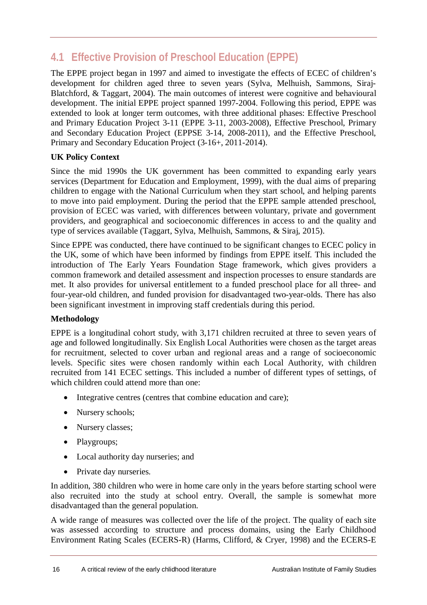# **4.1 Effective Provision of Preschool Education (EPPE)**

The EPPE project began in 1997 and aimed to investigate the effects of ECEC of children's development for children aged three to seven years (Sylva, Melhuish, Sammons, Siraj-Blatchford, & Taggart, 2004). The main outcomes of interest were cognitive and behavioural development. The initial EPPE project spanned 1997-2004. Following this period, EPPE was extended to look at longer term outcomes, with three additional phases: Effective Preschool and Primary Education Project 3-11 (EPPE 3-11, 2003-2008), Effective Preschool, Primary and Secondary Education Project (EPPSE 3-14, 2008-2011), and the Effective Preschool, Primary and Secondary Education Project (3-16+, 2011-2014).

# **UK Policy Context**

Since the mid 1990s the UK government has been committed to expanding early years services (Department for Education and Employment, 1999), with the dual aims of preparing children to engage with the National Curriculum when they start school, and helping parents to move into paid employment. During the period that the EPPE sample attended preschool, provision of ECEC was varied, with differences between voluntary, private and government providers, and geographical and socioeconomic differences in access to and the quality and type of services available (Taggart, Sylva, Melhuish, Sammons, & Siraj, 2015).

Since EPPE was conducted, there have continued to be significant changes to ECEC policy in the UK, some of which have been informed by findings from EPPE itself. This included the introduction of The Early Years Foundation Stage framework, which gives providers a common framework and detailed assessment and inspection processes to ensure standards are met. It also provides for universal entitlement to a funded preschool place for all three- and four-year-old children, and funded provision for disadvantaged two-year-olds. There has also been significant investment in improving staff credentials during this period.

# **Methodology**

EPPE is a longitudinal cohort study, with 3,171 children recruited at three to seven years of age and followed longitudinally. Six English Local Authorities were chosen as the target areas for recruitment, selected to cover urban and regional areas and a range of socioeconomic levels. Specific sites were chosen randomly within each Local Authority, with children recruited from 141 ECEC settings. This included a number of different types of settings, of which children could attend more than one:

- Integrative centres (centres that combine education and care);
- Nursery schools;
- Nursery classes;
- Playgroups;
- Local authority day nurseries; and
- Private day nurseries.

In addition, 380 children who were in home care only in the years before starting school were also recruited into the study at school entry. Overall, the sample is somewhat more disadvantaged than the general population.

A wide range of measures was collected over the life of the project. The quality of each site was assessed according to structure and process domains, using the Early Childhood Environment Rating Scales (ECERS-R) (Harms, Clifford, & Cryer, 1998) and the ECERS-E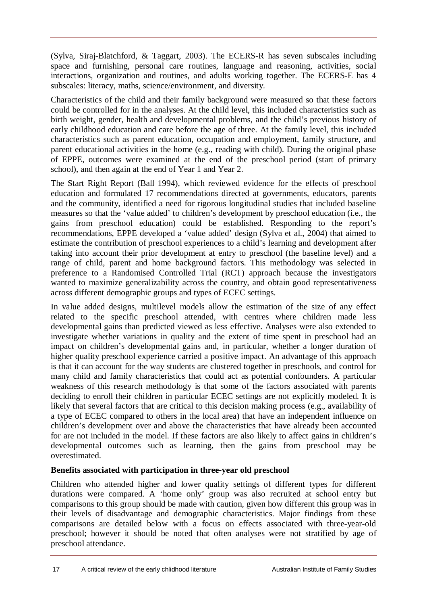(Sylva, Siraj-Blatchford, & Taggart, 2003). The ECERS-R has seven subscales including space and furnishing, personal care routines, language and reasoning, activities, social interactions, organization and routines, and adults working together. The ECERS-E has 4 subscales: literacy, maths, science/environment, and diversity.

Characteristics of the child and their family background were measured so that these factors could be controlled for in the analyses. At the child level, this included characteristics such as birth weight, gender, health and developmental problems, and the child's previous history of early childhood education and care before the age of three. At the family level, this included characteristics such as parent education, occupation and employment, family structure, and parent educational activities in the home (e.g., reading with child). During the original phase of EPPE, outcomes were examined at the end of the preschool period (start of primary school), and then again at the end of Year 1 and Year 2.

The Start Right Report (Ball 1994), which reviewed evidence for the effects of preschool education and formulated 17 recommendations directed at governments, educators, parents and the community, identified a need for rigorous longitudinal studies that included baseline measures so that the 'value added' to children's development by preschool education (i.e., the gains from preschool education) could be established. Responding to the report's recommendations, EPPE developed a 'value added' design (Sylva et al., 2004) that aimed to estimate the contribution of preschool experiences to a child's learning and development after taking into account their prior development at entry to preschool (the baseline level) and a range of child, parent and home background factors. This methodology was selected in preference to a Randomised Controlled Trial (RCT) approach because the investigators wanted to maximize generalizability across the country, and obtain good representativeness across different demographic groups and types of ECEC settings.

In value added designs, multilevel models allow the estimation of the size of any effect related to the specific preschool attended, with centres where children made less developmental gains than predicted viewed as less effective. Analyses were also extended to investigate whether variations in quality and the extent of time spent in preschool had an impact on children's developmental gains and, in particular, whether a longer duration of higher quality preschool experience carried a positive impact. An advantage of this approach is that it can account for the way students are clustered together in preschools, and control for many child and family characteristics that could act as potential confounders. A particular weakness of this research methodology is that some of the factors associated with parents deciding to enroll their children in particular ECEC settings are not explicitly modeled. It is likely that several factors that are critical to this decision making process (e.g., availability of a type of ECEC compared to others in the local area) that have an independent influence on children's development over and above the characteristics that have already been accounted for are not included in the model. If these factors are also likely to affect gains in children's developmental outcomes such as learning, then the gains from preschool may be overestimated.

## **Benefits associated with participation in three-year old preschool**

Children who attended higher and lower quality settings of different types for different durations were compared. A 'home only' group was also recruited at school entry but comparisons to this group should be made with caution, given how different this group was in their levels of disadvantage and demographic characteristics. Major findings from these comparisons are detailed below with a focus on effects associated with three-year-old preschool; however it should be noted that often analyses were not stratified by age of preschool attendance.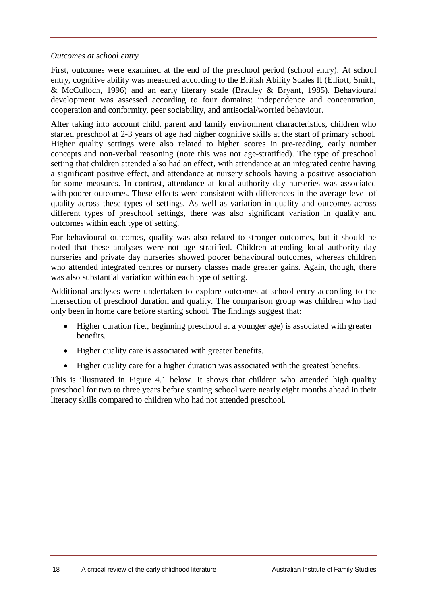#### *Outcomes at school entry*

First, outcomes were examined at the end of the preschool period (school entry). At school entry, cognitive ability was measured according to the British Ability Scales II (Elliott, Smith, & McCulloch, 1996) and an early literary scale (Bradley & Bryant, 1985). Behavioural development was assessed according to four domains: independence and concentration, cooperation and conformity, peer sociability, and antisocial/worried behaviour.

After taking into account child, parent and family environment characteristics, children who started preschool at 2-3 years of age had higher cognitive skills at the start of primary school. Higher quality settings were also related to higher scores in pre-reading, early number concepts and non-verbal reasoning (note this was not age-stratified). The type of preschool setting that children attended also had an effect, with attendance at an integrated centre having a significant positive effect, and attendance at nursery schools having a positive association for some measures. In contrast, attendance at local authority day nurseries was associated with poorer outcomes. These effects were consistent with differences in the average level of quality across these types of settings. As well as variation in quality and outcomes across different types of preschool settings, there was also significant variation in quality and outcomes within each type of setting.

For behavioural outcomes, quality was also related to stronger outcomes, but it should be noted that these analyses were not age stratified. Children attending local authority day nurseries and private day nurseries showed poorer behavioural outcomes, whereas children who attended integrated centres or nursery classes made greater gains. Again, though, there was also substantial variation within each type of setting.

Additional analyses were undertaken to explore outcomes at school entry according to the intersection of preschool duration and quality. The comparison group was children who had only been in home care before starting school. The findings suggest that:

- Higher duration (i.e., beginning preschool at a younger age) is associated with greater benefits.
- Higher quality care is associated with greater benefits.
- Higher quality care for a higher duration was associated with the greatest benefits.

This is illustrated in Figure 4.1 below. It shows that children who attended high quality preschool for two to three years before starting school were nearly eight months ahead in their literacy skills compared to children who had not attended preschool.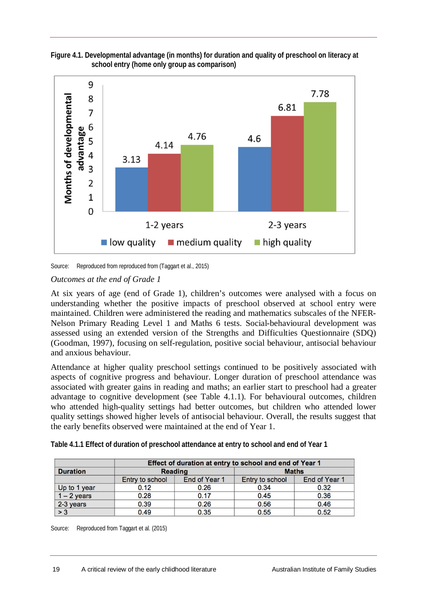



Source: Reproduced from reproduced from (Taggart et al., 2015)

#### *Outcomes at the end of Grade 1*

At six years of age (end of Grade 1), children's outcomes were analysed with a focus on understanding whether the positive impacts of preschool observed at school entry were maintained. Children were administered the reading and mathematics subscales of the NFER-Nelson Primary Reading Level 1 and Maths 6 tests. Social-behavioural development was assessed using an extended version of the Strengths and Difficulties Questionnaire (SDQ) (Goodman, 1997), focusing on self-regulation, positive social behaviour, antisocial behaviour and anxious behaviour.

Attendance at higher quality preschool settings continued to be positively associated with aspects of cognitive progress and behaviour. Longer duration of preschool attendance was associated with greater gains in reading and maths; an earlier start to preschool had a greater advantage to cognitive development (see Table 4.1.1). For behavioural outcomes, children who attended high-quality settings had better outcomes, but children who attended lower quality settings showed higher levels of antisocial behaviour. Overall, the results suggest that the early benefits observed were maintained at the end of Year 1.

| Table 4.1.1 Effect of duration of preschool attendance at entry to school and end of Year 1 |
|---------------------------------------------------------------------------------------------|
|---------------------------------------------------------------------------------------------|

|                 | Effect of duration at entry to school and end of Year 1 |                |                 |               |  |
|-----------------|---------------------------------------------------------|----------------|-----------------|---------------|--|
| <b>Duration</b> |                                                         | <b>Reading</b> | <b>Maths</b>    |               |  |
|                 | Entry to school                                         | End of Year 1  | Entry to school | End of Year 1 |  |
| Up to 1 year    | 0.12                                                    | 0.26           | 0.34            | 0.32          |  |
| $1 - 2$ years   | 0.28                                                    | 0.17           | 0.45            | 0.36          |  |
| 2-3 years       | 0.39                                                    | 0.26           | 0.56            | 0.46          |  |
| $\overline{>3}$ | 0.49                                                    | 0.35           | 0.55            | 0.52          |  |

Source: Reproduced from Taggart et al. (2015)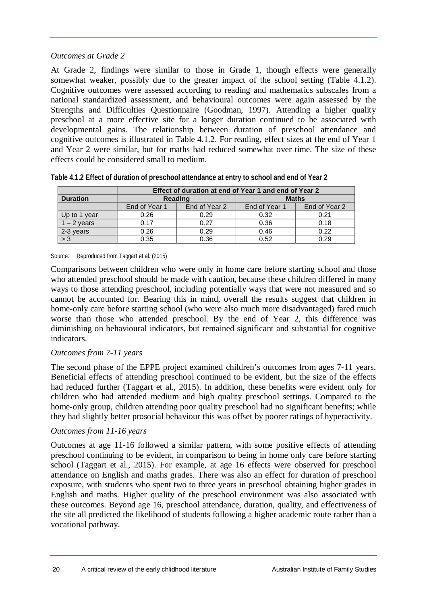## *Outcomes at Grade 2*

At Grade 2, findings were similar to those in Grade 1, though effects were generally somewhat weaker, possibly due to the greater impact of the school setting (Table 4.1.2). Cognitive outcomes were assessed according to reading and mathematics subscales from a national standardized assessment, and behavioural outcomes were again assessed by the Strengths and Difficulties Questionnaire (Goodman, 1997). Attending a higher quality preschool at a more effective site for a longer duration continued to be associated with developmental gains. The relationship between duration of preschool attendance and cognitive outcomes is illustrated in Table 4.1.2. For reading, effect sizes at the end of Year 1 and Year 2 were similar, but for maths had reduced somewhat over time. The size of these effects could be considered small to medium.

|                 | Effect of duration at end of Year 1 and end of Year 2 |               |               |               |  |
|-----------------|-------------------------------------------------------|---------------|---------------|---------------|--|
| <b>Duration</b> | Reading                                               |               | <b>Maths</b>  |               |  |
|                 | End of Year 1                                         | End of Year 2 | End of Year 1 | End of Year 2 |  |
| Up to 1 year    | 0.26                                                  | 0.29          | 0.32          | 0.21          |  |
| $1 - 2$ years   | 0.17                                                  | 0.27          | 0.36          | 0.18          |  |
| 2-3 years       | 0.26                                                  | 0.29          | 0.46          | 0.22          |  |
| $\overline{>3}$ | 0.35                                                  | 0.36          | 0.52          | 0.29          |  |

| Table 4.1.2 Effect of duration of preschool attendance at entry to school and end of Year 2 |  |
|---------------------------------------------------------------------------------------------|--|
|                                                                                             |  |

Source: Reproduced from Taggart et al. (2015)

Comparisons between children who were only in home care before starting school and those who attended preschool should be made with caution, because these children differed in many ways to those attending preschool, including potentially ways that were not measured and so cannot be accounted for. Bearing this in mind, overall the results suggest that children in home-only care before starting school (who were also much more disadvantaged) fared much worse than those who attended preschool. By the end of Year 2, this difference was diminishing on behavioural indicators, but remained significant and substantial for cognitive indicators.

## *Outcomes from 7-11 years*

The second phase of the EPPE project examined children's outcomes from ages 7-11 years. Beneficial effects of attending preschool continued to be evident, but the size of the effects had reduced further (Taggart et al., 2015). In addition, these benefits were evident only for children who had attended medium and high quality preschool settings. Compared to the home-only group, children attending poor quality preschool had no significant benefits; while they had slightly better prosocial behaviour this was offset by poorer ratings of hyperactivity.

## *Outcomes from 11-16 years*

Outcomes at age 11-16 followed a similar pattern, with some positive effects of attending preschool continuing to be evident, in comparison to being in home only care before starting school (Taggart et al., 2015). For example, at age 16 effects were observed for preschool attendance on English and maths grades. There was also an effect for duration of preschool exposure, with students who spent two to three years in preschool obtaining higher grades in English and maths. Higher quality of the preschool environment was also associated with these outcomes. Beyond age 16, preschool attendance, duration, quality, and effectiveness of the site all predicted the likelihood of students following a higher academic route rather than a vocational pathway.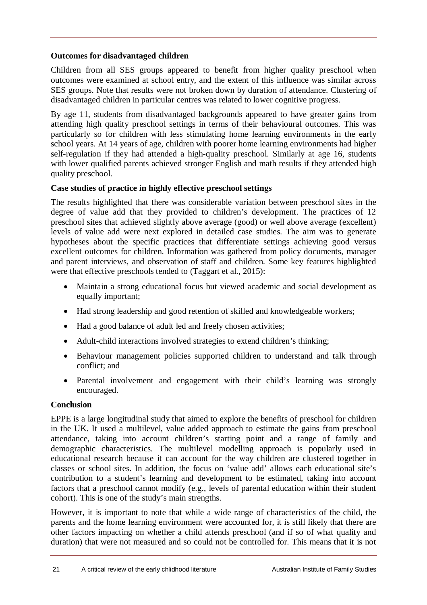## **Outcomes for disadvantaged children**

Children from all SES groups appeared to benefit from higher quality preschool when outcomes were examined at school entry, and the extent of this influence was similar across SES groups. Note that results were not broken down by duration of attendance. Clustering of disadvantaged children in particular centres was related to lower cognitive progress.

By age 11, students from disadvantaged backgrounds appeared to have greater gains from attending high quality preschool settings in terms of their behavioural outcomes. This was particularly so for children with less stimulating home learning environments in the early school years. At 14 years of age, children with poorer home learning environments had higher self-regulation if they had attended a high-quality preschool. Similarly at age 16, students with lower qualified parents achieved stronger English and math results if they attended high quality preschool.

## **Case studies of practice in highly effective preschool settings**

The results highlighted that there was considerable variation between preschool sites in the degree of value add that they provided to children's development. The practices of 12 preschool sites that achieved slightly above average (good) or well above average (excellent) levels of value add were next explored in detailed case studies. The aim was to generate hypotheses about the specific practices that differentiate settings achieving good versus excellent outcomes for children. Information was gathered from policy documents, manager and parent interviews, and observation of staff and children. Some key features highlighted were that effective preschools tended to (Taggart et al., 2015):

- Maintain a strong educational focus but viewed academic and social development as equally important;
- Had strong leadership and good retention of skilled and knowledgeable workers;
- Had a good balance of adult led and freely chosen activities;
- Adult-child interactions involved strategies to extend children's thinking;
- Behaviour management policies supported children to understand and talk through conflict; and
- Parental involvement and engagement with their child's learning was strongly encouraged.

## **Conclusion**

EPPE is a large longitudinal study that aimed to explore the benefits of preschool for children in the UK. It used a multilevel, value added approach to estimate the gains from preschool attendance, taking into account children's starting point and a range of family and demographic characteristics. The multilevel modelling approach is popularly used in educational research because it can account for the way children are clustered together in classes or school sites. In addition, the focus on 'value add' allows each educational site's contribution to a student's learning and development to be estimated, taking into account factors that a preschool cannot modify (e.g., levels of parental education within their student cohort). This is one of the study's main strengths.

However, it is important to note that while a wide range of characteristics of the child, the parents and the home learning environment were accounted for, it is still likely that there are other factors impacting on whether a child attends preschool (and if so of what quality and duration) that were not measured and so could not be controlled for. This means that it is not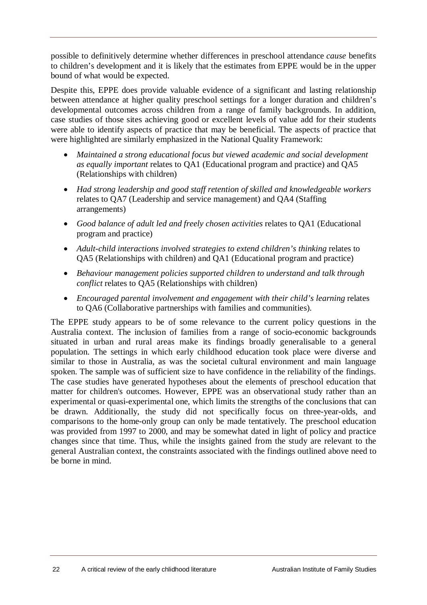possible to definitively determine whether differences in preschool attendance *cause* benefits to children's development and it is likely that the estimates from EPPE would be in the upper bound of what would be expected.

Despite this, EPPE does provide valuable evidence of a significant and lasting relationship between attendance at higher quality preschool settings for a longer duration and children's developmental outcomes across children from a range of family backgrounds. In addition, case studies of those sites achieving good or excellent levels of value add for their students were able to identify aspects of practice that may be beneficial. The aspects of practice that were highlighted are similarly emphasized in the National Quality Framework:

- *Maintained a strong educational focus but viewed academic and social development as equally important* relates to QA1 (Educational program and practice) and QA5 (Relationships with children)
- *Had strong leadership and good staff retention of skilled and knowledgeable workers* relates to QA7 (Leadership and service management) and QA4 (Staffing arrangements)
- *Good balance of adult led and freely chosen activities* relates to QA1 (Educational program and practice)
- *Adult-child interactions involved strategies to extend children's thinking* relates to QA5 (Relationships with children) and QA1 (Educational program and practice)
- *Behaviour management policies supported children to understand and talk through conflict* relates to QA5 (Relationships with children)
- *Encouraged parental involvement and engagement with their child's learning* relates to QA6 (Collaborative partnerships with families and communities).

The EPPE study appears to be of some relevance to the current policy questions in the Australia context. The inclusion of families from a range of socio-economic backgrounds situated in urban and rural areas make its findings broadly generalisable to a general population. The settings in which early childhood education took place were diverse and similar to those in Australia, as was the societal cultural environment and main language spoken. The sample was of sufficient size to have confidence in the reliability of the findings. The case studies have generated hypotheses about the elements of preschool education that matter for children's outcomes. However, EPPE was an observational study rather than an experimental or quasi-experimental one, which limits the strengths of the conclusions that can be drawn. Additionally, the study did not specifically focus on three-year-olds, and comparisons to the home-only group can only be made tentatively. The preschool education was provided from 1997 to 2000, and may be somewhat dated in light of policy and practice changes since that time. Thus, while the insights gained from the study are relevant to the general Australian context, the constraints associated with the findings outlined above need to be borne in mind.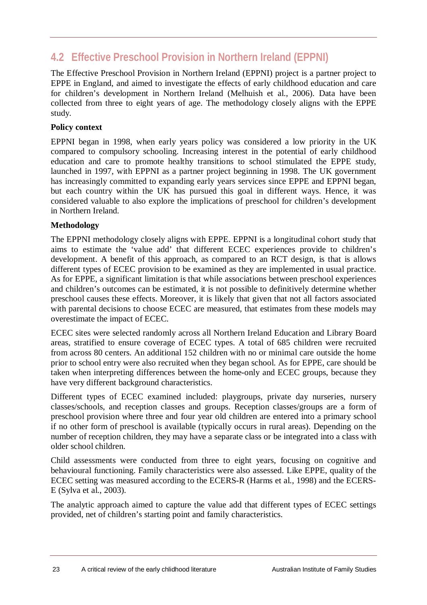# **4.2 Effective Preschool Provision in Northern Ireland (EPPNI)**

The Effective Preschool Provision in Northern Ireland (EPPNI) project is a partner project to EPPE in England, and aimed to investigate the effects of early childhood education and care for children's development in Northern Ireland (Melhuish et al., 2006). Data have been collected from three to eight years of age. The methodology closely aligns with the EPPE study.

# **Policy context**

EPPNI began in 1998, when early years policy was considered a low priority in the UK compared to compulsory schooling. Increasing interest in the potential of early childhood education and care to promote healthy transitions to school stimulated the EPPE study, launched in 1997, with EPPNI as a partner project beginning in 1998. The UK government has increasingly committed to expanding early years services since EPPE and EPPNI began, but each country within the UK has pursued this goal in different ways. Hence, it was considered valuable to also explore the implications of preschool for children's development in Northern Ireland.

# **Methodology**

The EPPNI methodology closely aligns with EPPE. EPPNI is a longitudinal cohort study that aims to estimate the 'value add' that different ECEC experiences provide to children's development. A benefit of this approach, as compared to an RCT design, is that is allows different types of ECEC provision to be examined as they are implemented in usual practice. As for EPPE, a significant limitation is that while associations between preschool experiences and children's outcomes can be estimated, it is not possible to definitively determine whether preschool causes these effects. Moreover, it is likely that given that not all factors associated with parental decisions to choose ECEC are measured, that estimates from these models may overestimate the impact of ECEC.

ECEC sites were selected randomly across all Northern Ireland Education and Library Board areas, stratified to ensure coverage of ECEC types. A total of 685 children were recruited from across 80 centers. An additional 152 children with no or minimal care outside the home prior to school entry were also recruited when they began school. As for EPPE, care should be taken when interpreting differences between the home-only and ECEC groups, because they have very different background characteristics.

Different types of ECEC examined included: playgroups, private day nurseries, nursery classes/schools, and reception classes and groups. Reception classes/groups are a form of preschool provision where three and four year old children are entered into a primary school if no other form of preschool is available (typically occurs in rural areas). Depending on the number of reception children, they may have a separate class or be integrated into a class with older school children.

Child assessments were conducted from three to eight years, focusing on cognitive and behavioural functioning. Family characteristics were also assessed. Like EPPE, quality of the ECEC setting was measured according to the ECERS-R (Harms et al., 1998) and the ECERS-E (Sylva et al., 2003).

The analytic approach aimed to capture the value add that different types of ECEC settings provided, net of children's starting point and family characteristics.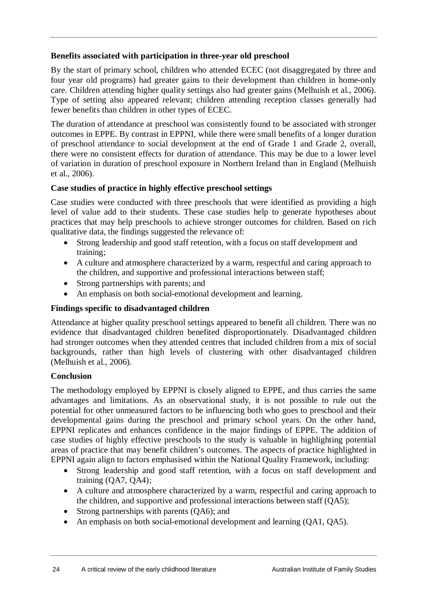## **Benefits associated with participation in three-year old preschool**

By the start of primary school, children who attended ECEC (not disaggregated by three and four year old programs) had greater gains to their development than children in home-only care. Children attending higher quality settings also had greater gains (Melhuish et al., 2006). Type of setting also appeared relevant; children attending reception classes generally had fewer benefits than children in other types of ECEC.

The duration of attendance at preschool was consistently found to be associated with stronger outcomes in EPPE. By contrast in EPPNI, while there were small benefits of a longer duration of preschool attendance to social development at the end of Grade 1 and Grade 2, overall, there were no consistent effects for duration of attendance. This may be due to a lower level of variation in duration of preschool exposure in Northern Ireland than in England (Melhuish et al., 2006).

## **Case studies of practice in highly effective preschool settings**

Case studies were conducted with three preschools that were identified as providing a high level of value add to their students. These case studies help to generate hypotheses about practices that may help preschools to achieve stronger outcomes for children. Based on rich qualitative data, the findings suggested the relevance of:

- Strong leadership and good staff retention, with a focus on staff development and training;
- A culture and atmosphere characterized by a warm, respectful and caring approach to the children, and supportive and professional interactions between staff;
- Strong partnerships with parents; and
- An emphasis on both social-emotional development and learning.

# **Findings specific to disadvantaged children**

Attendance at higher quality preschool settings appeared to benefit all children. There was no evidence that disadvantaged children benefited disproportionately. Disadvantaged children had stronger outcomes when they attended centres that included children from a mix of social backgrounds, rather than high levels of clustering with other disadvantaged children (Melhuish et al., 2006).

# **Conclusion**

The methodology employed by EPPNI is closely aligned to EPPE, and thus carries the same advantages and limitations. As an observational study, it is not possible to rule out the potential for other unmeasured factors to be influencing both who goes to preschool and their developmental gains during the preschool and primary school years. On the other hand, EPPNI replicates and enhances confidence in the major findings of EPPE. The addition of case studies of highly effective preschools to the study is valuable in highlighting potential areas of practice that may benefit children's outcomes. The aspects of practice highlighted in EPPNI again align to factors emphasised within the National Quality Framework, including:

- Strong leadership and good staff retention, with a focus on staff development and training (QA7, QA4);
- A culture and atmosphere characterized by a warm, respectful and caring approach to the children, and supportive and professional interactions between staff (QA5);
- Strong partnerships with parents (QA6); and
- An emphasis on both social-emotional development and learning (QA1, QA5).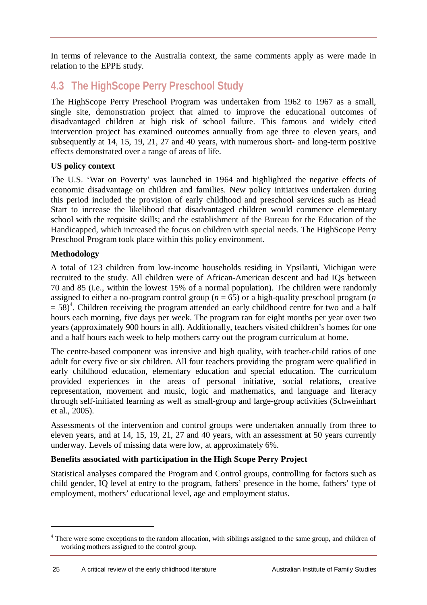In terms of relevance to the Australia context, the same comments apply as were made in relation to the EPPE study.

# **4.3 The HighScope Perry Preschool Study**

The HighScope Perry Preschool Program was undertaken from 1962 to 1967 as a small, single site, demonstration project that aimed to improve the educational outcomes of disadvantaged children at high risk of school failure. This famous and widely cited intervention project has examined outcomes annually from age three to eleven years, and subsequently at 14, 15, 19, 21, 27 and 40 years, with numerous short- and long-term positive effects demonstrated over a range of areas of life.

# **US policy context**

The U.S. 'War on Poverty' was launched in 1964 and highlighted the negative effects of economic disadvantage on children and families. New policy initiatives undertaken during this period included the provision of early childhood and preschool services such as Head Start to increase the likelihood that disadvantaged children would commence elementary school with the requisite skills; and the establishment of the Bureau for the Education of the Handicapped, which increased the focus on children with special needs. The HighScope Perry Preschool Program took place within this policy environment.

# **Methodology**

 $\ddot{\phantom{a}}$ 

A total of 123 children from low-income households residing in Ypsilanti, Michigan were recruited to the study. All children were of African-American descent and had IQs between 70 and 85 (i.e., within the lowest 15% of a normal population). The children were randomly assigned to either a no-program control group (*n* = 65) or a high-quality preschool program (*n*   $= 58$ <sup>4</sup>. Children receiving the program attended an early childhood centre for two and a half hours each morning, five days per week. The program ran for eight months per year over two years (approximately 900 hours in all). Additionally, teachers visited children's homes for one and a half hours each week to help mothers carry out the program curriculum at home.

The centre-based component was intensive and high quality, with teacher-child ratios of one adult for every five or six children. All four teachers providing the program were qualified in early childhood education, elementary education and special education. The curriculum provided experiences in the areas of personal initiative, social relations, creative representation, movement and music, logic and mathematics, and language and literacy through self-initiated learning as well as small-group and large-group activities (Schweinhart et al., 2005).

Assessments of the intervention and control groups were undertaken annually from three to eleven years, and at 14, 15, 19, 21, 27 and 40 years, with an assessment at 50 years currently underway. Levels of missing data were low, at approximately 6%.

# **Benefits associated with participation in the High Scope Perry Project**

Statistical analyses compared the Program and Control groups, controlling for factors such as child gender, IQ level at entry to the program, fathers' presence in the home, fathers' type of employment, mothers' educational level, age and employment status.

<sup>&</sup>lt;sup>4</sup> There were some exceptions to the random allocation, with siblings assigned to the same group, and children of working mothers assigned to the control group.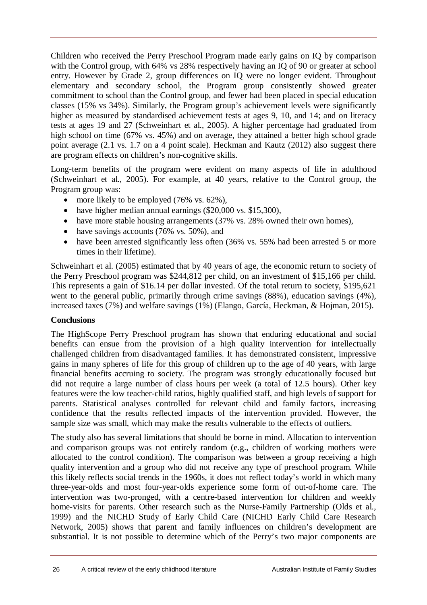Children who received the Perry Preschool Program made early gains on IQ by comparison with the Control group, with 64% vs 28% respectively having an IQ of 90 or greater at school entry. However by Grade 2, group differences on IQ were no longer evident. Throughout elementary and secondary school, the Program group consistently showed greater commitment to school than the Control group, and fewer had been placed in special education classes (15% vs 34%). Similarly, the Program group's achievement levels were significantly higher as measured by standardised achievement tests at ages 9, 10, and 14; and on literacy tests at ages 19 and 27 (Schweinhart et al., 2005). A higher percentage had graduated from high school on time (67% vs. 45%) and on average, they attained a better high school grade point average (2.1 vs. 1.7 on a 4 point scale). Heckman and Kautz (2012) also suggest there are program effects on children's non-cognitive skills.

Long-term benefits of the program were evident on many aspects of life in adulthood (Schweinhart et al., 2005). For example, at 40 years, relative to the Control group, the Program group was:

- more likely to be employed  $(76\% \text{ vs. } 62\%),$
- have higher median annual earnings (\$20,000 vs. \$15,300).
- have more stable housing arrangements (37% vs. 28% owned their own homes),
- have savings accounts (76% vs. 50%), and
- have been arrested significantly less often (36% vs. 55% had been arrested 5 or more times in their lifetime).

Schweinhart et al. (2005) estimated that by 40 years of age, the economic return to society of the Perry Preschool program was \$244,812 per child, on an investment of \$15,166 per child. This represents a gain of \$16.14 per dollar invested. Of the total return to society, \$195,621 went to the general public, primarily through crime savings (88%), education savings (4%), increased taxes (7%) and welfare savings (1%) (Elango, García, Heckman, & Hojman, 2015).

## **Conclusions**

The HighScope Perry Preschool program has shown that enduring educational and social benefits can ensue from the provision of a high quality intervention for intellectually challenged children from disadvantaged families. It has demonstrated consistent, impressive gains in many spheres of life for this group of children up to the age of 40 years, with large financial benefits accruing to society. The program was strongly educationally focused but did not require a large number of class hours per week (a total of 12.5 hours). Other key features were the low teacher-child ratios, highly qualified staff, and high levels of support for parents. Statistical analyses controlled for relevant child and family factors, increasing confidence that the results reflected impacts of the intervention provided. However, the sample size was small, which may make the results vulnerable to the effects of outliers.

The study also has several limitations that should be borne in mind. Allocation to intervention and comparison groups was not entirely random (e.g., children of working mothers were allocated to the control condition). The comparison was between a group receiving a high quality intervention and a group who did not receive any type of preschool program. While this likely reflects social trends in the 1960s, it does not reflect today's world in which many three-year-olds and most four-year-olds experience some form of out-of-home care. The intervention was two-pronged, with a centre-based intervention for children and weekly home-visits for parents. Other research such as the Nurse-Family Partnership (Olds et al., 1999) and the NICHD Study of Early Child Care (NICHD Early Child Care Research Network, 2005) shows that parent and family influences on children's development are substantial. It is not possible to determine which of the Perry's two major components are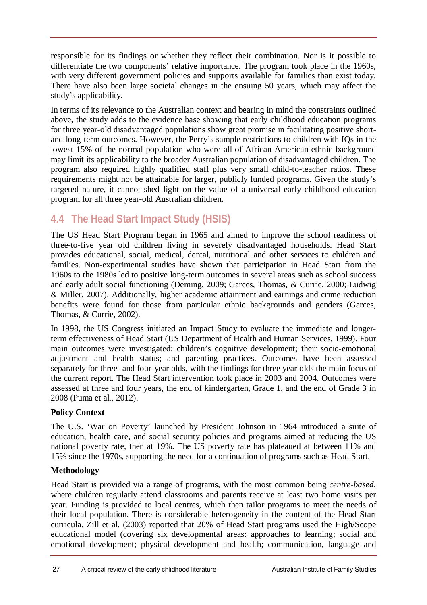responsible for its findings or whether they reflect their combination. Nor is it possible to differentiate the two components' relative importance. The program took place in the 1960s, with very different government policies and supports available for families than exist today. There have also been large societal changes in the ensuing 50 years, which may affect the study's applicability.

In terms of its relevance to the Australian context and bearing in mind the constraints outlined above, the study adds to the evidence base showing that early childhood education programs for three year-old disadvantaged populations show great promise in facilitating positive shortand long-term outcomes. However, the Perry's sample restrictions to children with IQs in the lowest 15% of the normal population who were all of African-American ethnic background may limit its applicability to the broader Australian population of disadvantaged children. The program also required highly qualified staff plus very small child-to-teacher ratios. These requirements might not be attainable for larger, publicly funded programs. Given the study's targeted nature, it cannot shed light on the value of a universal early childhood education program for all three year-old Australian children.

# **4.4 The Head Start Impact Study (HSIS)**

The US Head Start Program began in 1965 and aimed to improve the school readiness of three-to-five year old children living in severely disadvantaged households. Head Start provides educational, social, medical, dental, nutritional and other services to children and families. Non-experimental studies have shown that participation in Head Start from the 1960s to the 1980s led to positive long-term outcomes in several areas such as school success and early adult social functioning (Deming, 2009; Garces, Thomas, & Currie, 2000; Ludwig & Miller, 2007). Additionally, higher academic attainment and earnings and crime reduction benefits were found for those from particular ethnic backgrounds and genders (Garces, Thomas, & Currie, 2002).

In 1998, the US Congress initiated an Impact Study to evaluate the immediate and longerterm effectiveness of Head Start (US Department of Health and Human Services, 1999). Four main outcomes were investigated: children's cognitive development; their socio-emotional adjustment and health status; and parenting practices. Outcomes have been assessed separately for three- and four-year olds, with the findings for three year olds the main focus of the current report. The Head Start intervention took place in 2003 and 2004. Outcomes were assessed at three and four years, the end of kindergarten, Grade 1, and the end of Grade 3 in 2008 (Puma et al., 2012).

# **Policy Context**

The U.S. 'War on Poverty' launched by President Johnson in 1964 introduced a suite of education, health care, and social security policies and programs aimed at reducing the US national poverty rate, then at 19%. The US poverty rate has plateaued at between 11% and 15% since the 1970s, supporting the need for a continuation of programs such as Head Start.

# **Methodology**

Head Start is provided via a range of programs, with the most common being *centre-based*, where children regularly attend classrooms and parents receive at least two home visits per year. Funding is provided to local centres, which then tailor programs to meet the needs of their local population. There is considerable heterogeneity in the content of the Head Start curricula. Zill et al. (2003) reported that 20% of Head Start programs used the High/Scope educational model (covering six developmental areas: approaches to learning; social and emotional development; physical development and health; communication, language and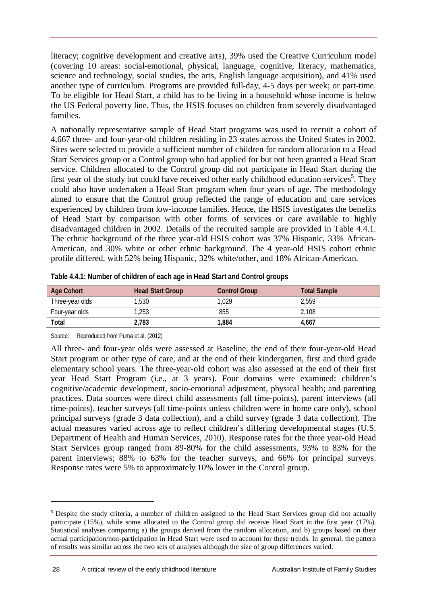literacy; cognitive development and creative arts), 39% used the Creative Curriculum model (covering 10 areas: social-emotional, physical, language, cognitive, literacy, mathematics, science and technology, social studies, the arts, English language acquisition), and 41% used another type of curriculum. Programs are provided full-day, 4-5 days per week; or part-time. To be eligible for Head Start, a child has to be living in a household whose income is below the US Federal poverty line. Thus, the HSIS focuses on children from severely disadvantaged families.

A nationally representative sample of Head Start programs was used to recruit a cohort of 4,667 three- and four-year-old children residing in 23 states across the United States in 2002. Sites were selected to provide a sufficient number of children for random allocation to a Head Start Services group or a Control group who had applied for but not been granted a Head Start service. Children allocated to the Control group did not participate in Head Start during the first year of the study but could have received other early childhood education services<sup>5</sup>. They could also have undertaken a Head Start program when four years of age. The methodology aimed to ensure that the Control group reflected the range of education and care services experienced by children from low-income families. Hence, the HSIS investigates the benefits of Head Start by comparison with other forms of services or care available to highly disadvantaged children in 2002. Details of the recruited sample are provided in Table 4.4.1. The ethnic background of the three year-old HSIS cohort was 37% Hispanic, 33% African-American, and 30% white or other ethnic background. The 4 year-old HSIS cohort ethnic profile differed, with 52% being Hispanic, 32% white/other, and 18% African-American.

| <b>Age Cohort</b> | <b>Head Start Group</b> | <b>Control Group</b> | <b>Total Sample</b> |
|-------------------|-------------------------|----------------------|---------------------|
| Three-year olds   | 1,530                   | .029                 | 2.559               |
| Four-year olds    | 1,253                   | 855                  | 2.108               |
| <b>Total</b>      | 2,783                   | 1.884                | 4.667               |

**Table 4.4.1: Number of children of each age in Head Start and Control groups**

Source: Reproduced from Puma et al. (2012)

 $\overline{a}$ 

All three- and four-year olds were assessed at Baseline, the end of their four-year-old Head Start program or other type of care, and at the end of their kindergarten, first and third grade elementary school years. The three-year-old cohort was also assessed at the end of their first year Head Start Program (i.e., at 3 years). Four domains were examined: children's cognitive/academic development, socio-emotional adjustment, physical health; and parenting practices. Data sources were direct child assessments (all time-points), parent interviews (all time-points), teacher surveys (all time-points unless children were in home care only), school principal surveys (grade 3 data collection), and a child survey (grade 3 data collection). The actual measures varied across age to reflect children's differing developmental stages (U.S. Department of Health and Human Services, 2010). Response rates for the three year-old Head Start Services group ranged from 89-80% for the child assessments, 93% to 83% for the parent interviews; 88% to 63% for the teacher surveys, and 66% for principal surveys. Response rates were 5% to approximately 10% lower in the Control group.

<sup>&</sup>lt;sup>5</sup> Despite the study criteria, a number of children assigned to the Head Start Services group did not actually participate (15%), while some allocated to the Control group did receive Head Start in the first year (17%). Statistical analyses comparing a) the groups derived from the random allocation, and b) groups based on their actual participation/non-participation in Head Start were used to account for these trends. In general, the pattern of results was similar across the two sets of analyses although the size of group differences varied.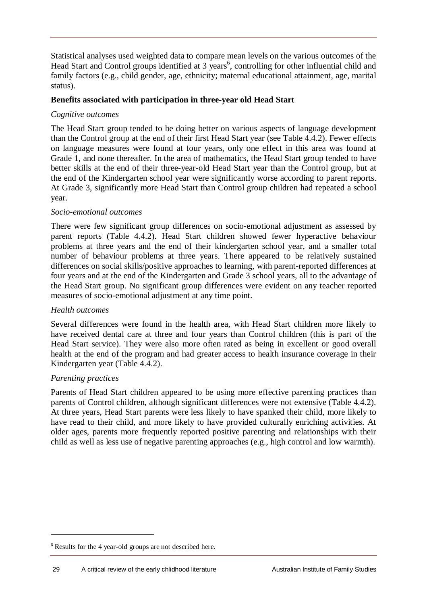Statistical analyses used weighted data to compare mean levels on the various outcomes of the Head Start and Control groups identified at 3 years<sup>6</sup>, controlling for other influential child and family factors (e.g., child gender, age, ethnicity; maternal educational attainment, age, marital status).

## **Benefits associated with participation in three-year old Head Start**

## *Cognitive outcomes*

The Head Start group tended to be doing better on various aspects of language development than the Control group at the end of their first Head Start year (see Table 4.4.2). Fewer effects on language measures were found at four years, only one effect in this area was found at Grade 1, and none thereafter. In the area of mathematics, the Head Start group tended to have better skills at the end of their three-year-old Head Start year than the Control group, but at the end of the Kindergarten school year were significantly worse according to parent reports. At Grade 3, significantly more Head Start than Control group children had repeated a school year.

## *Socio-emotional outcomes*

There were few significant group differences on socio-emotional adjustment as assessed by parent reports (Table 4.4.2). Head Start children showed fewer hyperactive behaviour problems at three years and the end of their kindergarten school year, and a smaller total number of behaviour problems at three years. There appeared to be relatively sustained differences on social skills/positive approaches to learning, with parent-reported differences at four years and at the end of the Kindergarten and Grade 3 school years, all to the advantage of the Head Start group. No significant group differences were evident on any teacher reported measures of socio-emotional adjustment at any time point.

## *Health outcomes*

Several differences were found in the health area, with Head Start children more likely to have received dental care at three and four years than Control children (this is part of the Head Start service). They were also more often rated as being in excellent or good overall health at the end of the program and had greater access to health insurance coverage in their Kindergarten year (Table 4.4.2).

## *Parenting practices*

 $\overline{a}$ 

Parents of Head Start children appeared to be using more effective parenting practices than parents of Control children, although significant differences were not extensive (Table 4.4.2). At three years, Head Start parents were less likely to have spanked their child, more likely to have read to their child, and more likely to have provided culturally enriching activities. At older ages, parents more frequently reported positive parenting and relationships with their child as well as less use of negative parenting approaches (e.g., high control and low warmth).

<sup>6</sup> Results for the 4 year-old groups are not described here.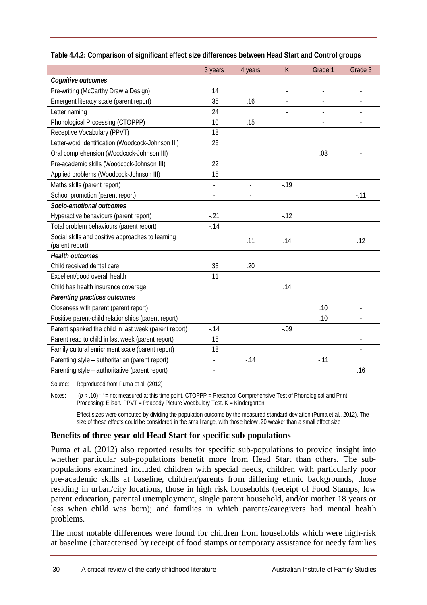|                                                       | 3 years        | 4 years | K      | Grade 1 | Grade 3 |
|-------------------------------------------------------|----------------|---------|--------|---------|---------|
| <b>Cognitive outcomes</b>                             |                |         |        |         |         |
| Pre-writing (McCarthy Draw a Design)                  | .14            |         |        |         |         |
| Emergent literacy scale (parent report)               | .35            | .16     |        |         |         |
| Letter naming                                         | .24            |         |        |         |         |
| Phonological Processing (CTOPPP)                      | .10            | .15     |        |         |         |
| Receptive Vocabulary (PPVT)                           | .18            |         |        |         |         |
| Letter-word identification (Woodcock-Johnson III)     | .26            |         |        |         |         |
| Oral comprehension (Woodcock-Johnson III)             |                |         |        | .08     |         |
| Pre-academic skills (Woodcock-Johnson III)            | .22            |         |        |         |         |
| Applied problems (Woodcock-Johnson III)               | .15            |         |        |         |         |
| Maths skills (parent report)                          | $\blacksquare$ |         | $-19$  |         |         |
| School promotion (parent report)                      |                |         |        |         | $-11$   |
| Socio-emotional outcomes                              |                |         |        |         |         |
| Hyperactive behaviours (parent report)                | $-21$          |         | $-12$  |         |         |
| Total problem behaviours (parent report)              | $-14$          |         |        |         |         |
| Social skills and positive approaches to learning     |                |         |        |         |         |
| (parent report)                                       |                | .11     | .14    |         | .12     |
| <b>Health outcomes</b>                                |                |         |        |         |         |
| Child received dental care                            | .33            | .20     |        |         |         |
| Excellent/good overall health                         | .11            |         |        |         |         |
| Child has health insurance coverage                   |                |         | .14    |         |         |
| <b>Parenting practices outcomes</b>                   |                |         |        |         |         |
| Closeness with parent (parent report)                 |                |         |        | .10     |         |
| Positive parent-child relationships (parent report)   |                |         |        | .10     |         |
| Parent spanked the child in last week (parent report) | $-14$          |         | $-.09$ |         |         |
| Parent read to child in last week (parent report)     | .15            |         |        |         |         |
| Family cultural enrichment scale (parent report)      | .18            |         |        |         |         |
| Parenting style - authoritarian (parent report)       | $\blacksquare$ | $-14$   |        | $-11$   |         |
| Parenting style - authoritative (parent report)       |                |         |        |         | .16     |

#### **Table 4.4.2: Comparison of significant effect size differences between Head Start and Control groups**

Source: Reproduced from Puma et al. (2012)

Notes: (*p* < .10) '-' = not measured at this time point*.* CTOPPP = Preschool Comprehensive Test of Phonological and Print Processing: Elison*.* PPVT = Peabody Picture Vocabulary Test. K = Kindergarten

Effect sizes were computed by dividing the population outcome by the measured standard deviation (Puma et al., 2012). The size of these effects could be considered in the small range, with those below .20 weaker than a small effect size

## **Benefits of three-year-old Head Start for specific sub-populations**

Puma et al. (2012) also reported results for specific sub-populations to provide insight into whether particular sub-populations benefit more from Head Start than others. The subpopulations examined included children with special needs, children with particularly poor pre-academic skills at baseline, children/parents from differing ethnic backgrounds, those residing in urban/city locations, those in high risk households (receipt of Food Stamps, low parent education, parental unemployment, single parent household, and/or mother 18 years or less when child was born); and families in which parents/caregivers had mental health problems.

The most notable differences were found for children from households which were high-risk at baseline (characterised by receipt of food stamps or temporary assistance for needy families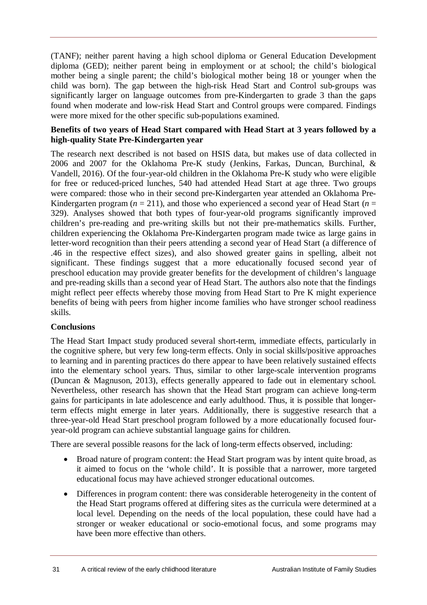(TANF); neither parent having a high school diploma or General Education Development diploma (GED); neither parent being in employment or at school; the child's biological mother being a single parent; the child's biological mother being 18 or younger when the child was born). The gap between the high-risk Head Start and Control sub-groups was significantly larger on language outcomes from pre-Kindergarten to grade 3 than the gaps found when moderate and low-risk Head Start and Control groups were compared. Findings were more mixed for the other specific sub-populations examined.

## **Benefits of two years of Head Start compared with Head Start at 3 years followed by a high-quality State Pre-Kindergarten year**

The research next described is not based on HSIS data, but makes use of data collected in 2006 and 2007 for the Oklahoma Pre-K study (Jenkins, Farkas, Duncan, Burchinal, & Vandell, 2016). Of the four-year-old children in the Oklahoma Pre-K study who were eligible for free or reduced-priced lunches, 540 had attended Head Start at age three. Two groups were compared: those who in their second pre-Kindergarten year attended an Oklahoma Pre-Kindergarten program ( $n = 211$ ), and those who experienced a second year of Head Start ( $n =$ 329). Analyses showed that both types of four-year-old programs significantly improved children's pre-reading and pre-writing skills but not their pre-mathematics skills. Further, children experiencing the Oklahoma Pre-Kindergarten program made twice as large gains in letter-word recognition than their peers attending a second year of Head Start (a difference of .46 in the respective effect sizes), and also showed greater gains in spelling, albeit not significant. These findings suggest that a more educationally focused second year of preschool education may provide greater benefits for the development of children's language and pre-reading skills than a second year of Head Start. The authors also note that the findings might reflect peer effects whereby those moving from Head Start to Pre K might experience benefits of being with peers from higher income families who have stronger school readiness skills.

## **Conclusions**

The Head Start Impact study produced several short-term, immediate effects, particularly in the cognitive sphere, but very few long-term effects. Only in social skills/positive approaches to learning and in parenting practices do there appear to have been relatively sustained effects into the elementary school years. Thus, similar to other large-scale intervention programs (Duncan & Magnuson, 2013), effects generally appeared to fade out in elementary school. Nevertheless, other research has shown that the Head Start program can achieve long-term gains for participants in late adolescence and early adulthood. Thus, it is possible that longerterm effects might emerge in later years. Additionally, there is suggestive research that a three-year-old Head Start preschool program followed by a more educationally focused fouryear-old program can achieve substantial language gains for children.

There are several possible reasons for the lack of long-term effects observed, including:

- Broad nature of program content: the Head Start program was by intent quite broad, as it aimed to focus on the 'whole child'. It is possible that a narrower, more targeted educational focus may have achieved stronger educational outcomes.
- Differences in program content: there was considerable heterogeneity in the content of the Head Start programs offered at differing sites as the curricula were determined at a local level. Depending on the needs of the local population, these could have had a stronger or weaker educational or socio-emotional focus, and some programs may have been more effective than others.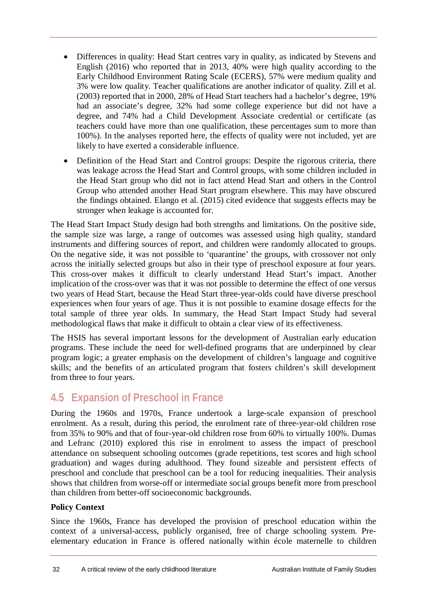- Differences in quality: Head Start centres vary in quality, as indicated by Stevens and English (2016) who reported that in 2013, 40% were high quality according to the Early Childhood Environment Rating Scale (ECERS), 57% were medium quality and 3% were low quality. Teacher qualifications are another indicator of quality. Zill et al. (2003) reported that in 2000, 28% of Head Start teachers had a bachelor's degree, 19% had an associate's degree, 32% had some college experience but did not have a degree, and 74% had a Child Development Associate credential or certificate (as teachers could have more than one qualification, these percentages sum to more than 100%). In the analyses reported here, the effects of quality were not included, yet are likely to have exerted a considerable influence.
- Definition of the Head Start and Control groups: Despite the rigorous criteria, there was leakage across the Head Start and Control groups, with some children included in the Head Start group who did not in fact attend Head Start and others in the Control Group who attended another Head Start program elsewhere. This may have obscured the findings obtained. Elango et al. (2015) cited evidence that suggests effects may be stronger when leakage is accounted for.

The Head Start Impact Study design had both strengths and limitations. On the positive side, the sample size was large, a range of outcomes was assessed using high quality, standard instruments and differing sources of report, and children were randomly allocated to groups. On the negative side, it was not possible to 'quarantine' the groups, with crossover not only across the initially selected groups but also in their type of preschool exposure at four years. This cross-over makes it difficult to clearly understand Head Start's impact. Another implication of the cross-over was that it was not possible to determine the effect of one versus two years of Head Start, because the Head Start three-year-olds could have diverse preschool experiences when four years of age. Thus it is not possible to examine dosage effects for the total sample of three year olds. In summary, the Head Start Impact Study had several methodological flaws that make it difficult to obtain a clear view of its effectiveness.

The HSIS has several important lessons for the development of Australian early education programs. These include the need for well-defined programs that are underpinned by clear program logic; a greater emphasis on the development of children's language and cognitive skills; and the benefits of an articulated program that fosters children's skill development from three to four years.

# **4.5 Expansion of Preschool in France**

During the 1960s and 1970s, France undertook a large-scale expansion of preschool enrolment. As a result, during this period, the enrolment rate of three-year-old children rose from 35% to 90% and that of four-year-old children rose from 60% to virtually 100%. Dumas and Lefranc (2010) explored this rise in enrolment to assess the impact of preschool attendance on subsequent schooling outcomes (grade repetitions, test scores and high school graduation) and wages during adulthood. They found sizeable and persistent effects of preschool and conclude that preschool can be a tool for reducing inequalities. Their analysis shows that children from worse-off or intermediate social groups benefit more from preschool than children from better-off socioeconomic backgrounds.

### **Policy Context**

Since the 1960s, France has developed the provision of preschool education within the context of a universal-access, publicly organised, free of charge schooling system. Preelementary education in France is offered nationally within école maternelle to children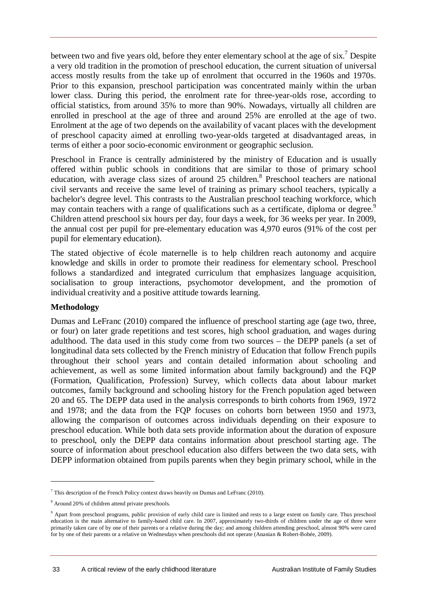between two and five years old, before they enter elementary school at the age of six.<sup>7</sup> Despite a very old tradition in the promotion of preschool education, the current situation of universal access mostly results from the take up of enrolment that occurred in the 1960s and 1970s. Prior to this expansion, preschool participation was concentrated mainly within the urban lower class. During this period, the enrolment rate for three-year-olds rose, according to official statistics, from around 35% to more than 90%. Nowadays, virtually all children are enrolled in preschool at the age of three and around 25% are enrolled at the age of two. Enrolment at the age of two depends on the availability of vacant places with the development of preschool capacity aimed at enrolling two-year-olds targeted at disadvantaged areas, in terms of either a poor socio-economic environment or geographic seclusion.

Preschool in France is centrally administered by the ministry of Education and is usually offered within public schools in conditions that are similar to those of primary school education, with average class sizes of around 25 children.<sup>8</sup> Preschool teachers are national civil servants and receive the same level of training as primary school teachers, typically a bachelor's degree level. This contrasts to the Australian preschool teaching workforce, which may contain teachers with a range of qualifications such as a certificate, diploma or degree.<sup>9</sup> Children attend preschool six hours per day, four days a week, for 36 weeks per year. In 2009, the annual cost per pupil for pre-elementary education was 4,970 euros (91% of the cost per pupil for elementary education).

The stated objective of école maternelle is to help children reach autonomy and acquire knowledge and skills in order to promote their readiness for elementary school. Preschool follows a standardized and integrated curriculum that emphasizes language acquisition, socialisation to group interactions, psychomotor development, and the promotion of individual creativity and a positive attitude towards learning.

#### **Methodology**

 $\ddot{\phantom{a}}$ 

Dumas and LeFranc (2010) compared the influence of preschool starting age (age two, three, or four) on later grade repetitions and test scores, high school graduation, and wages during adulthood. The data used in this study come from two sources – the DEPP panels (a set of longitudinal data sets collected by the French ministry of Education that follow French pupils throughout their school years and contain detailed information about schooling and achievement, as well as some limited information about family background) and the FQP (Formation, Qualification, Profession) Survey, which collects data about labour market outcomes, family background and schooling history for the French population aged between 20 and 65. The DEPP data used in the analysis corresponds to birth cohorts from 1969, 1972 and 1978; and the data from the FQP focuses on cohorts born between 1950 and 1973, allowing the comparison of outcomes across individuals depending on their exposure to preschool education. While both data sets provide information about the duration of exposure to preschool, only the DEPP data contains information about preschool starting age. The source of information about preschool education also differs between the two data sets, with DEPP information obtained from pupils parents when they begin primary school, while in the

 $7$  This description of the French Policy context draws heavily on Dumas and LeFranc (2010).

<sup>8</sup> Around 20% of children attend private preschools.

<sup>9</sup> Apart from preschool programs, public provision of early child care is limited and rests to a large extent on family care. Thus preschool education is the main alternative to family-based child care. In 2007, approximately two-thirds of children under the age of three were primarily taken care of by one of their parents or a relative during the day; and among children attending preschool, almost 90% were cared for by one of their parents or a relative on Wednesdays when preschools did not operate (Ananian & Robert-Bobée, 2009).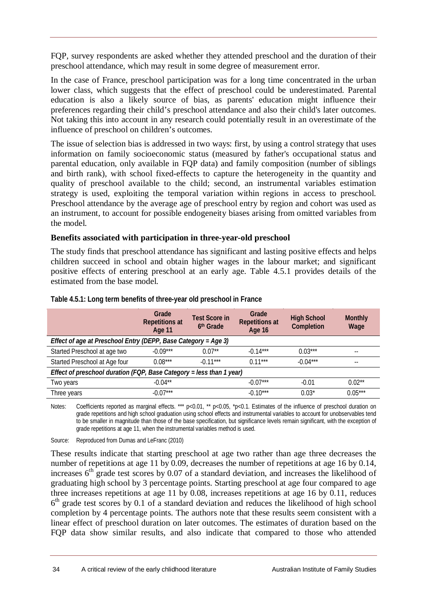FQP, survey respondents are asked whether they attended preschool and the duration of their preschool attendance, which may result in some degree of measurement error.

In the case of France, preschool participation was for a long time concentrated in the urban lower class, which suggests that the effect of preschool could be underestimated. Parental education is also a likely source of bias, as parents' education might influence their preferences regarding their child's preschool attendance and also their child's later outcomes. Not taking this into account in any research could potentially result in an overestimate of the influence of preschool on children's outcomes.

The issue of selection bias is addressed in two ways: first, by using a control strategy that uses information on family socioeconomic status (measured by father's occupational status and parental education, only available in FQP data) and family composition (number of siblings and birth rank), with school fixed-effects to capture the heterogeneity in the quantity and quality of preschool available to the child; second, an instrumental variables estimation strategy is used, exploiting the temporal variation within regions in access to preschool. Preschool attendance by the average age of preschool entry by region and cohort was used as an instrument, to account for possible endogeneity biases arising from omitted variables from the model.

#### **Benefits associated with participation in three-year-old preschool**

The study finds that preschool attendance has significant and lasting positive effects and helps children succeed in school and obtain higher wages in the labour market; and significant positive effects of entering preschool at an early age. Table 4.5.1 provides details of the estimated from the base model.

|                                                                      | Grade<br><b>Repetitions at</b><br>Age 11 | <b>Test Score in</b><br>6th Grade | Grade<br><b>Repetitions at</b><br><b>Age 16</b> | <b>High School</b><br><b>Completion</b> | <b>Monthly</b><br>Wage |  |  |  |  |  |  |
|----------------------------------------------------------------------|------------------------------------------|-----------------------------------|-------------------------------------------------|-----------------------------------------|------------------------|--|--|--|--|--|--|
| Effect of age at Preschool Entry (DEPP, Base Category = Age 3)       |                                          |                                   |                                                 |                                         |                        |  |  |  |  |  |  |
| Started Preschool at age two                                         | $-0.09***$                               | $0.07**$                          | $-0.14***$                                      | $0.03***$                               | $- -$                  |  |  |  |  |  |  |
| Started Preschool at Age four                                        | $0.08***$                                | $-0.11***$                        | $0.11***$                                       | $-0.04***$                              | --                     |  |  |  |  |  |  |
| Effect of preschool duration (FQP, Base Category = less than 1 year) |                                          |                                   |                                                 |                                         |                        |  |  |  |  |  |  |
| Two years                                                            | $-0.04**$                                |                                   | $-0.07***$                                      | $-0.01$                                 | $0.02**$               |  |  |  |  |  |  |
| Three years                                                          | $-0.07***$                               |                                   | $-0.10***$                                      | $0.03*$                                 | $0.05***$              |  |  |  |  |  |  |

#### **Table 4.5.1: Long term benefits of three-year old preschool in France**

Notes: Coefficients reported as marginal effects. \*\*\* p<0.01, \*\* p<0.05, \*p<0.1. Estimates of the influence of preschool duration on grade repetitions and high school graduation using school effects and instrumental variables to account for unobservables tend to be smaller in magnitude than those of the base specification, but significance levels remain significant, with the exception of grade repetitions at age 11, when the instrumental variables method is used.

Source: Reproduced from Dumas and LeFranc (2010)

These results indicate that starting preschool at age two rather than age three decreases the number of repetitions at age 11 by 0.09, decreases the number of repetitions at age 16 by 0.14. increases  $6<sup>th</sup>$  grade test scores by 0.07 of a standard deviation, and increases the likelihood of graduating high school by 3 percentage points. Starting preschool at age four compared to age three increases repetitions at age 11 by 0.08, increases repetitions at age 16 by 0.11, reduces 6<sup>th</sup> grade test scores by 0.1 of a standard deviation and reduces the likelihood of high school completion by 4 percentage points. The authors note that these results seem consistent with a linear effect of preschool duration on later outcomes. The estimates of duration based on the FQP data show similar results, and also indicate that compared to those who attended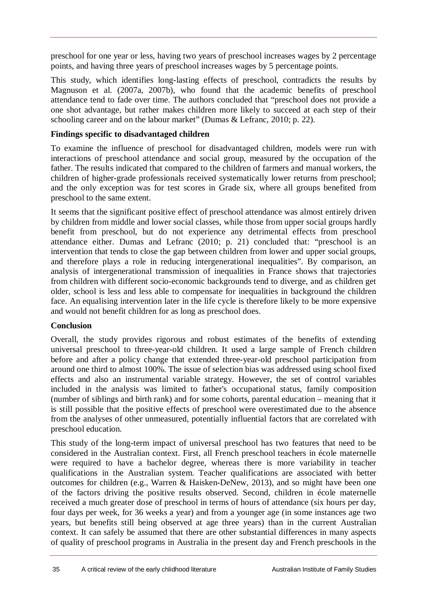preschool for one year or less, having two years of preschool increases wages by 2 percentage points, and having three years of preschool increases wages by 5 percentage points.

This study, which identifies long-lasting effects of preschool, contradicts the results by Magnuson et al. (2007a, 2007b), who found that the academic benefits of preschool attendance tend to fade over time. The authors concluded that "preschool does not provide a one shot advantage, but rather makes children more likely to succeed at each step of their schooling career and on the labour market" (Dumas & Lefranc, 2010; p. 22).

### **Findings specific to disadvantaged children**

To examine the influence of preschool for disadvantaged children, models were run with interactions of preschool attendance and social group, measured by the occupation of the father. The results indicated that compared to the children of farmers and manual workers, the children of higher-grade professionals received systematically lower returns from preschool; and the only exception was for test scores in Grade six, where all groups benefited from preschool to the same extent.

It seems that the significant positive effect of preschool attendance was almost entirely driven by children from middle and lower social classes, while those from upper social groups hardly benefit from preschool, but do not experience any detrimental effects from preschool attendance either. Dumas and Lefranc (2010; p. 21) concluded that: "preschool is an intervention that tends to close the gap between children from lower and upper social groups, and therefore plays a role in reducing intergenerational inequalities". By comparison, an analysis of intergenerational transmission of inequalities in France shows that trajectories from children with different socio-economic backgrounds tend to diverge, and as children get older, school is less and less able to compensate for inequalities in background the children face. An equalising intervention later in the life cycle is therefore likely to be more expensive and would not benefit children for as long as preschool does.

### **Conclusion**

Overall, the study provides rigorous and robust estimates of the benefits of extending universal preschool to three-year-old children. It used a large sample of French children before and after a policy change that extended three-year-old preschool participation from around one third to almost 100%. The issue of selection bias was addressed using school fixed effects and also an instrumental variable strategy. However, the set of control variables included in the analysis was limited to father's occupational status, family composition (number of siblings and birth rank) and for some cohorts, parental education – meaning that it is still possible that the positive effects of preschool were overestimated due to the absence from the analyses of other unmeasured, potentially influential factors that are correlated with preschool education.

This study of the long-term impact of universal preschool has two features that need to be considered in the Australian context. First, all French preschool teachers in école maternelle were required to have a bachelor degree, whereas there is more variability in teacher qualifications in the Australian system. Teacher qualifications are associated with better outcomes for children (e.g., Warren & Haisken-DeNew, 2013), and so might have been one of the factors driving the positive results observed. Second, children in école maternelle received a much greater dose of preschool in terms of hours of attendance (six hours per day, four days per week, for 36 weeks a year) and from a younger age (in some instances age two years, but benefits still being observed at age three years) than in the current Australian context. It can safely be assumed that there are other substantial differences in many aspects of quality of preschool programs in Australia in the present day and French preschools in the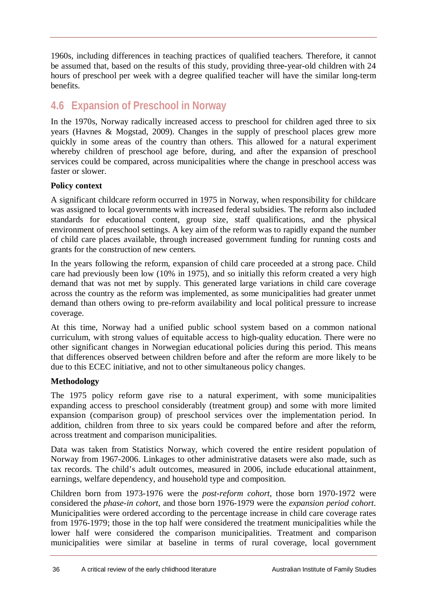1960s, including differences in teaching practices of qualified teachers. Therefore, it cannot be assumed that, based on the results of this study, providing three-year-old children with 24 hours of preschool per week with a degree qualified teacher will have the similar long-term benefits.

# **4.6 Expansion of Preschool in Norway**

In the 1970s, Norway radically increased access to preschool for children aged three to six years (Havnes & Mogstad, 2009). Changes in the supply of preschool places grew more quickly in some areas of the country than others. This allowed for a natural experiment whereby children of preschool age before, during, and after the expansion of preschool services could be compared, across municipalities where the change in preschool access was faster or slower.

#### **Policy context**

A significant childcare reform occurred in 1975 in Norway, when responsibility for childcare was assigned to local governments with increased federal subsidies. The reform also included standards for educational content, group size, staff qualifications, and the physical environment of preschool settings. A key aim of the reform was to rapidly expand the number of child care places available, through increased government funding for running costs and grants for the construction of new centers.

In the years following the reform, expansion of child care proceeded at a strong pace. Child care had previously been low (10% in 1975), and so initially this reform created a very high demand that was not met by supply. This generated large variations in child care coverage across the country as the reform was implemented, as some municipalities had greater unmet demand than others owing to pre-reform availability and local political pressure to increase coverage.

At this time, Norway had a unified public school system based on a common national curriculum, with strong values of equitable access to high-quality education. There were no other significant changes in Norwegian educational policies during this period. This means that differences observed between children before and after the reform are more likely to be due to this ECEC initiative, and not to other simultaneous policy changes.

### **Methodology**

The 1975 policy reform gave rise to a natural experiment, with some municipalities expanding access to preschool considerably (treatment group) and some with more limited expansion (comparison group) of preschool services over the implementation period. In addition, children from three to six years could be compared before and after the reform, across treatment and comparison municipalities.

Data was taken from Statistics Norway, which covered the entire resident population of Norway from 1967-2006. Linkages to other administrative datasets were also made, such as tax records. The child's adult outcomes, measured in 2006, include educational attainment, earnings, welfare dependency, and household type and composition.

Children born from 1973-1976 were the *post-reform cohort*, those born 1970-1972 were considered the *phase-in cohort*, and those born 1976-1979 were the *expansion period cohort*. Municipalities were ordered according to the percentage increase in child care coverage rates from 1976-1979; those in the top half were considered the treatment municipalities while the lower half were considered the comparison municipalities. Treatment and comparison municipalities were similar at baseline in terms of rural coverage, local government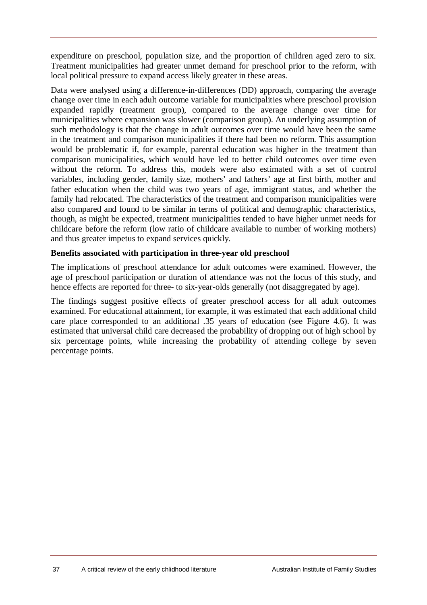expenditure on preschool, population size, and the proportion of children aged zero to six. Treatment municipalities had greater unmet demand for preschool prior to the reform, with local political pressure to expand access likely greater in these areas.

Data were analysed using a difference-in-differences (DD) approach, comparing the average change over time in each adult outcome variable for municipalities where preschool provision expanded rapidly (treatment group), compared to the average change over time for municipalities where expansion was slower (comparison group). An underlying assumption of such methodology is that the change in adult outcomes over time would have been the same in the treatment and comparison municipalities if there had been no reform. This assumption would be problematic if, for example, parental education was higher in the treatment than comparison municipalities, which would have led to better child outcomes over time even without the reform. To address this, models were also estimated with a set of control variables, including gender, family size, mothers' and fathers' age at first birth, mother and father education when the child was two years of age, immigrant status, and whether the family had relocated. The characteristics of the treatment and comparison municipalities were also compared and found to be similar in terms of political and demographic characteristics, though, as might be expected, treatment municipalities tended to have higher unmet needs for childcare before the reform (low ratio of childcare available to number of working mothers) and thus greater impetus to expand services quickly.

#### **Benefits associated with participation in three-year old preschool**

The implications of preschool attendance for adult outcomes were examined. However, the age of preschool participation or duration of attendance was not the focus of this study, and hence effects are reported for three- to six-year-olds generally (not disaggregated by age).

The findings suggest positive effects of greater preschool access for all adult outcomes examined. For educational attainment, for example, it was estimated that each additional child care place corresponded to an additional .35 years of education (see Figure 4.6). It was estimated that universal child care decreased the probability of dropping out of high school by six percentage points, while increasing the probability of attending college by seven percentage points.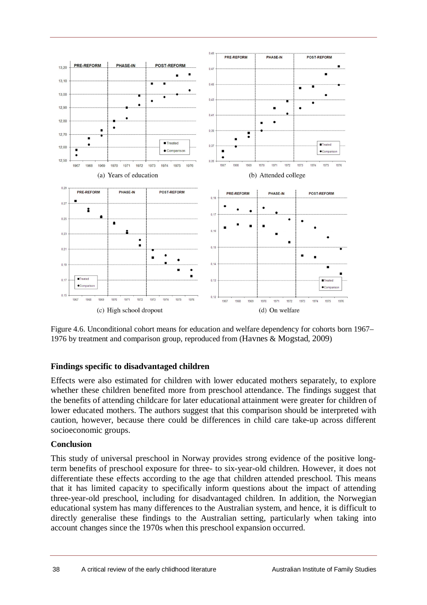

Figure 4.6. Unconditional cohort means for education and welfare dependency for cohorts born 1967– 1976 by treatment and comparison group, reproduced from (Havnes & Mogstad, 2009)

### **Findings specific to disadvantaged children**

Effects were also estimated for children with lower educated mothers separately, to explore whether these children benefited more from preschool attendance. The findings suggest that the benefits of attending childcare for later educational attainment were greater for children of lower educated mothers. The authors suggest that this comparison should be interpreted with caution, however, because there could be differences in child care take-up across different socioeconomic groups.

#### **Conclusion**

This study of universal preschool in Norway provides strong evidence of the positive longterm benefits of preschool exposure for three- to six-year-old children. However, it does not differentiate these effects according to the age that children attended preschool. This means that it has limited capacity to specifically inform questions about the impact of attending three-year-old preschool, including for disadvantaged children. In addition, the Norwegian educational system has many differences to the Australian system, and hence, it is difficult to directly generalise these findings to the Australian setting, particularly when taking into account changes since the 1970s when this preschool expansion occurred.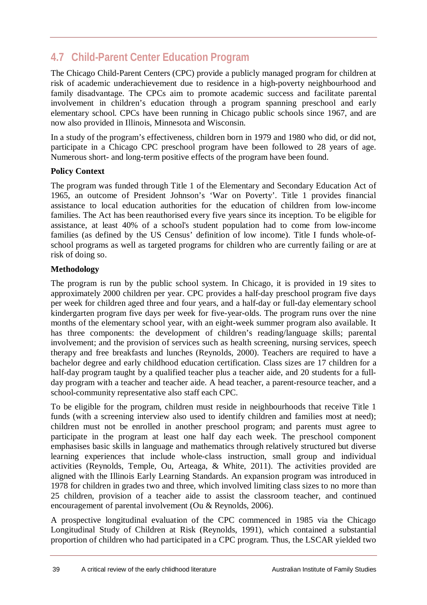# **4.7 Child-Parent Center Education Program**

The Chicago Child-Parent Centers (CPC) provide a publicly managed program for children at risk of academic underachievement due to residence in a high-poverty neighbourhood and family disadvantage. The CPCs aim to promote academic success and facilitate parental involvement in children's education through a program spanning preschool and early elementary school. CPCs have been running in Chicago public schools since 1967, and are now also provided in Illinois, Minnesota and Wisconsin.

In a study of the program's effectiveness, children born in 1979 and 1980 who did, or did not, participate in a Chicago CPC preschool program have been followed to 28 years of age. Numerous short- and long-term positive effects of the program have been found.

### **Policy Context**

The program was funded through Title 1 of the Elementary and Secondary Education Act of 1965, an outcome of President Johnson's 'War on Poverty'. Title 1 provides financial assistance to local education authorities for the education of children from low-income families. The Act has been reauthorised every five years since its inception. To be eligible for assistance, at least 40% of a school's student population had to come from low-income families (as defined by the US Census' definition of low income). Title I funds whole-ofschool programs as well as targeted programs for children who are currently failing or are at risk of doing so.

#### **Methodology**

The program is run by the public school system. In Chicago, it is provided in 19 sites to approximately 2000 children per year. CPC provides a half-day preschool program five days per week for children aged three and four years, and a half-day or full-day elementary school kindergarten program five days per week for five-year-olds. The program runs over the nine months of the elementary school year, with an eight-week summer program also available. It has three components: the development of children's reading/language skills; parental involvement; and the provision of services such as health screening, nursing services, speech therapy and free breakfasts and lunches (Reynolds, 2000). Teachers are required to have a bachelor degree and early childhood education certification. Class sizes are 17 children for a half-day program taught by a qualified teacher plus a teacher aide, and 20 students for a fullday program with a teacher and teacher aide. A head teacher, a parent-resource teacher, and a school-community representative also staff each CPC.

To be eligible for the program, children must reside in neighbourhoods that receive Title 1 funds (with a screening interview also used to identify children and families most at need); children must not be enrolled in another preschool program; and parents must agree to participate in the program at least one half day each week. The preschool component emphasises basic skills in language and mathematics through relatively structured but diverse learning experiences that include whole-class instruction, small group and individual activities (Reynolds, Temple, Ou, Arteaga, & White, 2011). The activities provided are aligned with the Illinois Early Learning Standards. An expansion program was introduced in 1978 for children in grades two and three, which involved limiting class sizes to no more than 25 children, provision of a teacher aide to assist the classroom teacher, and continued encouragement of parental involvement (Ou & Reynolds, 2006).

A prospective longitudinal evaluation of the CPC commenced in 1985 via the Chicago Longitudinal Study of Children at Risk (Reynolds, 1991), which contained a substantial proportion of children who had participated in a CPC program. Thus, the LSCAR yielded two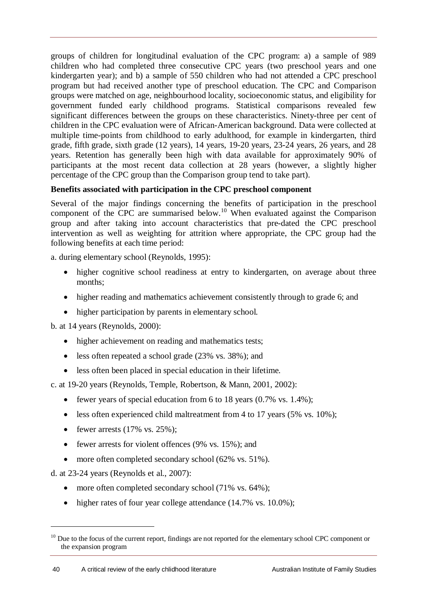groups of children for longitudinal evaluation of the CPC program: a) a sample of 989 children who had completed three consecutive CPC years (two preschool years and one kindergarten year); and b) a sample of 550 children who had not attended a CPC preschool program but had received another type of preschool education. The CPC and Comparison groups were matched on age, neighbourhood locality, socioeconomic status, and eligibility for government funded early childhood programs. Statistical comparisons revealed few significant differences between the groups on these characteristics. Ninety-three per cent of children in the CPC evaluation were of African-American background. Data were collected at multiple time-points from childhood to early adulthood, for example in kindergarten, third grade, fifth grade, sixth grade (12 years), 14 years, 19-20 years, 23-24 years, 26 years, and 28 years. Retention has generally been high with data available for approximately 90% of participants at the most recent data collection at 28 years (however, a slightly higher percentage of the CPC group than the Comparison group tend to take part).

### **Benefits associated with participation in the CPC preschool component**

Several of the major findings concerning the benefits of participation in the preschool component of the CPC are summarised below.<sup>10</sup> When evaluated against the Comparison group and after taking into account characteristics that pre-dated the CPC preschool intervention as well as weighting for attrition where appropriate, the CPC group had the following benefits at each time period:

a. during elementary school (Reynolds, 1995):

- higher cognitive school readiness at entry to kindergarten, on average about three months;
- higher reading and mathematics achievement consistently through to grade 6; and
- higher participation by parents in elementary school.

b. at 14 years (Reynolds, 2000):

- higher achievement on reading and mathematics tests;
- less often repeated a school grade (23% vs. 38%); and
- less often been placed in special education in their lifetime.
- c. at 19-20 years (Reynolds, Temple, Robertson, & Mann, 2001, 2002):
	- fewer years of special education from 6 to 18 years  $(0.7\% \text{ vs. } 1.4\%);$
	- $\bullet$  less often experienced child maltreatment from 4 to 17 years (5% vs. 10%);
	- fewer arrests  $(17\% \text{ vs. } 25\%)$ :
	- fewer arrests for violent offences  $(9\%$  vs. 15%); and
	- more often completed secondary school (62% vs. 51%).

d. at 23-24 years (Reynolds et al., 2007):

 $\ddot{\phantom{a}}$ 

- more often completed secondary school (71% vs. 64%);
- higher rates of four year college attendance (14.7% vs. 10.0%);

<sup>&</sup>lt;sup>10</sup> Due to the focus of the current report, findings are not reported for the elementary school CPC component or the expansion program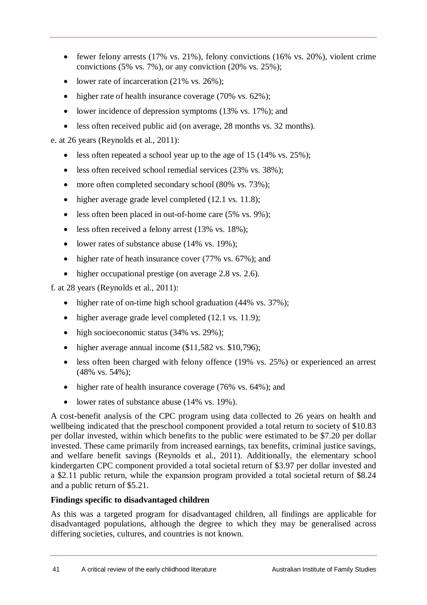- fewer felony arrests  $(17\% \text{ vs. } 21\%)$ , felony convictions  $(16\% \text{ vs. } 20\%)$ , violent crime convictions (5% vs. 7%), or any conviction (20% vs. 25%);
- lower rate of incarceration  $(21\% \text{ vs. } 26\%);$
- $\bullet$  higher rate of health insurance coverage (70% vs. 62%);
- lower incidence of depression symptoms  $(13\% \text{ vs. } 17\%);$  and
- less often received public aid (on average, 28 months vs. 32 months).

e. at 26 years (Reynolds et al., 2011):

- $\bullet$  less often repeated a school year up to the age of 15 (14% vs. 25%);
- less often received school remedial services (23% vs. 38%);
- more often completed secondary school (80% vs. 73%);
- higher average grade level completed (12.1 vs. 11.8);
- $\bullet$  less often been placed in out-of-home care (5% vs. 9%);
- less often received a felony arrest (13% vs. 18%);
- lower rates of substance abuse (14% vs. 19%);
- higher rate of heath insurance cover (77% vs. 67%); and
- higher occupational prestige (on average 2.8 vs. 2.6).

f. at 28 years (Reynolds et al., 2011):

- higher rate of on-time high school graduation (44% vs. 37%);
- higher average grade level completed (12.1 vs. 11.9);
- high socioeconomic status (34% vs. 29%);
- $\bullet$  higher average annual income (\$11,582 vs. \$10,796);
- less often been charged with felony offence (19% vs. 25%) or experienced an arrest (48% vs. 54%);
- higher rate of health insurance coverage (76% vs. 64%); and
- lower rates of substance abuse (14% vs. 19%).

A cost-benefit analysis of the CPC program using data collected to 26 years on health and wellbeing indicated that the preschool component provided a total return to society of \$10.83 per dollar invested, within which benefits to the public were estimated to be \$7.20 per dollar invested. These came primarily from increased earnings, tax benefits, criminal justice savings, and welfare benefit savings (Reynolds et al., 2011). Additionally, the elementary school kindergarten CPC component provided a total societal return of \$3.97 per dollar invested and a \$2.11 public return, while the expansion program provided a total societal return of \$8.24 and a public return of \$5.21.

### **Findings specific to disadvantaged children**

As this was a targeted program for disadvantaged children, all findings are applicable for disadvantaged populations, although the degree to which they may be generalised across differing societies, cultures, and countries is not known.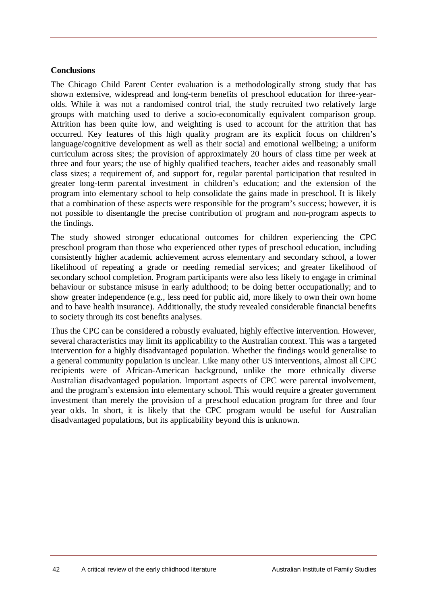#### **Conclusions**

The Chicago Child Parent Center evaluation is a methodologically strong study that has shown extensive, widespread and long-term benefits of preschool education for three-yearolds. While it was not a randomised control trial, the study recruited two relatively large groups with matching used to derive a socio-economically equivalent comparison group. Attrition has been quite low, and weighting is used to account for the attrition that has occurred. Key features of this high quality program are its explicit focus on children's language/cognitive development as well as their social and emotional wellbeing; a uniform curriculum across sites; the provision of approximately 20 hours of class time per week at three and four years; the use of highly qualified teachers, teacher aides and reasonably small class sizes; a requirement of, and support for, regular parental participation that resulted in greater long-term parental investment in children's education; and the extension of the program into elementary school to help consolidate the gains made in preschool. It is likely that a combination of these aspects were responsible for the program's success; however, it is not possible to disentangle the precise contribution of program and non-program aspects to the findings.

The study showed stronger educational outcomes for children experiencing the CPC preschool program than those who experienced other types of preschool education, including consistently higher academic achievement across elementary and secondary school, a lower likelihood of repeating a grade or needing remedial services; and greater likelihood of secondary school completion. Program participants were also less likely to engage in criminal behaviour or substance misuse in early adulthood; to be doing better occupationally; and to show greater independence (e.g., less need for public aid, more likely to own their own home and to have health insurance). Additionally, the study revealed considerable financial benefits to society through its cost benefits analyses.

Thus the CPC can be considered a robustly evaluated, highly effective intervention. However, several characteristics may limit its applicability to the Australian context. This was a targeted intervention for a highly disadvantaged population. Whether the findings would generalise to a general community population is unclear. Like many other US interventions, almost all CPC recipients were of African-American background, unlike the more ethnically diverse Australian disadvantaged population. Important aspects of CPC were parental involvement, and the program's extension into elementary school. This would require a greater government investment than merely the provision of a preschool education program for three and four year olds. In short, it is likely that the CPC program would be useful for Australian disadvantaged populations, but its applicability beyond this is unknown.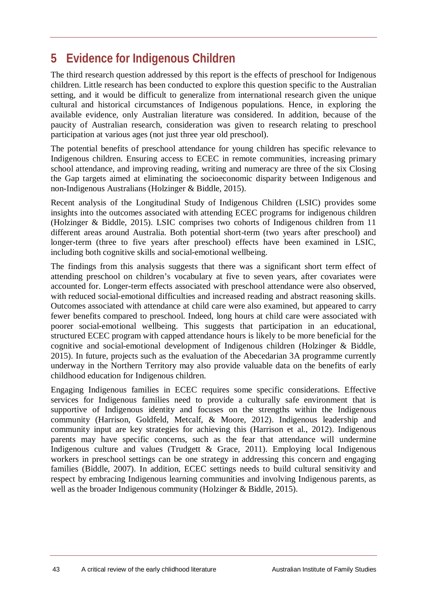# **5 Evidence for Indigenous Children**

The third research question addressed by this report is the effects of preschool for Indigenous children. Little research has been conducted to explore this question specific to the Australian setting, and it would be difficult to generalize from international research given the unique cultural and historical circumstances of Indigenous populations. Hence, in exploring the available evidence, only Australian literature was considered. In addition, because of the paucity of Australian research, consideration was given to research relating to preschool participation at various ages (not just three year old preschool).

The potential benefits of preschool attendance for young children has specific relevance to Indigenous children. Ensuring access to ECEC in remote communities, increasing primary school attendance, and improving reading, writing and numeracy are three of the six Closing the Gap targets aimed at eliminating the socioeconomic disparity between Indigenous and non-Indigenous Australians (Holzinger & Biddle, 2015).

Recent analysis of the Longitudinal Study of Indigenous Children (LSIC) provides some insights into the outcomes associated with attending ECEC programs for indigenous children (Holzinger & Biddle, 2015). LSIC comprises two cohorts of Indigenous children from 11 different areas around Australia. Both potential short-term (two years after preschool) and longer-term (three to five years after preschool) effects have been examined in LSIC, including both cognitive skills and social-emotional wellbeing.

The findings from this analysis suggests that there was a significant short term effect of attending preschool on children's vocabulary at five to seven years, after covariates were accounted for. Longer-term effects associated with preschool attendance were also observed, with reduced social-emotional difficulties and increased reading and abstract reasoning skills. Outcomes associated with attendance at child care were also examined, but appeared to carry fewer benefits compared to preschool. Indeed, long hours at child care were associated with poorer social-emotional wellbeing. This suggests that participation in an educational, structured ECEC program with capped attendance hours is likely to be more beneficial for the cognitive and social-emotional development of Indigenous children (Holzinger & Biddle, 2015). In future, projects such as the evaluation of the Abecedarian 3A programme currently underway in the Northern Territory may also provide valuable data on the benefits of early childhood education for Indigenous children.

Engaging Indigenous families in ECEC requires some specific considerations. Effective services for Indigenous families need to provide a culturally safe environment that is supportive of Indigenous identity and focuses on the strengths within the Indigenous community (Harrison, Goldfeld, Metcalf, & Moore, 2012). Indigenous leadership and community input are key strategies for achieving this (Harrison et al., 2012). Indigenous parents may have specific concerns, such as the fear that attendance will undermine Indigenous culture and values (Trudgett & Grace, 2011). Employing local Indigenous workers in preschool settings can be one strategy in addressing this concern and engaging families (Biddle, 2007). In addition, ECEC settings needs to build cultural sensitivity and respect by embracing Indigenous learning communities and involving Indigenous parents, as well as the broader Indigenous community (Holzinger & Biddle, 2015).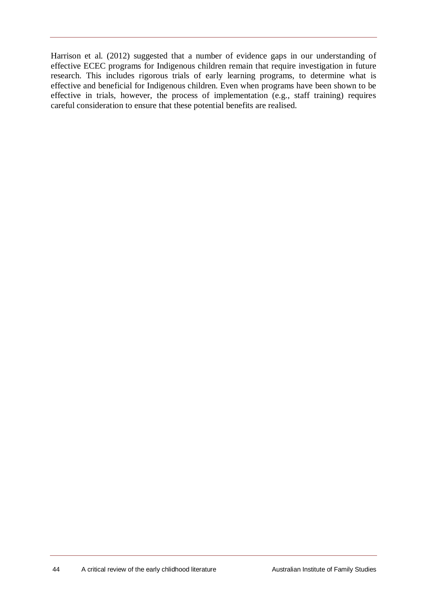Harrison et al. (2012) suggested that a number of evidence gaps in our understanding of effective ECEC programs for Indigenous children remain that require investigation in future research. This includes rigorous trials of early learning programs, to determine what is effective and beneficial for Indigenous children. Even when programs have been shown to be effective in trials, however, the process of implementation (e.g., staff training) requires careful consideration to ensure that these potential benefits are realised.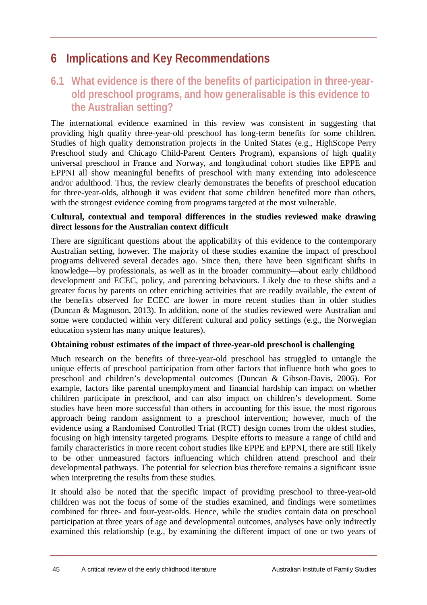# **6 Implications and Key Recommendations**

### **6.1 What evidence is there of the benefits of participation in three-yearold preschool programs, and how generalisable is this evidence to the Australian setting?**

The international evidence examined in this review was consistent in suggesting that providing high quality three-year-old preschool has long-term benefits for some children. Studies of high quality demonstration projects in the United States (e.g., HighScope Perry Preschool study and Chicago Child-Parent Centers Program), expansions of high quality universal preschool in France and Norway, and longitudinal cohort studies like EPPE and EPPNI all show meaningful benefits of preschool with many extending into adolescence and/or adulthood. Thus, the review clearly demonstrates the benefits of preschool education for three-year-olds, although it was evident that some children benefited more than others, with the strongest evidence coming from programs targeted at the most vulnerable.

#### **Cultural, contextual and temporal differences in the studies reviewed make drawing direct lessons for the Australian context difficult**

There are significant questions about the applicability of this evidence to the contemporary Australian setting, however. The majority of these studies examine the impact of preschool programs delivered several decades ago. Since then, there have been significant shifts in knowledge—by professionals, as well as in the broader community—about early childhood development and ECEC, policy, and parenting behaviours. Likely due to these shifts and a greater focus by parents on other enriching activities that are readily available, the extent of the benefits observed for ECEC are lower in more recent studies than in older studies (Duncan & Magnuson, 2013). In addition, none of the studies reviewed were Australian and some were conducted within very different cultural and policy settings (e.g., the Norwegian education system has many unique features).

#### **Obtaining robust estimates of the impact of three-year-old preschool is challenging**

Much research on the benefits of three-year-old preschool has struggled to untangle the unique effects of preschool participation from other factors that influence both who goes to preschool and children's developmental outcomes (Duncan & Gibson-Davis, 2006). For example, factors like parental unemployment and financial hardship can impact on whether children participate in preschool, and can also impact on children's development. Some studies have been more successful than others in accounting for this issue, the most rigorous approach being random assignment to a preschool intervention; however, much of the evidence using a Randomised Controlled Trial (RCT) design comes from the oldest studies, focusing on high intensity targeted programs. Despite efforts to measure a range of child and family characteristics in more recent cohort studies like EPPE and EPPNI, there are still likely to be other unmeasured factors influencing which children attend preschool and their developmental pathways. The potential for selection bias therefore remains a significant issue when interpreting the results from these studies.

It should also be noted that the specific impact of providing preschool to three-year-old children was not the focus of some of the studies examined, and findings were sometimes combined for three- and four-year-olds. Hence, while the studies contain data on preschool participation at three years of age and developmental outcomes, analyses have only indirectly examined this relationship (e.g., by examining the different impact of one or two years of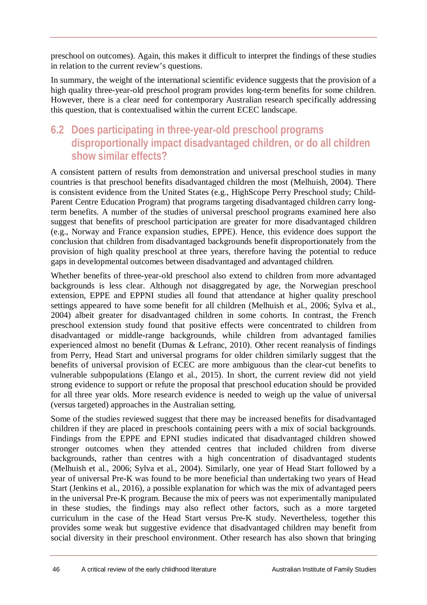preschool on outcomes). Again, this makes it difficult to interpret the findings of these studies in relation to the current review's questions.

In summary, the weight of the international scientific evidence suggests that the provision of a high quality three-year-old preschool program provides long-term benefits for some children. However, there is a clear need for contemporary Australian research specifically addressing this question, that is contextualised within the current ECEC landscape.

# **6.2 Does participating in three-year-old preschool programs disproportionally impact disadvantaged children, or do all children show similar effects?**

A consistent pattern of results from demonstration and universal preschool studies in many countries is that preschool benefits disadvantaged children the most (Melhuish, 2004). There is consistent evidence from the United States (e.g., HighScope Perry Preschool study; Child-Parent Centre Education Program) that programs targeting disadvantaged children carry longterm benefits. A number of the studies of universal preschool programs examined here also suggest that benefits of preschool participation are greater for more disadvantaged children (e.g., Norway and France expansion studies, EPPE). Hence, this evidence does support the conclusion that children from disadvantaged backgrounds benefit disproportionately from the provision of high quality preschool at three years, therefore having the potential to reduce gaps in developmental outcomes between disadvantaged and advantaged children.

Whether benefits of three-year-old preschool also extend to children from more advantaged backgrounds is less clear. Although not disaggregated by age, the Norwegian preschool extension, EPPE and EPPNI studies all found that attendance at higher quality preschool settings appeared to have some benefit for all children (Melhuish et al., 2006; Sylva et al., 2004) albeit greater for disadvantaged children in some cohorts. In contrast, the French preschool extension study found that positive effects were concentrated to children from disadvantaged or middle-range backgrounds, while children from advantaged families experienced almost no benefit (Dumas & Lefranc, 2010). Other recent reanalysis of findings from Perry, Head Start and universal programs for older children similarly suggest that the benefits of universal provision of ECEC are more ambiguous than the clear-cut benefits to vulnerable subpopulations (Elango et al., 2015). In short, the current review did not yield strong evidence to support or refute the proposal that preschool education should be provided for all three year olds. More research evidence is needed to weigh up the value of universal (versus targeted) approaches in the Australian setting.

Some of the studies reviewed suggest that there may be increased benefits for disadvantaged children if they are placed in preschools containing peers with a mix of social backgrounds. Findings from the EPPE and EPNI studies indicated that disadvantaged children showed stronger outcomes when they attended centres that included children from diverse backgrounds, rather than centres with a high concentration of disadvantaged students (Melhuish et al., 2006; Sylva et al., 2004). Similarly, one year of Head Start followed by a year of universal Pre-K was found to be more beneficial than undertaking two years of Head Start (Jenkins et al., 2016), a possible explanation for which was the mix of advantaged peers in the universal Pre-K program. Because the mix of peers was not experimentally manipulated in these studies, the findings may also reflect other factors, such as a more targeted curriculum in the case of the Head Start versus Pre-K study. Nevertheless, together this provides some weak but suggestive evidence that disadvantaged children may benefit from social diversity in their preschool environment. Other research has also shown that bringing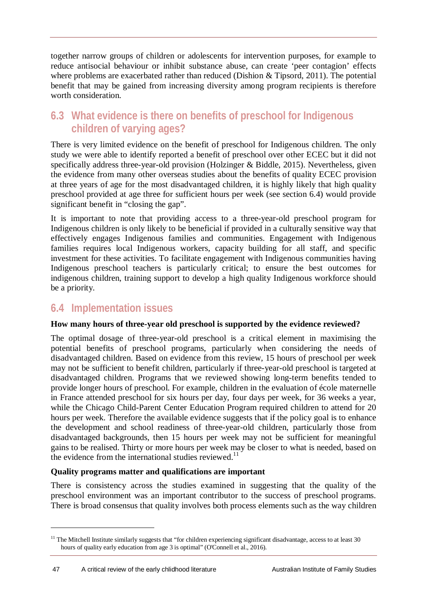together narrow groups of children or adolescents for intervention purposes, for example to reduce antisocial behaviour or inhibit substance abuse, can create 'peer contagion' effects where problems are exacerbated rather than reduced (Dishion & Tipsord, 2011). The potential benefit that may be gained from increasing diversity among program recipients is therefore worth consideration.

# **6.3 What evidence is there on benefits of preschool for Indigenous children of varying ages?**

There is very limited evidence on the benefit of preschool for Indigenous children. The only study we were able to identify reported a benefit of preschool over other ECEC but it did not specifically address three-year-old provision (Holzinger & Biddle, 2015). Nevertheless, given the evidence from many other overseas studies about the benefits of quality ECEC provision at three years of age for the most disadvantaged children, it is highly likely that high quality preschool provided at age three for sufficient hours per week (see section 6.4) would provide significant benefit in "closing the gap".

It is important to note that providing access to a three-year-old preschool program for Indigenous children is only likely to be beneficial if provided in a culturally sensitive way that effectively engages Indigenous families and communities. Engagement with Indigenous families requires local Indigenous workers, capacity building for all staff, and specific investment for these activities. To facilitate engagement with Indigenous communities having Indigenous preschool teachers is particularly critical; to ensure the best outcomes for indigenous children, training support to develop a high quality Indigenous workforce should be a priority.

# **6.4 Implementation issues**

#### **How many hours of three-year old preschool is supported by the evidence reviewed?**

The optimal dosage of three-year-old preschool is a critical element in maximising the potential benefits of preschool programs, particularly when considering the needs of disadvantaged children. Based on evidence from this review, 15 hours of preschool per week may not be sufficient to benefit children, particularly if three-year-old preschool is targeted at disadvantaged children. Programs that we reviewed showing long-term benefits tended to provide longer hours of preschool. For example, children in the evaluation of école maternelle in France attended preschool for six hours per day, four days per week, for 36 weeks a year, while the Chicago Child-Parent Center Education Program required children to attend for 20 hours per week. Therefore the available evidence suggests that if the policy goal is to enhance the development and school readiness of three-year-old children, particularly those from disadvantaged backgrounds, then 15 hours per week may not be sufficient for meaningful gains to be realised. Thirty or more hours per week may be closer to what is needed, based on the evidence from the international studies reviewed.<sup>11</sup>

#### **Quality programs matter and qualifications are important**

There is consistency across the studies examined in suggesting that the quality of the preschool environment was an important contributor to the success of preschool programs. There is broad consensus that quality involves both process elements such as the way children

 $\overline{a}$ 

 $11$  The Mitchell Institute similarly suggests that "for children experiencing significant disadvantage, access to at least 30 hours of quality early education from age 3 is optimal" (O'Connell et al., 2016).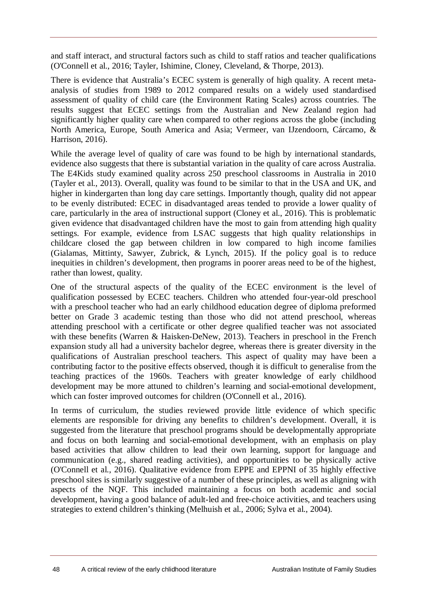and staff interact, and structural factors such as child to staff ratios and teacher qualifications (O'Connell et al., 2016; Tayler, Ishimine, Cloney, Cleveland, & Thorpe, 2013).

There is evidence that Australia's ECEC system is generally of high quality. A recent metaanalysis of studies from 1989 to 2012 compared results on a widely used standardised assessment of quality of child care (the Environment Rating Scales) across countries. The results suggest that ECEC settings from the Australian and New Zealand region had significantly higher quality care when compared to other regions across the globe (including North America, Europe, South America and Asia; Vermeer, van IJzendoorn, Cárcamo, & Harrison, 2016).

While the average level of quality of care was found to be high by international standards, evidence also suggests that there is substantial variation in the quality of care across Australia. The E4Kids study examined quality across 250 preschool classrooms in Australia in 2010 (Tayler et al., 2013). Overall, quality was found to be similar to that in the USA and UK, and higher in kindergarten than long day care settings. Importantly though, quality did not appear to be evenly distributed: ECEC in disadvantaged areas tended to provide a lower quality of care, particularly in the area of instructional support (Cloney et al., 2016). This is problematic given evidence that disadvantaged children have the most to gain from attending high quality settings. For example, evidence from LSAC suggests that high quality relationships in childcare closed the gap between children in low compared to high income families (Gialamas, Mittinty, Sawyer, Zubrick, & Lynch, 2015). If the policy goal is to reduce inequities in children's development, then programs in poorer areas need to be of the highest, rather than lowest, quality.

One of the structural aspects of the quality of the ECEC environment is the level of qualification possessed by ECEC teachers. Children who attended four-year-old preschool with a preschool teacher who had an early childhood education degree of diploma preformed better on Grade 3 academic testing than those who did not attend preschool, whereas attending preschool with a certificate or other degree qualified teacher was not associated with these benefits (Warren & Haisken-DeNew, 2013). Teachers in preschool in the French expansion study all had a university bachelor degree, whereas there is greater diversity in the qualifications of Australian preschool teachers. This aspect of quality may have been a contributing factor to the positive effects observed, though it is difficult to generalise from the teaching practices of the 1960s. Teachers with greater knowledge of early childhood development may be more attuned to children's learning and social-emotional development, which can foster improved outcomes for children (O'Connell et al., 2016).

In terms of curriculum, the studies reviewed provide little evidence of which specific elements are responsible for driving any benefits to children's development. Overall, it is suggested from the literature that preschool programs should be developmentally appropriate and focus on both learning and social-emotional development, with an emphasis on play based activities that allow children to lead their own learning, support for language and communication (e.g., shared reading activities), and opportunities to be physically active (O'Connell et al., 2016). Qualitative evidence from EPPE and EPPNI of 35 highly effective preschool sites is similarly suggestive of a number of these principles, as well as aligning with aspects of the NQF. This included maintaining a focus on both academic and social development, having a good balance of adult-led and free-choice activities, and teachers using strategies to extend children's thinking (Melhuish et al., 2006; Sylva et al., 2004).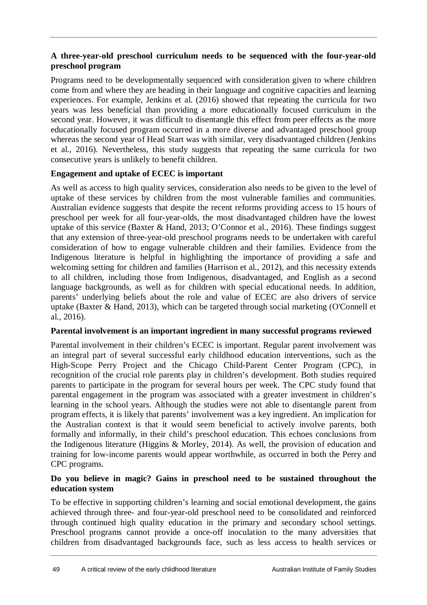### **A three-year-old preschool curriculum needs to be sequenced with the four-year-old preschool program**

Programs need to be developmentally sequenced with consideration given to where children come from and where they are heading in their language and cognitive capacities and learning experiences. For example, Jenkins et al. (2016) showed that repeating the curricula for two years was less beneficial than providing a more educationally focused curriculum in the second year. However, it was difficult to disentangle this effect from peer effects as the more educationally focused program occurred in a more diverse and advantaged preschool group whereas the second year of Head Start was with similar, very disadvantaged children (Jenkins et al., 2016). Nevertheless, this study suggests that repeating the same curricula for two consecutive years is unlikely to benefit children.

#### **Engagement and uptake of ECEC is important**

As well as access to high quality services, consideration also needs to be given to the level of uptake of these services by children from the most vulnerable families and communities. Australian evidence suggests that despite the recent reforms providing access to 15 hours of preschool per week for all four-year-olds, the most disadvantaged children have the lowest uptake of this service (Baxter & Hand, 2013; O'Connor et al., 2016). These findings suggest that any extension of three-year-old preschool programs needs to be undertaken with careful consideration of how to engage vulnerable children and their families. Evidence from the Indigenous literature is helpful in highlighting the importance of providing a safe and welcoming setting for children and families (Harrison et al., 2012), and this necessity extends to all children, including those from Indigenous, disadvantaged, and English as a second language backgrounds, as well as for children with special educational needs. In addition, parents' underlying beliefs about the role and value of ECEC are also drivers of service uptake (Baxter & Hand, 2013), which can be targeted through social marketing (O'Connell et al., 2016).

#### **Parental involvement is an important ingredient in many successful programs reviewed**

Parental involvement in their children's ECEC is important. Regular parent involvement was an integral part of several successful early childhood education interventions, such as the High-Scope Perry Project and the Chicago Child-Parent Center Program (CPC), in recognition of the crucial role parents play in children's development. Both studies required parents to participate in the program for several hours per week. The CPC study found that parental engagement in the program was associated with a greater investment in children's learning in the school years. Although the studies were not able to disentangle parent from program effects, it is likely that parents' involvement was a key ingredient. An implication for the Australian context is that it would seem beneficial to actively involve parents, both formally and informally, in their child's preschool education. This echoes conclusions from the Indigenous literature (Higgins & Morley, 2014). As well, the provision of education and training for low-income parents would appear worthwhile, as occurred in both the Perry and CPC programs.

#### **Do you believe in magic? Gains in preschool need to be sustained throughout the education system**

To be effective in supporting children's learning and social emotional development, the gains achieved through three- and four-year-old preschool need to be consolidated and reinforced through continued high quality education in the primary and secondary school settings. Preschool programs cannot provide a once-off inoculation to the many adversities that children from disadvantaged backgrounds face, such as less access to health services or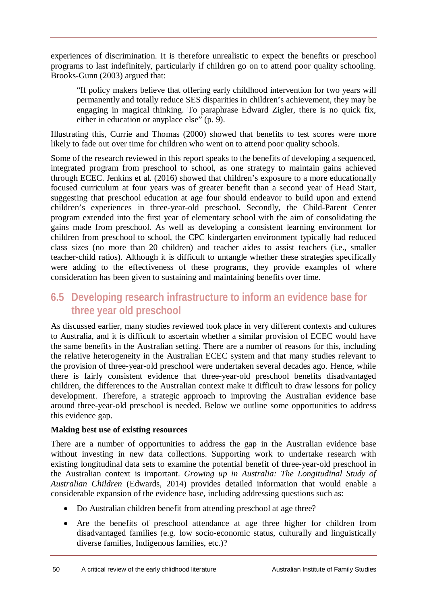experiences of discrimination. It is therefore unrealistic to expect the benefits or preschool programs to last indefinitely, particularly if children go on to attend poor quality schooling. Brooks-Gunn (2003) argued that:

"If policy makers believe that offering early childhood intervention for two years will permanently and totally reduce SES disparities in children's achievement, they may be engaging in magical thinking. To paraphrase Edward Zigler, there is no quick fix, either in education or anyplace else" (p. 9).

Illustrating this, Currie and Thomas (2000) showed that benefits to test scores were more likely to fade out over time for children who went on to attend poor quality schools.

Some of the research reviewed in this report speaks to the benefits of developing a sequenced, integrated program from preschool to school, as one strategy to maintain gains achieved through ECEC. Jenkins et al. (2016) showed that children's exposure to a more educationally focused curriculum at four years was of greater benefit than a second year of Head Start, suggesting that preschool education at age four should endeavor to build upon and extend children's experiences in three-year-old preschool. Secondly, the Child-Parent Center program extended into the first year of elementary school with the aim of consolidating the gains made from preschool. As well as developing a consistent learning environment for children from preschool to school, the CPC kindergarten environment typically had reduced class sizes (no more than 20 children) and teacher aides to assist teachers (i.e., smaller teacher-child ratios). Although it is difficult to untangle whether these strategies specifically were adding to the effectiveness of these programs, they provide examples of where consideration has been given to sustaining and maintaining benefits over time.

# **6.5 Developing research infrastructure to inform an evidence base for three year old preschool**

As discussed earlier, many studies reviewed took place in very different contexts and cultures to Australia, and it is difficult to ascertain whether a similar provision of ECEC would have the same benefits in the Australian setting. There are a number of reasons for this, including the relative heterogeneity in the Australian ECEC system and that many studies relevant to the provision of three-year-old preschool were undertaken several decades ago. Hence, while there is fairly consistent evidence that three-year-old preschool benefits disadvantaged children, the differences to the Australian context make it difficult to draw lessons for policy development. Therefore, a strategic approach to improving the Australian evidence base around three-year-old preschool is needed. Below we outline some opportunities to address this evidence gap.

#### **Making best use of existing resources**

There are a number of opportunities to address the gap in the Australian evidence base without investing in new data collections. Supporting work to undertake research with existing longitudinal data sets to examine the potential benefit of three-year-old preschool in the Australian context is important. *Growing up in Australia: The Longitudinal Study of Australian Children* (Edwards, 2014) provides detailed information that would enable a considerable expansion of the evidence base, including addressing questions such as:

- Do Australian children benefit from attending preschool at age three?
- Are the benefits of preschool attendance at age three higher for children from disadvantaged families (e.g. low socio-economic status, culturally and linguistically diverse families, Indigenous families, etc.)?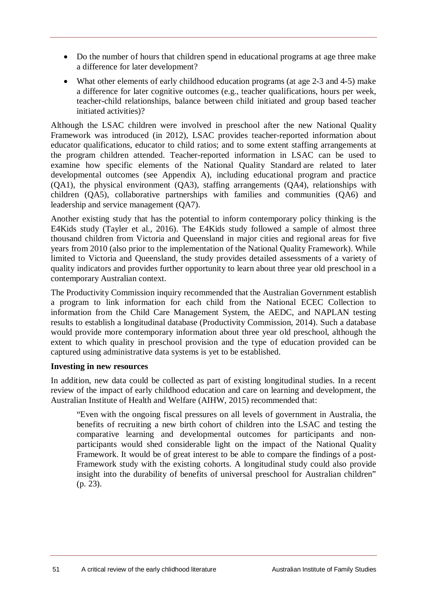- Do the number of hours that children spend in educational programs at age three make a difference for later development?
- What other elements of early childhood education programs (at age 2-3 and 4-5) make a difference for later cognitive outcomes (e.g., teacher qualifications, hours per week, teacher-child relationships, balance between child initiated and group based teacher initiated activities)?

Although the LSAC children were involved in preschool after the new National Quality Framework was introduced (in 2012), LSAC provides teacher-reported information about educator qualifications, educator to child ratios; and to some extent staffing arrangements at the program children attended. Teacher-reported information in LSAC can be used to examine how specific elements of the National Quality Standard are related to later developmental outcomes (see Appendix A), including educational program and practice (QA1), the physical environment (QA3), staffing arrangements (QA4), relationships with children (QA5), collaborative partnerships with families and communities (QA6) and leadership and service management (QA7).

Another existing study that has the potential to inform contemporary policy thinking is the E4Kids study (Tayler et al., 2016). The E4Kids study followed a sample of almost three thousand children from Victoria and Queensland in major cities and regional areas for five years from 2010 (also prior to the implementation of the National Quality Framework). While limited to Victoria and Queensland, the study provides detailed assessments of a variety of quality indicators and provides further opportunity to learn about three year old preschool in a contemporary Australian context.

The Productivity Commission inquiry recommended that the Australian Government establish a program to link information for each child from the National ECEC Collection to information from the Child Care Management System, the AEDC, and NAPLAN testing results to establish a longitudinal database (Productivity Commission, 2014). Such a database would provide more contemporary information about three year old preschool, although the extent to which quality in preschool provision and the type of education provided can be captured using administrative data systems is yet to be established.

#### **Investing in new resources**

In addition, new data could be collected as part of existing longitudinal studies. In a recent review of the impact of early childhood education and care on learning and development, the Australian Institute of Health and Welfare (AIHW, 2015) recommended that:

"Even with the ongoing fiscal pressures on all levels of government in Australia, the benefits of recruiting a new birth cohort of children into the LSAC and testing the comparative learning and developmental outcomes for participants and nonparticipants would shed considerable light on the impact of the National Quality Framework. It would be of great interest to be able to compare the findings of a post-Framework study with the existing cohorts. A longitudinal study could also provide insight into the durability of benefits of universal preschool for Australian children" (p. 23).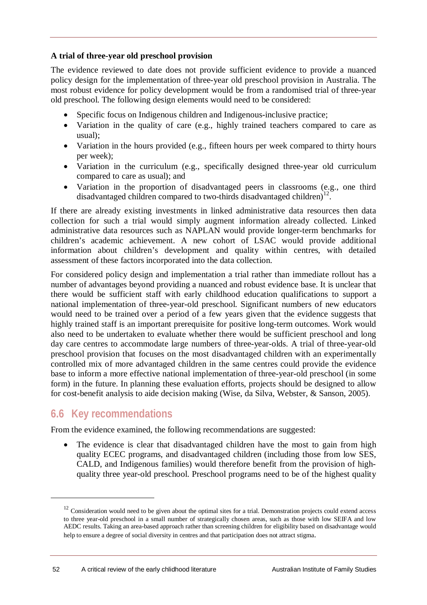#### **A trial of three-year old preschool provision**

The evidence reviewed to date does not provide sufficient evidence to provide a nuanced policy design for the implementation of three-year old preschool provision in Australia. The most robust evidence for policy development would be from a randomised trial of three-year old preschool. The following design elements would need to be considered:

- Specific focus on Indigenous children and Indigenous-inclusive practice;
- Variation in the quality of care (e.g., highly trained teachers compared to care as usual);
- Variation in the hours provided (e.g., fifteen hours per week compared to thirty hours per week);
- Variation in the curriculum (e.g., specifically designed three-year old curriculum compared to care as usual); and
- Variation in the proportion of disadvantaged peers in classrooms (e.g., one third disadvantaged children compared to two-thirds disadvantaged children)<sup>12</sup>.

If there are already existing investments in linked administrative data resources then data collection for such a trial would simply augment information already collected. Linked administrative data resources such as NAPLAN would provide longer-term benchmarks for children's academic achievement. A new cohort of LSAC would provide additional information about children's development and quality within centres, with detailed assessment of these factors incorporated into the data collection.

For considered policy design and implementation a trial rather than immediate rollout has a number of advantages beyond providing a nuanced and robust evidence base. It is unclear that there would be sufficient staff with early childhood education qualifications to support a national implementation of three-year-old preschool. Significant numbers of new educators would need to be trained over a period of a few years given that the evidence suggests that highly trained staff is an important prerequisite for positive long-term outcomes. Work would also need to be undertaken to evaluate whether there would be sufficient preschool and long day care centres to accommodate large numbers of three-year-olds. A trial of three-year-old preschool provision that focuses on the most disadvantaged children with an experimentally controlled mix of more advantaged children in the same centres could provide the evidence base to inform a more effective national implementation of three-year-old preschool (in some form) in the future. In planning these evaluation efforts, projects should be designed to allow for cost-benefit analysis to aide decision making (Wise, da Silva, Webster, & Sanson, 2005).

### **6.6 Key recommendations**

 $\ddot{\phantom{a}}$ 

From the evidence examined, the following recommendations are suggested:

 The evidence is clear that disadvantaged children have the most to gain from high quality ECEC programs, and disadvantaged children (including those from low SES, CALD, and Indigenous families) would therefore benefit from the provision of highquality three year-old preschool. Preschool programs need to be of the highest quality

 $12$  Consideration would need to be given about the optimal sites for a trial. Demonstration projects could extend access to three year-old preschool in a small number of strategically chosen areas, such as those with low SEIFA and low AEDC results. Taking an area-based approach rather than screening children for eligibility based on disadvantage would help to ensure a degree of social diversity in centres and that participation does not attract stigma.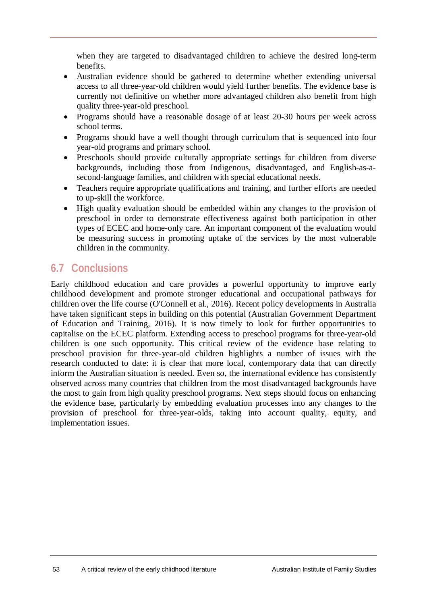when they are targeted to disadvantaged children to achieve the desired long-term benefits.

- Australian evidence should be gathered to determine whether extending universal access to all three-year-old children would yield further benefits. The evidence base is currently not definitive on whether more advantaged children also benefit from high quality three-year-old preschool.
- Programs should have a reasonable dosage of at least 20-30 hours per week across school terms.
- Programs should have a well thought through curriculum that is sequenced into four year-old programs and primary school.
- Preschools should provide culturally appropriate settings for children from diverse backgrounds, including those from Indigenous, disadvantaged, and English-as-asecond-language families, and children with special educational needs.
- Teachers require appropriate qualifications and training, and further efforts are needed to up-skill the workforce.
- High quality evaluation should be embedded within any changes to the provision of preschool in order to demonstrate effectiveness against both participation in other types of ECEC and home-only care. An important component of the evaluation would be measuring success in promoting uptake of the services by the most vulnerable children in the community.

# **6.7 Conclusions**

Early childhood education and care provides a powerful opportunity to improve early childhood development and promote stronger educational and occupational pathways for children over the life course (O'Connell et al., 2016). Recent policy developments in Australia have taken significant steps in building on this potential (Australian Government Department of Education and Training, 2016). It is now timely to look for further opportunities to capitalise on the ECEC platform. Extending access to preschool programs for three-year-old children is one such opportunity. This critical review of the evidence base relating to preschool provision for three-year-old children highlights a number of issues with the research conducted to date: it is clear that more local, contemporary data that can directly inform the Australian situation is needed. Even so, the international evidence has consistently observed across many countries that children from the most disadvantaged backgrounds have the most to gain from high quality preschool programs. Next steps should focus on enhancing the evidence base, particularly by embedding evaluation processes into any changes to the provision of preschool for three-year-olds, taking into account quality, equity, and implementation issues.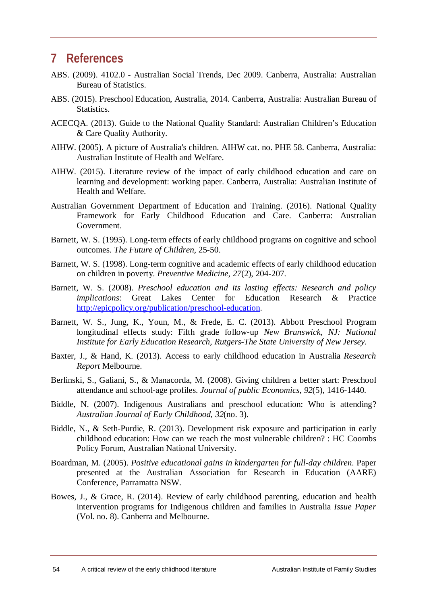# **7 References**

- ABS. (2009). 4102.0 Australian Social Trends, Dec 2009. Canberra, Australia: Australian Bureau of Statistics.
- ABS. (2015). Preschool Education, Australia, 2014. Canberra, Australia: Australian Bureau of Statistics.
- ACECQA. (2013). Guide to the National Quality Standard: Australian Children's Education & Care Quality Authority.
- AIHW. (2005). A picture of Australia's children. AIHW cat. no. PHE 58. Canberra, Australia: Australian Institute of Health and Welfare.
- AIHW. (2015). Literature review of the impact of early childhood education and care on learning and development: working paper. Canberra, Australia: Australian Institute of Health and Welfare.
- Australian Government Department of Education and Training. (2016). National Quality Framework for Early Childhood Education and Care. Canberra: Australian Government.
- Barnett, W. S. (1995). Long-term effects of early childhood programs on cognitive and school outcomes. *The Future of Children*, 25-50.
- Barnett, W. S. (1998). Long-term cognitive and academic effects of early childhood education on children in poverty. *Preventive Medicine, 27*(2), 204-207.
- Barnett, W. S. (2008). *Preschool education and its lasting effects: Research and policy implications*: Great Lakes Center for Education Research & Practice http://epicpolicy.org/publication/preschool-education.
- Barnett, W. S., Jung, K., Youn, M., & Frede, E. C. (2013). Abbott Preschool Program longitudinal effects study: Fifth grade follow-up *New Brunswick, NJ: National Institute for Early Education Research, Rutgers-The State University of New Jersey*.
- Baxter, J., & Hand, K. (2013). Access to early childhood education in Australia *Research Report* Melbourne.
- Berlinski, S., Galiani, S., & Manacorda, M. (2008). Giving children a better start: Preschool attendance and school-age profiles. *Journal of public Economics, 92*(5), 1416-1440.
- Biddle, N. (2007). Indigenous Australians and preschool education: Who is attending? *Australian Journal of Early Childhood, 32*(no. 3).
- Biddle, N., & Seth-Purdie, R. (2013). Development risk exposure and participation in early childhood education: How can we reach the most vulnerable children? : HC Coombs Policy Forum, Australian National University.
- Boardman, M. (2005). *Positive educational gains in kindergarten for full-day children*. Paper presented at the Australian Association for Research in Education (AARE) Conference, Parramatta NSW.
- Bowes, J., & Grace, R. (2014). Review of early childhood parenting, education and health intervention programs for Indigenous children and families in Australia *Issue Paper* (Vol. no. 8). Canberra and Melbourne.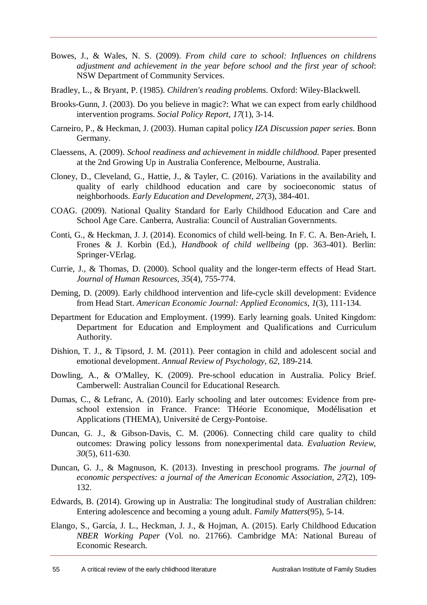- Bowes, J., & Wales, N. S. (2009). *From child care to school: Influences on childrens adjustment and achievement in the year before school and the first year of school*: NSW Department of Community Services.
- Bradley, L., & Bryant, P. (1985). *Children's reading problems*. Oxford: Wiley-Blackwell.
- Brooks-Gunn, J. (2003). Do you believe in magic?: What we can expect from early childhood intervention programs. *Social Policy Report, 17*(1), 3-14.
- Carneiro, P., & Heckman, J. (2003). Human capital policy *IZA Discussion paper series*. Bonn Germany.
- Claessens, A. (2009). *School readiness and achievement in middle childhood*. Paper presented at the 2nd Growing Up in Australia Conference, Melbourne, Australia.
- Cloney, D., Cleveland, G., Hattie, J., & Tayler, C. (2016). Variations in the availability and quality of early childhood education and care by socioeconomic status of neighborhoods. *Early Education and Development, 27*(3), 384-401.
- COAG. (2009). National Quality Standard for Early Childhood Education and Care and School Age Care. Canberra, Australia: Council of Australian Governments.
- Conti, G., & Heckman, J. J. (2014). Economics of child well-being. In F. C. A. Ben-Arieh, I. Frones & J. Korbin (Ed.), *Handbook of child wellbeing* (pp. 363-401). Berlin: Springer-VErlag.
- Currie, J., & Thomas, D. (2000). School quality and the longer-term effects of Head Start. *Journal of Human Resources, 35*(4), 755-774.
- Deming, D. (2009). Early childhood intervention and life-cycle skill development: Evidence from Head Start. *American Economic Journal: Applied Economics, 1*(3), 111-134.
- Department for Education and Employment. (1999). Early learning goals. United Kingdom: Department for Education and Employment and Qualifications and Curriculum Authority.
- Dishion, T. J., & Tipsord, J. M. (2011). Peer contagion in child and adolescent social and emotional development. *Annual Review of Psychology, 62*, 189-214.
- Dowling, A., & O'Malley, K. (2009). Pre-school education in Australia. Policy Brief. Camberwell: Australian Council for Educational Research.
- Dumas, C., & Lefranc, A. (2010). Early schooling and later outcomes: Evidence from preschool extension in France. France: THéorie Economique, Modélisation et Applications (THEMA), Université de Cergy-Pontoise.
- Duncan, G. J., & Gibson-Davis, C. M. (2006). Connecting child care quality to child outcomes: Drawing policy lessons from nonexperimental data. *Evaluation Review, 30*(5), 611-630.
- Duncan, G. J., & Magnuson, K. (2013). Investing in preschool programs. *The journal of economic perspectives: a journal of the American Economic Association, 27*(2), 109- 132.
- Edwards, B. (2014). Growing up in Australia: The longitudinal study of Australian children: Entering adolescence and becoming a young adult. *Family Matters*(95), 5-14.
- Elango, S., García, J. L., Heckman, J. J., & Hojman, A. (2015). Early Childhood Education *NBER Working Paper* (Vol. no. 21766). Cambridge MA: National Bureau of Economic Research.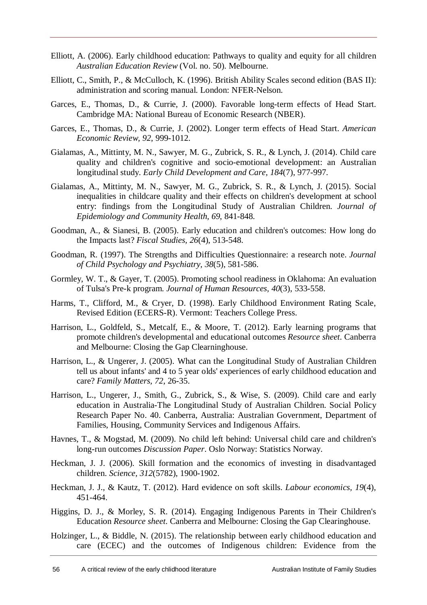- Elliott, A. (2006). Early childhood education: Pathways to quality and equity for all children *Australian Education Review* (Vol. no. 50). Melbourne.
- Elliott, C., Smith, P., & McCulloch, K. (1996). British Ability Scales second edition (BAS II): administration and scoring manual. London: NFER-Nelson.
- Garces, E., Thomas, D., & Currie, J. (2000). Favorable long-term effects of Head Start. Cambridge MA: National Bureau of Economic Research (NBER).
- Garces, E., Thomas, D., & Currie, J. (2002). Longer term effects of Head Start. *American Economic Review, 92*, 999-1012.
- Gialamas, A., Mittinty, M. N., Sawyer, M. G., Zubrick, S. R., & Lynch, J. (2014). Child care quality and children's cognitive and socio-emotional development: an Australian longitudinal study. *Early Child Development and Care, 184*(7), 977-997.
- Gialamas, A., Mittinty, M. N., Sawyer, M. G., Zubrick, S. R., & Lynch, J. (2015). Social inequalities in childcare quality and their effects on children's development at school entry: findings from the Longitudinal Study of Australian Children. *Journal of Epidemiology and Community Health, 69*, 841-848.
- Goodman, A., & Sianesi, B. (2005). Early education and children's outcomes: How long do the Impacts last? *Fiscal Studies, 26*(4), 513-548.
- Goodman, R. (1997). The Strengths and Difficulties Questionnaire: a research note. *Journal of Child Psychology and Psychiatry, 38*(5), 581-586.
- Gormley, W. T., & Gayer, T. (2005). Promoting school readiness in Oklahoma: An evaluation of Tulsa's Pre-k program. *Journal of Human Resources, 40*(3), 533-558.
- Harms, T., Clifford, M., & Cryer, D. (1998). Early Childhood Environment Rating Scale, Revised Edition (ECERS-R). Vermont: Teachers College Press.
- Harrison, L., Goldfeld, S., Metcalf, E., & Moore, T. (2012). Early learning programs that promote children's developmental and educational outcomes *Resource sheet*. Canberra and Melbourne: Closing the Gap Clearninghouse.
- Harrison, L., & Ungerer, J. (2005). What can the Longitudinal Study of Australian Children tell us about infants' and 4 to 5 year olds' experiences of early childhood education and care? *Family Matters, 72*, 26-35.
- Harrison, L., Ungerer, J., Smith, G., Zubrick, S., & Wise, S. (2009). Child care and early education in Australia-The Longitudinal Study of Australian Children. Social Policy Research Paper No. 40. Canberra, Australia: Australian Government, Department of Families, Housing, Community Services and Indigenous Affairs.
- Havnes, T., & Mogstad, M. (2009). No child left behind: Universal child care and children's long-run outcomes *Discussion Paper*. Oslo Norway: Statistics Norway.
- Heckman, J. J. (2006). Skill formation and the economics of investing in disadvantaged children. *Science, 312*(5782), 1900-1902.
- Heckman, J. J., & Kautz, T. (2012). Hard evidence on soft skills. *Labour economics, 19*(4), 451-464.
- Higgins, D. J., & Morley, S. R. (2014). Engaging Indigenous Parents in Their Children's Education *Resource sheet*. Canberra and Melbourne: Closing the Gap Clearinghouse.
- Holzinger, L., & Biddle, N. (2015). The relationship between early childhood education and care (ECEC) and the outcomes of Indigenous children: Evidence from the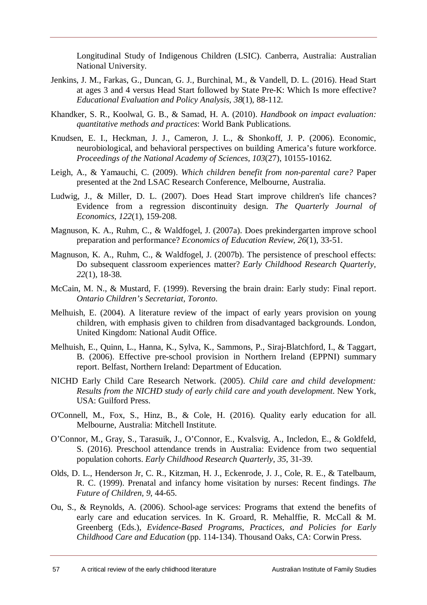Longitudinal Study of Indigenous Children (LSIC). Canberra, Australia: Australian National University.

- Jenkins, J. M., Farkas, G., Duncan, G. J., Burchinal, M., & Vandell, D. L. (2016). Head Start at ages 3 and 4 versus Head Start followed by State Pre-K: Which Is more effective? *Educational Evaluation and Policy Analysis, 38*(1), 88-112.
- Khandker, S. R., Koolwal, G. B., & Samad, H. A. (2010). *Handbook on impact evaluation: quantitative methods and practices*: World Bank Publications.
- Knudsen, E. I., Heckman, J. J., Cameron, J. L., & Shonkoff, J. P. (2006). Economic, neurobiological, and behavioral perspectives on building America's future workforce. *Proceedings of the National Academy of Sciences, 103*(27), 10155-10162.
- Leigh, A., & Yamauchi, C. (2009). *Which children benefit from non-parental care?* Paper presented at the 2nd LSAC Research Conference, Melbourne, Australia.
- Ludwig, J., & Miller, D. L. (2007). Does Head Start improve children's life chances? Evidence from a regression discontinuity design. *The Quarterly Journal of Economics, 122*(1), 159-208.
- Magnuson, K. A., Ruhm, C., & Waldfogel, J. (2007a). Does prekindergarten improve school preparation and performance? *Economics of Education Review, 26*(1), 33-51.
- Magnuson, K. A., Ruhm, C., & Waldfogel, J. (2007b). The persistence of preschool effects: Do subsequent classroom experiences matter? *Early Childhood Research Quarterly, 22*(1), 18-38.
- McCain, M. N., & Mustard, F. (1999). Reversing the brain drain: Early study: Final report. *Ontario Children's Secretariat, Toronto*.
- Melhuish, E. (2004). A literature review of the impact of early years provision on young children, with emphasis given to children from disadvantaged backgrounds. London, United Kingdom: National Audit Office.
- Melhuish, E., Quinn, L., Hanna, K., Sylva, K., Sammons, P., Siraj-Blatchford, I., & Taggart, B. (2006). Effective pre-school provision in Northern Ireland (EPPNI) summary report. Belfast, Northern Ireland: Department of Education.
- NICHD Early Child Care Research Network. (2005). *Child care and child development: Results from the NICHD study of early child care and youth development*. New York, USA: Guilford Press.
- O'Connell, M., Fox, S., Hinz, B., & Cole, H. (2016). Quality early education for all. Melbourne, Australia: Mitchell Institute.
- O'Connor, M., Gray, S., Tarasuik, J., O'Connor, E., Kvalsvig, A., Incledon, E., & Goldfeld, S. (2016). Preschool attendance trends in Australia: Evidence from two sequential population cohorts. *Early Childhood Research Quarterly, 35*, 31-39.
- Olds, D. L., Henderson Jr, C. R., Kitzman, H. J., Eckenrode, J. J., Cole, R. E., & Tatelbaum, R. C. (1999). Prenatal and infancy home visitation by nurses: Recent findings. *The Future of Children, 9*, 44-65.
- Ou, S., & Reynolds, A. (2006). School-age services: Programs that extend the benefits of early care and education services. In K. Groard, R. Mehalffie, R. McCall & M. Greenberg (Eds.), *Evidence-Based Programs, Practices, and Policies for Early Childhood Care and Education* (pp. 114-134). Thousand Oaks, CA: Corwin Press.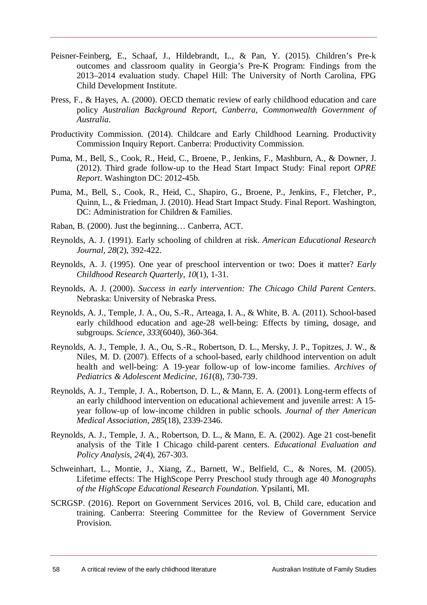- Peisner-Feinberg, E., Schaaf, J., Hildebrandt, L., & Pan, Y. (2015). Children's Pre-k outcomes and classroom quality in Georgia's Pre-K Program: Findings from the 2013–2014 evaluation study. Chapel Hill: The University of North Carolina, FPG Child Development Institute.
- Press, F., & Hayes, A. (2000). OECD thematic review of early childhood education and care policy *Australian Background Report, Canberra, Commonwealth Government of Australia*.
- Productivity Commission. (2014). Childcare and Early Childhood Learning. Productivity Commission Inquiry Report. Canberra: Productivity Commission.
- Puma, M., Bell, S., Cook, R., Heid, C., Broene, P., Jenkins, F., Mashburn, A., & Downer, J. (2012). Third grade follow-up to the Head Start Impact Study: Final report *OPRE Report*. Washington DC: 2012-45b.
- Puma, M., Bell, S., Cook, R., Heid, C., Shapiro, G., Broene, P., Jenkins, F., Fletcher, P., Quinn, L., & Friedman, J. (2010). Head Start Impact Study. Final Report. Washington, DC: Administration for Children & Families.
- Raban, B. (2000). Just the beginning… Canberra, ACT.
- Reynolds, A. J. (1991). Early schooling of children at risk. *American Educational Research Journal, 28*(2), 392-422.
- Reynolds, A. J. (1995). One year of preschool intervention or two: Does it matter? *Early Childhood Research Quarterly, 10*(1), 1-31.
- Reynolds, A. J. (2000). *Success in early intervention: The Chicago Child Parent Centers*. Nebraska: University of Nebraska Press.
- Reynolds, A. J., Temple, J. A., Ou, S.-R., Arteaga, I. A., & White, B. A. (2011). School-based early childhood education and age-28 well-being: Effects by timing, dosage, and subgroups. *Science, 333*(6040), 360-364.
- Reynolds, A. J., Temple, J. A., Ou, S.-R., Robertson, D. L., Mersky, J. P., Topitzes, J. W., & Niles, M. D. (2007). Effects of a school-based, early childhood intervention on adult health and well-being: A 19-year follow-up of low-income families. *Archives of Pediatrics & Adolescent Medicine, 161*(8), 730-739.
- Reynolds, A. J., Temple, J. A., Robertson, D. L., & Mann, E. A. (2001). Long-term effects of an early childhood intervention on educational achievement and juvenile arrest: A 15 year follow-up of low-income children in public schools. *Journal of ther American Medical Association, 285*(18), 2339-2346.
- Reynolds, A. J., Temple, J. A., Robertson, D. L., & Mann, E. A. (2002). Age 21 cost-benefit analysis of the Title I Chicago child-parent centers. *Educational Evaluation and Policy Analysis, 24*(4), 267-303.
- Schweinhart, L., Montie, J., Xiang, Z., Barnett, W., Belfield, C., & Nores, M. (2005). Lifetime effects: The HighScope Perry Preschool study through age 40 *Monographs of the HighScope Educational Research Foundation*. Ypsilanti, MI.
- SCRGSP. (2016). Report on Government Services 2016, vol. B, Child care, education and training. Canberra: Steering Committee for the Review of Government Service Provision.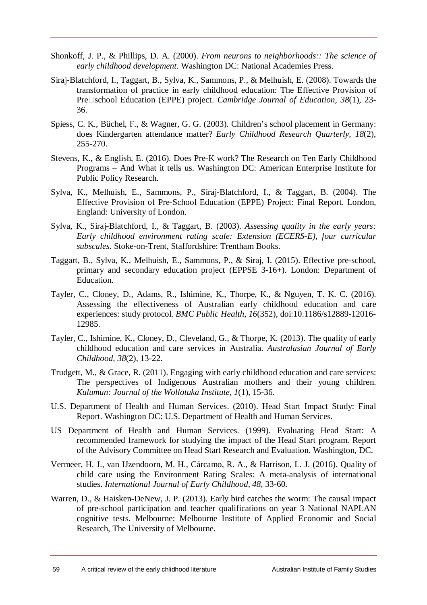- Shonkoff, J. P., & Phillips, D. A. (2000). *From neurons to neighborhoods:: The science of early childhood development*. Washington DC: National Academies Press.
- Siraj-Blatchford, I., Taggart, B., Sylva, K., Sammons, P., & Melhuish, E. (2008). Towards the transformation of practice in early childhood education: The Effective Provision of Pre□school Education (EPPE) project. *Cambridge Journal of Education, 38*(1), 23-36.
- Spiess, C. K., Büchel, F., & Wagner, G. G. (2003). Children's school placement in Germany: does Kindergarten attendance matter? *Early Childhood Research Quarterly, 18*(2), 255-270.
- Stevens, K., & English, E. (2016). Does Pre-K work? The Research on Ten Early Childhood Programs – And What it tells us. Washington DC: American Enterprise Institute for Public Policy Research.
- Sylva, K., Melhuish, E., Sammons, P., Siraj-Blatchford, I., & Taggart, B. (2004). The Effective Provision of Pre-School Education (EPPE) Project: Final Report. London, England: University of London.
- Sylva, K., Siraj-Blatchford, I., & Taggart, B. (2003). *Assessing quality in the early years: Early childhood environment rating scale: Extension (ECERS-E), four curricular subscales*. Stoke-on-Trent, Staffordshire: Trentham Books.
- Taggart, B., Sylva, K., Melhuish, E., Sammons, P., & Siraj, I. (2015). Effective pre-school, primary and secondary education project (EPPSE 3-16+). London: Department of Education.
- Tayler, C., Cloney, D., Adams, R., Ishimine, K., Thorpe, K., & Nguyen, T. K. C. (2016). Assessing the effectiveness of Australian early childhood education and care experiences: study protocol. *BMC Public Health, 16*(352), doi:10.1186/s12889-12016- 12985.
- Tayler, C., Ishimine, K., Cloney, D., Cleveland, G., & Thorpe, K. (2013). The quality of early childhood education and care services in Australia. *Australasian Journal of Early Childhood, 38*(2), 13-22.
- Trudgett, M., & Grace, R. (2011). Engaging with early childhood education and care services: The perspectives of Indigenous Australian mothers and their young children. *Kulumun: Journal of the Wollotuka Institute, 1*(1), 15-36.
- U.S. Department of Health and Human Services. (2010). Head Start Impact Study: Final Report. Washington DC: U.S. Department of Health and Human Services.
- US Department of Health and Human Services. (1999). Evaluating Head Start: A recommended framework for studying the impact of the Head Start program. Report of the Advisory Committee on Head Start Research and Evaluation. Washington, DC.
- Vermeer, H. J., van IJzendoorn, M. H., Cárcamo, R. A., & Harrison, L. J. (2016). Quality of child care using the Environment Rating Scales: A meta-analysis of international studies. *International Journal of Early Childhood, 48*, 33-60.
- Warren, D., & Haisken-DeNew, J. P. (2013). Early bird catches the worm: The causal impact of pre-school participation and teacher qualifications on year 3 National NAPLAN cognitive tests. Melbourne: Melbourne Institute of Applied Economic and Social Research, The University of Melbourne.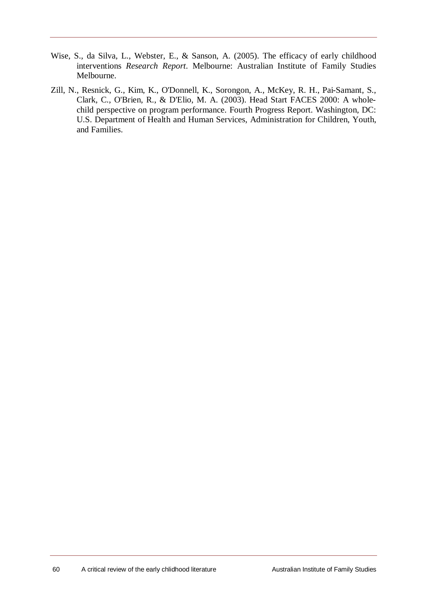- Wise, S., da Silva, L., Webster, E., & Sanson, A. (2005). The efficacy of early childhood interventions *Research Report*. Melbourne: Australian Institute of Family Studies Melbourne.
- Zill, N., Resnick, G., Kim, K., O'Donnell, K., Sorongon, A., McKey, R. H., Pai-Samant, S., Clark, C., O'Brien, R., & D'Elio, M. A. (2003). Head Start FACES 2000: A wholechild perspective on program performance. Fourth Progress Report. Washington, DC: U.S. Department of Health and Human Services, Administration for Children, Youth, and Families.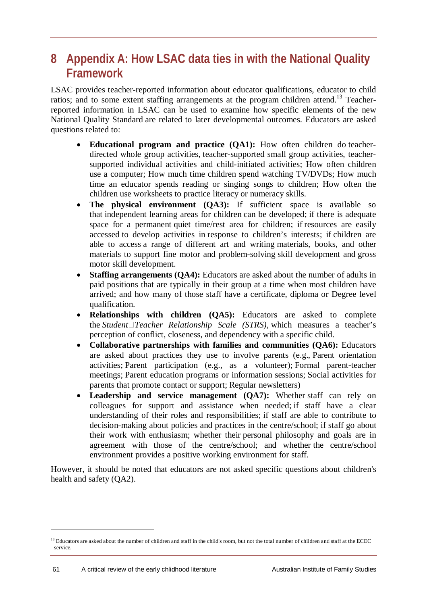# **8 Appendix A: How LSAC data ties in with the National Quality Framework**

LSAC provides teacher-reported information about educator qualifications, educator to child ratios; and to some extent staffing arrangements at the program children attend.<sup>13</sup> Teacherreported information in LSAC can be used to examine how specific elements of the new National Quality Standard are related to later developmental outcomes. Educators are asked questions related to:

- **Educational program and practice (QA1):** How often children do teacherdirected whole group activities, teacher-supported small group activities, teachersupported individual activities and child-initiated activities; How often children use a computer; How much time children spend watching TV/DVDs; How much time an educator spends reading or singing songs to children; How often the children use worksheets to practice literacy or numeracy skills.
- The physical environment (QA3): If sufficient space is available so that independent learning areas for children can be developed; if there is adequate space for a permanent quiet time/rest area for children; if resources are easily accessed to develop activities in response to children's interests; if children are able to access a range of different art and writing materials, books, and other materials to support fine motor and problem-solving skill development and gross motor skill development.
- **Staffing arrangements (QA4):** Educators are asked about the number of adults in paid positions that are typically in their group at a time when most children have arrived; and how many of those staff have a certificate, diploma or Degree level qualification.
- **Relationships with children (QA5):** Educators are asked to complete the *StudentTeacher Relationship Scale (STRS),* which measures a teacher's perception of conflict, closeness, and dependency with a specific child.
- **Collaborative partnerships with families and communities (QA6):** Educators are asked about practices they use to involve parents (e.g., Parent orientation activities; Parent participation (e.g., as a volunteer); Formal parent-teacher meetings; Parent education programs or information sessions; Social activities for parents that promote contact or support; Regular newsletters)
- **Leadership and service management (QA7):** Whether staff can rely on colleagues for support and assistance when needed; if staff have a clear understanding of their roles and responsibilities; if staff are able to contribute to decision-making about policies and practices in the centre/school; if staff go about their work with enthusiasm; whether their personal philosophy and goals are in agreement with those of the centre/school; and whether the centre/school environment provides a positive working environment for staff.

However, it should be noted that educators are not asked specific questions about children's health and safety (QA2).

 $\ddot{\phantom{a}}$ 

<sup>&</sup>lt;sup>13</sup> Educators are asked about the number of children and staff in the child's room, but not the total number of children and staff at the ECEC service.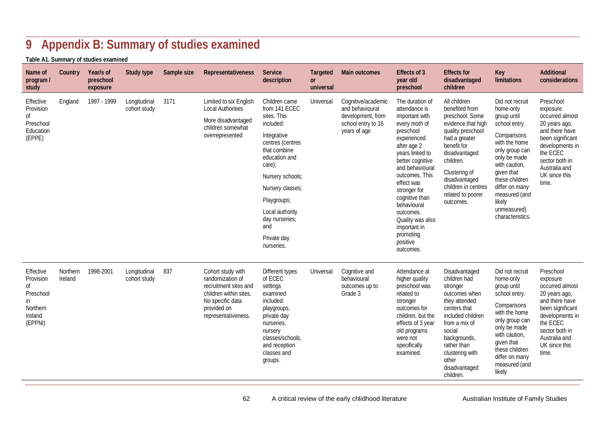# **9 Appendix B: Summary of studies examined**

**Table A1. Summary of studies examined** 

| Name of<br>program /<br>study                                                     | <b>Country</b>      | Year/s of<br>preschool<br>exposure | <b>Study type</b>            | Sample size | <b>Representativeness</b>                                                                                                                          | <b>Service</b><br>description                                                                                                                                                                                                                                            | <b>Targeted</b><br>or<br>universal | <b>Main outcomes</b>                                                                             | <b>Effects of 3</b><br>year old<br>preschool                                                                                                                                                                                                                                                                                                     | <b>Effects for</b><br>disadvantaged<br>children                                                                                                                                                                                                       | <b>Key</b><br><b>limitations</b>                                                                                                                                                                                                                                | <b>Additional</b><br>considerations                                                                                                                                                         |
|-----------------------------------------------------------------------------------|---------------------|------------------------------------|------------------------------|-------------|----------------------------------------------------------------------------------------------------------------------------------------------------|--------------------------------------------------------------------------------------------------------------------------------------------------------------------------------------------------------------------------------------------------------------------------|------------------------------------|--------------------------------------------------------------------------------------------------|--------------------------------------------------------------------------------------------------------------------------------------------------------------------------------------------------------------------------------------------------------------------------------------------------------------------------------------------------|-------------------------------------------------------------------------------------------------------------------------------------------------------------------------------------------------------------------------------------------------------|-----------------------------------------------------------------------------------------------------------------------------------------------------------------------------------------------------------------------------------------------------------------|---------------------------------------------------------------------------------------------------------------------------------------------------------------------------------------------|
| Effective<br>Provision<br>οf<br>Preschool<br>Education<br>(EPPE)                  | England             | 1997 - 1999                        | Longitudinal<br>cohort study | 3171        | Limited to six English<br><b>Local Authorities</b><br>More disadvantaged<br>children somewhat<br>overrepresented                                   | Children came<br>from 141 ECEC<br>sites. This<br>included:<br>Integrative<br>centres (centres<br>that combine<br>education and<br>care):<br>Nursery schools;<br>Nursery classes;<br>Playgroups;<br>Local authority<br>day nurseries;<br>and<br>Private day<br>nurseries. | Universal                          | Cognitive/academic<br>and behavioural<br>development, from<br>school entry to 16<br>years of age | The duration of<br>attendance is<br>important with<br>every moth of<br>preschool<br>experienced<br>after age 2<br>years linked to<br>better cognitive<br>and behavioural<br>outcomes. This<br>effect was<br>stronger for<br>cognitive than<br>behavioural<br>outcomes.<br>Quality was also<br>important in<br>promoting<br>positive<br>outcomes. | All children<br>benefited from<br>preschool. Some<br>evidence that high<br>quality preschool<br>had a greater<br>benefit for<br>disadvantaged<br>children.<br>Clustering of<br>disadvantaged<br>children in centres<br>related to poorer<br>outcomes. | Did not recruit<br>home-only<br>group until<br>school entry.<br>Comparisons<br>with the home<br>only group can<br>only be made<br>with caution,<br>given that<br>these children<br>differ on many<br>measured (and<br>likely<br>unmeasured)<br>characteristics. | Preschool<br>exposure<br>occurred almost<br>20 years ago,<br>and there have<br>been significant<br>developments in<br>the ECEC<br>sector both in<br>Australia and<br>UK since this<br>time. |
| Effective<br>Provision<br>οf<br>Preschool<br>in<br>Northern<br>Ireland<br>(EPPNI) | Northern<br>Ireland | 1998-2001                          | Longitudinal<br>cohort study | 837         | Cohort study with<br>randomization of<br>recruitment sites and<br>children within sites.<br>No specific data<br>provided on<br>representativeness. | Different types<br>of ECEC<br>settings<br>examined<br>included:<br>playgroups,<br>private day<br>nurseries,<br>nursery<br>classes/schools,<br>and reception<br>classes and<br>groups.                                                                                    | Universal                          | Cognitive and<br>behavioural<br>outcomes up to<br>Grade 3                                        | Attendance at<br>higher quality<br>preschool was<br>related to<br>stronger<br>outcomes for<br>children, but the<br>effects of 3 year<br>old programs<br>were not<br>specifically<br>examined.                                                                                                                                                    | Disadvantaged<br>children had<br>stronger<br>outcomes when<br>they attended<br>centers that<br>included children<br>from a mix of<br>social<br>backgrounds,<br>rather than<br>clustering with<br>other<br>disadvantaged<br>children.                  | Did not recruit<br>home-only<br>group until<br>school entry.<br>Comparisons<br>with the home<br>only group can<br>only be made<br>with caution,<br>given that<br>these children<br>differ on many<br>measured (and<br>likely                                    | Preschool<br>exposure<br>occurred almost<br>20 years ago,<br>and there have<br>been significant<br>developments in<br>the ECEC<br>sector both in<br>Australia and<br>UK since this<br>time. |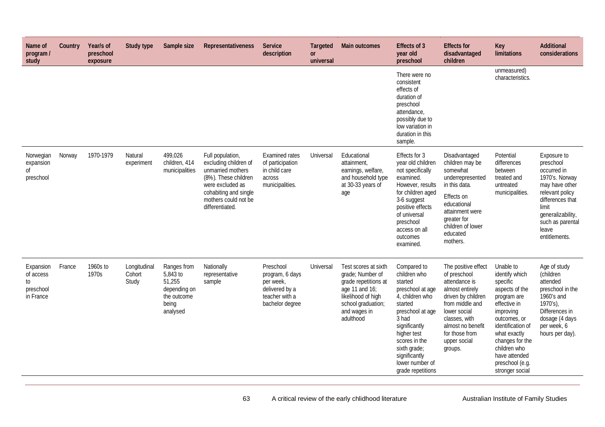| Name of<br>program /<br>study                          | <b>Country</b> | Year/s of<br>preschool<br>exposure | <b>Study type</b>               | Sample size                                                                           | <b>Representativeness</b>                                                                                                                                                      | <b>Service</b><br>description                                                                    | <b>Targeted</b><br>or<br>universal | <b>Main outcomes</b>                                                                                                                                        | <b>Effects of 3</b><br>year old<br>preschool                                                                                                                                                                                                    | <b>Effects for</b><br>disadvantaged<br>children                                                                                                                                                                     | <b>Key</b><br><b>limitations</b>                                                                                                                                                                                                                     | <b>Additional</b><br>considerations                                                                                                                                                            |
|--------------------------------------------------------|----------------|------------------------------------|---------------------------------|---------------------------------------------------------------------------------------|--------------------------------------------------------------------------------------------------------------------------------------------------------------------------------|--------------------------------------------------------------------------------------------------|------------------------------------|-------------------------------------------------------------------------------------------------------------------------------------------------------------|-------------------------------------------------------------------------------------------------------------------------------------------------------------------------------------------------------------------------------------------------|---------------------------------------------------------------------------------------------------------------------------------------------------------------------------------------------------------------------|------------------------------------------------------------------------------------------------------------------------------------------------------------------------------------------------------------------------------------------------------|------------------------------------------------------------------------------------------------------------------------------------------------------------------------------------------------|
|                                                        |                |                                    |                                 |                                                                                       |                                                                                                                                                                                |                                                                                                  |                                    |                                                                                                                                                             | There were no<br>consistent<br>effects of<br>duration of<br>preschool<br>attendance<br>possibly due to<br>low variation in<br>duration in this<br>sample.                                                                                       |                                                                                                                                                                                                                     | unmeasured)<br>characteristics.                                                                                                                                                                                                                      |                                                                                                                                                                                                |
| Norwegian<br>expansion<br>Ωf<br>preschool              | Norway         | 1970-1979                          | Natural<br>experiment           | 499,026<br>children, 414<br>municipalities                                            | Full population,<br>excluding children of<br>unmarried mothers<br>(8%). These children<br>were excluded as<br>cohabiting and single<br>mothers could not be<br>differentiated. | <b>Examined rates</b><br>of participation<br>in child care<br>across<br>municipalities.          | Universal                          | Educational<br>attainment,<br>earnings, welfare,<br>and household type<br>at 30-33 years of<br>age                                                          | Effects for 3<br>year old children<br>not specifically<br>examined.<br>However, results<br>for children aged<br>3-6 suggest<br>positive effects<br>of universal<br>preschool<br>access on all<br>outcomes<br>examined.                          | Disadvantaged<br>children may be<br>somewhat<br>underrepresented<br>in this data.<br>Effects on<br>educational<br>attainment were<br>greater for<br>children of lower<br>educated<br>mothers.                       | Potential<br>differences<br>between<br>treated and<br>untreated<br>municipalities.                                                                                                                                                                   | Exposure to<br>preschool<br>occurred in<br>1970's. Norway<br>may have other<br>relevant policy<br>differences that<br>limit<br>generalizability,<br>such as parental<br>leave<br>entitlements. |
| Expansion<br>of access<br>to<br>preschool<br>in France | France         | 1960s to<br>1970s                  | Longitudinal<br>Cohort<br>Study | Ranges from<br>5,843 to<br>51,255<br>depending on<br>the outcome<br>being<br>analysed | Nationally<br>representative<br>sample                                                                                                                                         | Preschool<br>program, 6 days<br>per week,<br>delivered by a<br>teacher with a<br>bachelor degree | Universal                          | Test scores at sixth<br>grade; Number of<br>grade repetitions at<br>age 11 and 16;<br>likelihood of high<br>school graduation;<br>and wages in<br>adulthood | Compared to<br>children who<br>started<br>preschool at age<br>4, children who<br>started<br>preschool at age<br>3 had<br>significantly<br>higher test<br>scores in the<br>sixth grade;<br>significantly<br>lower number of<br>grade repetitions | The positive effect<br>of preschool<br>attendance is<br>almost entirely<br>driven by children<br>from middle and<br>lower social<br>classes, with<br>almost no benefit<br>for those from<br>upper social<br>groups. | Unable to<br>identify which<br>specific<br>aspects of the<br>program are<br>effective in<br>improving<br>outcomes, or<br>identification of<br>what exactly<br>changes for the<br>children who<br>have attended<br>preschool (e.g.<br>stronger social | Age of study<br>(children<br>attended<br>preschool in the<br>1960's and<br>1970's),<br>Differences in<br>dosage (4 days<br>per week, 6<br>hours per day).                                      |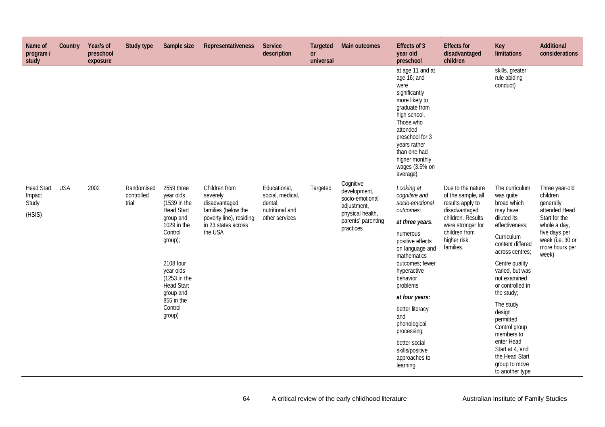| Name of<br>program /<br>study                  | <b>Country</b> | Year/s of<br>preschool<br>exposure | <b>Study type</b>                 | Sample size                                                                                                                                                                                                                     | <b>Representativeness</b>                                                                                                      | <b>Service</b><br>description                                                   | <b>Targeted</b><br>or<br>universal | <b>Main outcomes</b>                                                                                               | <b>Effects of 3</b><br>year old<br>preschool                                                                                                                                                                                                           | <b>Effects for</b><br>disadvantaged<br>children                                                                                                                     | <b>Key</b><br><b>limitations</b>                                                                                                                                                                                                                                        | <b>Additional</b><br>considerations                                                                                                                       |  |
|------------------------------------------------|----------------|------------------------------------|-----------------------------------|---------------------------------------------------------------------------------------------------------------------------------------------------------------------------------------------------------------------------------|--------------------------------------------------------------------------------------------------------------------------------|---------------------------------------------------------------------------------|------------------------------------|--------------------------------------------------------------------------------------------------------------------|--------------------------------------------------------------------------------------------------------------------------------------------------------------------------------------------------------------------------------------------------------|---------------------------------------------------------------------------------------------------------------------------------------------------------------------|-------------------------------------------------------------------------------------------------------------------------------------------------------------------------------------------------------------------------------------------------------------------------|-----------------------------------------------------------------------------------------------------------------------------------------------------------|--|
|                                                |                |                                    |                                   |                                                                                                                                                                                                                                 |                                                                                                                                |                                                                                 |                                    |                                                                                                                    | at age 11 and at<br>age 16; and<br>were<br>significantly<br>more likely to<br>graduate from<br>high school.<br>Those who<br>attended<br>preschool for 3<br>years rather<br>than one had<br>higher monthly<br>wages (3.6% on<br>average).               |                                                                                                                                                                     | skills, greater<br>rule abiding<br>conduct).                                                                                                                                                                                                                            |                                                                                                                                                           |  |
| <b>Head Start</b><br>Impact<br>Study<br>(HSIS) | <b>USA</b>     | 2002                               | Randomised<br>controlled<br>trial | 2559 three<br>year olds<br>(1539 in the<br><b>Head Start</b><br>group and<br>$1029$ in the<br>Control<br>group);<br>2108 four<br>year olds<br>(1253 in the<br><b>Head Start</b><br>group and<br>855 in the<br>Control<br>group) | Children from<br>severely<br>disadvantaged<br>families (below the<br>poverty line), residing<br>in 23 states across<br>the USA | Educational,<br>social, medical,<br>dental<br>nutritional and<br>other services | Targeted                           | Cognitive<br>development,<br>socio-emotional<br>adjustment,<br>physical health,<br>parents' parenting<br>practices | Looking at<br>cognitive and<br>socio-emotional<br>outcomes:<br>at three years:<br>numerous<br>positive effects<br>on language and<br>mathematics<br>outcomes; fewer<br>hyperactive<br>behavior<br>problems<br>at four years:<br>better literacy<br>and | Due to the nature<br>of the sample, all<br>results apply to<br>disadvantaged<br>children. Results<br>were stronger for<br>children from<br>higher risk<br>families. | The curriculum<br>was quite<br>broad which<br>may have<br>diluted its<br>effectiveness;<br>Curriculum<br>content differed<br>across centres;<br>Centre quality<br>varied, but was<br>not examined<br>or controlled in<br>the study;<br>The study<br>design<br>permitted | Three year-old<br>children<br>generally<br>attended Head<br>Start for the<br>whole a day,<br>five days per<br>week (i.e. 30 or<br>more hours per<br>week) |  |
|                                                |                |                                    |                                   |                                                                                                                                                                                                                                 |                                                                                                                                |                                                                                 |                                    |                                                                                                                    |                                                                                                                                                                                                                                                        | phonological<br>processing;<br>better social<br>skills/positive<br>approaches to<br>learning                                                                        |                                                                                                                                                                                                                                                                         | Control group<br>members to<br>enter Head<br>Start at 4, and<br>the Head Start<br>group to move<br>to another type                                        |  |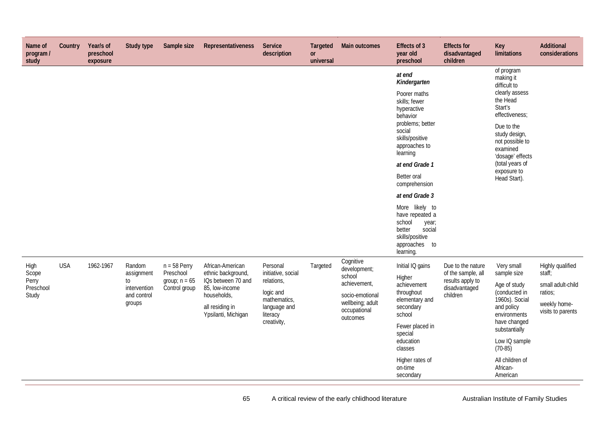| Name of<br>program /<br>study                | <b>Country</b> | Year/s of<br>preschool<br>exposure | <b>Study type</b>                                                   | Sample size                                                     | <b>Representativeness</b>                                                                                                               | <b>Service</b><br>description                                                                                        | <b>Targeted</b><br><b>or</b><br>universal | <b>Main outcomes</b>                                                                                                   | <b>Effects of 3</b><br>year old<br>preschool                                                                                                                                                                                                                                                                                                                      | <b>Effects for</b><br>disadvantaged<br>children                                          | <b>Key</b><br><b>limitations</b>                                                                                                                                                                                                       | <b>Additional</b><br>considerations                                                             |
|----------------------------------------------|----------------|------------------------------------|---------------------------------------------------------------------|-----------------------------------------------------------------|-----------------------------------------------------------------------------------------------------------------------------------------|----------------------------------------------------------------------------------------------------------------------|-------------------------------------------|------------------------------------------------------------------------------------------------------------------------|-------------------------------------------------------------------------------------------------------------------------------------------------------------------------------------------------------------------------------------------------------------------------------------------------------------------------------------------------------------------|------------------------------------------------------------------------------------------|----------------------------------------------------------------------------------------------------------------------------------------------------------------------------------------------------------------------------------------|-------------------------------------------------------------------------------------------------|
|                                              |                |                                    |                                                                     |                                                                 |                                                                                                                                         |                                                                                                                      |                                           |                                                                                                                        | at end<br>Kindergarten<br>Poorer maths<br>skills; fewer<br>hyperactive<br>behavior<br>problems; better<br>social<br>skills/positive<br>approaches to<br>learning<br>at end Grade 1<br>Better oral<br>comprehension<br>at end Grade 3<br>More likely to<br>have repeated a<br>school<br>year;<br>social<br>better<br>skills/positive<br>approaches to<br>learning. |                                                                                          | of program<br>making it<br>difficult to<br>clearly assess<br>the Head<br>Start's<br>effectiveness;<br>Due to the<br>study design,<br>not possible to<br>examined<br>'dosage' effects<br>(total years of<br>exposure to<br>Head Start). |                                                                                                 |
| High<br>Scope<br>Perry<br>Preschool<br>Study | <b>USA</b>     | 1962-1967                          | Random<br>assignment<br>to<br>intervention<br>and control<br>groups | $n = 58$ Perry<br>Preschool<br>group; $n = 65$<br>Control group | African-American<br>ethnic background,<br>IQs between 70 and<br>85, low-income<br>households,<br>all residing in<br>Ypsilanti, Michigan | Personal<br>initiative, social<br>relations,<br>logic and<br>mathematics,<br>language and<br>literacy<br>creativity, | Targeted                                  | Cognitive<br>development;<br>school<br>achievement,<br>socio-emotional<br>wellbeing; adult<br>occupational<br>outcomes | Initial IQ gains<br>Higher<br>achievement<br>throughout<br>elementary and<br>secondary<br>school<br>Fewer placed in<br>special<br>education<br>classes<br>Higher rates of<br>on-time<br>secondary                                                                                                                                                                 | Due to the nature<br>of the sample, all<br>results apply to<br>disadvantaged<br>children | Very small<br>sample size<br>Age of study<br>(conducted in<br>1960s). Social<br>and policy<br>environments<br>have changed<br>substantially<br>Low IQ sample<br>$(70-85)$<br>All children of<br>African-<br>American                   | Highly qualified<br>staff;<br>small adult-child<br>ratios;<br>weekly home-<br>visits to parents |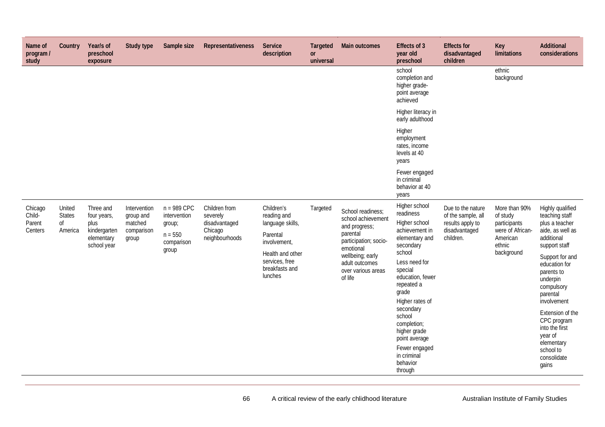| Name of<br>program /<br>study          | <b>Country</b>                                      | Year/s of<br>preschool<br>exposure                                            | <b>Study type</b>                                           | Sample size                                                                 | <b>Representativeness</b>                                               | <b>Service</b><br>description                                                                                                                | <b>Targeted</b><br><b>or</b><br>universal | <b>Main outcomes</b>                                                                                                                                                              | <b>Effects of 3</b><br>year old<br>preschool                                                                                                                                                                                                                                                                                   | <b>Effects for</b><br>disadvantaged<br>children                                           | <b>Key</b><br><b>limitations</b>                                                                  | <b>Additional</b><br>considerations                                                                                                                                                                                                                                                                                               |
|----------------------------------------|-----------------------------------------------------|-------------------------------------------------------------------------------|-------------------------------------------------------------|-----------------------------------------------------------------------------|-------------------------------------------------------------------------|----------------------------------------------------------------------------------------------------------------------------------------------|-------------------------------------------|-----------------------------------------------------------------------------------------------------------------------------------------------------------------------------------|--------------------------------------------------------------------------------------------------------------------------------------------------------------------------------------------------------------------------------------------------------------------------------------------------------------------------------|-------------------------------------------------------------------------------------------|---------------------------------------------------------------------------------------------------|-----------------------------------------------------------------------------------------------------------------------------------------------------------------------------------------------------------------------------------------------------------------------------------------------------------------------------------|
|                                        |                                                     |                                                                               |                                                             |                                                                             |                                                                         |                                                                                                                                              |                                           |                                                                                                                                                                                   | school<br>completion and<br>higher grade-<br>point average<br>achieved                                                                                                                                                                                                                                                         |                                                                                           | ethnic<br>background                                                                              |                                                                                                                                                                                                                                                                                                                                   |
|                                        |                                                     |                                                                               |                                                             |                                                                             |                                                                         |                                                                                                                                              |                                           |                                                                                                                                                                                   | Higher literacy in<br>early adulthood                                                                                                                                                                                                                                                                                          |                                                                                           |                                                                                                   |                                                                                                                                                                                                                                                                                                                                   |
|                                        |                                                     |                                                                               |                                                             |                                                                             |                                                                         |                                                                                                                                              |                                           |                                                                                                                                                                                   | Higher<br>employment<br>rates, income<br>levels at 40<br>years                                                                                                                                                                                                                                                                 |                                                                                           |                                                                                                   |                                                                                                                                                                                                                                                                                                                                   |
|                                        |                                                     |                                                                               |                                                             |                                                                             |                                                                         |                                                                                                                                              |                                           |                                                                                                                                                                                   | Fewer engaged<br>in criminal<br>behavior at 40<br>years                                                                                                                                                                                                                                                                        |                                                                                           |                                                                                                   |                                                                                                                                                                                                                                                                                                                                   |
| Chicago<br>Child-<br>Parent<br>Centers | United<br><b>States</b><br><sub>of</sub><br>America | Three and<br>four years,<br>plus<br>kindergarten<br>elementary<br>school year | Intervention<br>group and<br>matched<br>comparison<br>group | $n = 989$ CPC<br>intervention<br>group;<br>$n = 550$<br>comparison<br>group | Children from<br>severely<br>disadvantaged<br>Chicago<br>neighbourhoods | Children's<br>reading and<br>language skills,<br>Parental<br>involvement,<br>Health and other<br>services, free<br>breakfasts and<br>lunches | Targeted                                  | School readiness;<br>school achievement<br>and progress;<br>parental<br>participation; socio-<br>emotional<br>wellbeing; early<br>adult outcomes<br>over various areas<br>of life | Higher school<br>readiness<br>Higher school<br>achievement in<br>elementary and<br>secondary<br>school<br>Less need for<br>special<br>education, fewer<br>repeated a<br>grade<br>Higher rates of<br>secondary<br>school<br>completion;<br>higher grade<br>point average<br>Fewer engaged<br>in criminal<br>behavior<br>through | Due to the nature<br>of the sample, all<br>results apply to<br>disadvantaged<br>children. | More than 90%<br>of study<br>participants<br>were of African-<br>American<br>ethnic<br>background | Highly qualified<br>teaching staff<br>plus a teacher<br>aide, as well as<br>additional<br>support staff<br>Support for and<br>education for<br>parents to<br>underpin<br>compulsory<br>parental<br>involvement<br>Extension of the<br>CPC program<br>into the first<br>year of<br>elementary<br>school to<br>consolidate<br>gains |